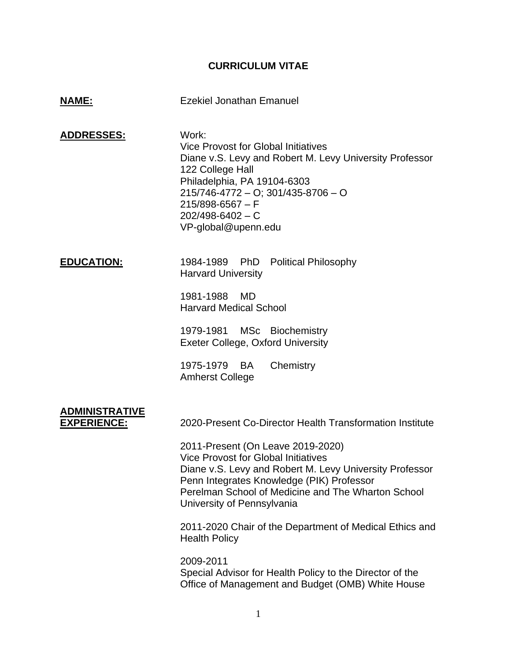# **CURRICULUM VITAE**

| <b>NAME:</b>                                | <b>Ezekiel Jonathan Emanuel</b>                                                                                                                                                                                                                                                     |
|---------------------------------------------|-------------------------------------------------------------------------------------------------------------------------------------------------------------------------------------------------------------------------------------------------------------------------------------|
| <b>ADDRESSES:</b>                           | Work:<br><b>Vice Provost for Global Initiatives</b><br>Diane v.S. Levy and Robert M. Levy University Professor<br>122 College Hall<br>Philadelphia, PA 19104-6303<br>$215/746 - 4772 - 0$ ; 301/435-8706 - O<br>$215/898 - 6567 - F$<br>$202/498 - 6402 - C$<br>VP-global@upenn.edu |
| <b>EDUCATION:</b>                           | 1984-1989 PhD<br><b>Political Philosophy</b><br><b>Harvard University</b>                                                                                                                                                                                                           |
|                                             | 1981-1988<br>MD<br><b>Harvard Medical School</b>                                                                                                                                                                                                                                    |
|                                             | 1979-1981 MSc Biochemistry<br>Exeter College, Oxford University                                                                                                                                                                                                                     |
|                                             | 1975-1979 BA<br>Chemistry<br><b>Amherst College</b>                                                                                                                                                                                                                                 |
| <b>ADMINISTRATIVE</b><br><b>EXPERIENCE:</b> | 2020-Present Co-Director Health Transformation Institute                                                                                                                                                                                                                            |
|                                             | 2011-Present (On Leave 2019-2020)<br><b>Vice Provost for Global Initiatives</b><br>Diane v.S. Levy and Robert M. Levy University Professor<br>Penn Integrates Knowledge (PIK) Professor<br>Perelman School of Medicine and The Wharton School<br>University of Pennsylvania         |
|                                             | 2011-2020 Chair of the Department of Medical Ethics and<br><b>Health Policy</b>                                                                                                                                                                                                     |
|                                             | 2009-2011<br>Special Advisor for Health Policy to the Director of the<br>Office of Management and Budget (OMB) White House                                                                                                                                                          |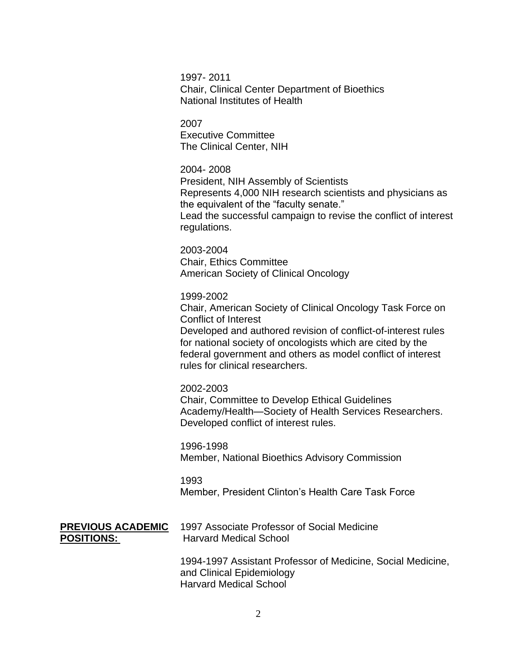1997- 2011 Chair, Clinical Center Department of Bioethics National Institutes of Health

2007 Executive Committee The Clinical Center, NIH

2004- 2008 President, NIH Assembly of Scientists Represents 4,000 NIH research scientists and physicians as the equivalent of the "faculty senate." Lead the successful campaign to revise the conflict of interest regulations.

2003-2004 Chair, Ethics Committee American Society of Clinical Oncology

#### 1999-2002

Chair, American Society of Clinical Oncology Task Force on Conflict of Interest

Developed and authored revision of conflict-of-interest rules for national society of oncologists which are cited by the federal government and others as model conflict of interest rules for clinical researchers.

### 2002-2003

Chair, Committee to Develop Ethical Guidelines Academy/Health—Society of Health Services Researchers. Developed conflict of interest rules.

1996-1998 Member, National Bioethics Advisory Commission

1993 Member, President Clinton's Health Care Task Force

# **POSITIONS:** Harvard Medical School

**PREVIOUS ACADEMIC** 1997 Associate Professor of Social Medicine

1994-1997 Assistant Professor of Medicine, Social Medicine, and Clinical Epidemiology Harvard Medical School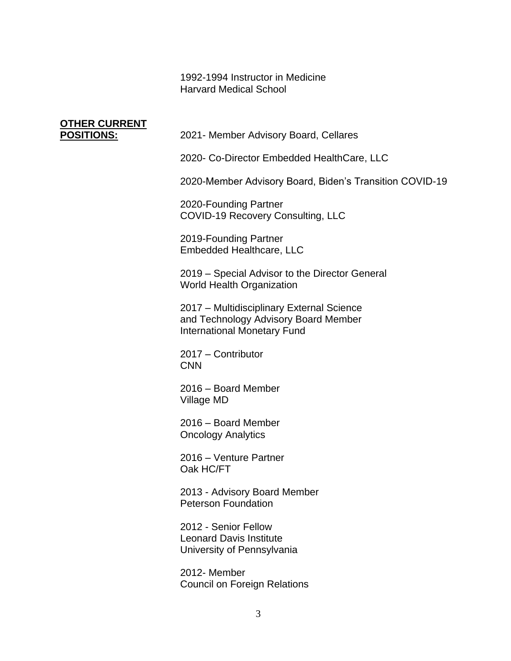1992-1994 Instructor in Medicine Harvard Medical School

# **OTHER CURRENT**

**POSITIONS:** 2021- Member Advisory Board, Cellares

2020- Co-Director Embedded HealthCare, LLC

2020-Member Advisory Board, Biden's Transition COVID-19

2020-Founding Partner COVID-19 Recovery Consulting, LLC

2019-Founding Partner Embedded Healthcare, LLC

2019 – Special Advisor to the Director General World Health Organization

2017 – Multidisciplinary External Science and Technology Advisory Board Member International Monetary Fund

2017 – Contributor CNN

2016 – Board Member Village MD

2016 – Board Member Oncology Analytics

2016 – Venture Partner Oak HC/FT

2013 - Advisory Board Member Peterson Foundation

2012 - Senior Fellow Leonard Davis Institute University of Pennsylvania

2012- Member Council on Foreign Relations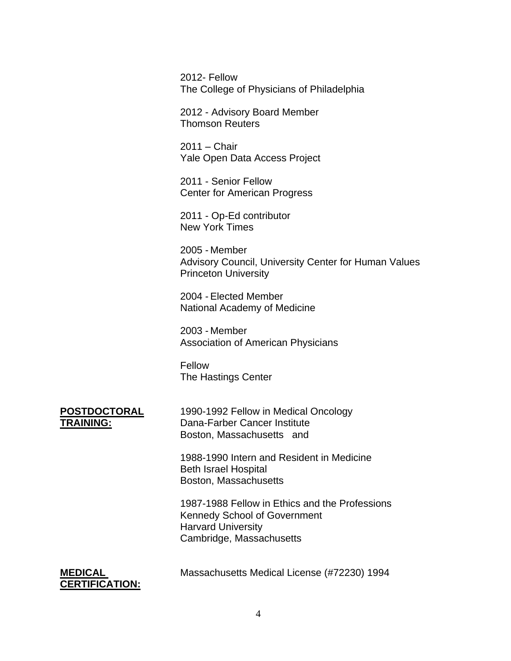2012- Fellow The College of Physicians of Philadelphia

2012 - Advisory Board Member Thomson Reuters

2011 – Chair Yale Open Data Access Project

2011 - Senior Fellow Center for American Progress

2011 - Op-Ed contributor New York Times

2005 - Member Advisory Council, University Center for Human Values Princeton University

2004 - Elected Member National Academy of Medicine

2003 - Member Association of American Physicians

Fellow The Hastings Center

**POSTDOCTORAL** 1990-1992 Fellow in Medical Oncology **Dana-Farber Cancer Institute** Boston, Massachusetts and

> 1988-1990 Intern and Resident in Medicine Beth Israel Hospital Boston, Massachusetts

1987-1988 Fellow in Ethics and the Professions Kennedy School of Government Harvard University Cambridge, Massachusetts



**MEDICAL** Massachusetts Medical License (#72230) 1994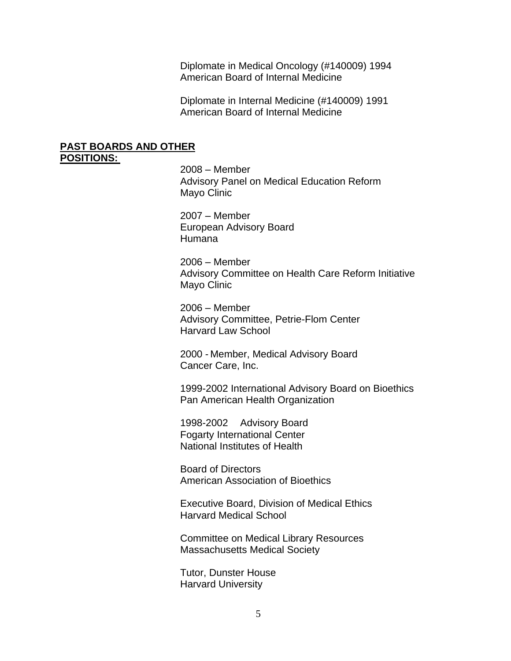Diplomate in Medical Oncology (#140009) 1994 American Board of Internal Medicine

Diplomate in Internal Medicine (#140009) 1991 American Board of Internal Medicine

#### **PAST BOARDS AND OTHER POSITIONS:**

2008 – Member Advisory Panel on Medical Education Reform Mayo Clinic

2007 – Member European Advisory Board Humana

2006 – Member Advisory Committee on Health Care Reform Initiative Mayo Clinic

2006 – Member Advisory Committee, Petrie-Flom Center Harvard Law School

2000 - Member, Medical Advisory Board Cancer Care, Inc.

1999-2002 International Advisory Board on Bioethics Pan American Health Organization

1998-2002 Advisory Board Fogarty International Center National Institutes of Health

Board of Directors American Association of Bioethics

Executive Board, Division of Medical Ethics Harvard Medical School

Committee on Medical Library Resources Massachusetts Medical Society

Tutor, Dunster House Harvard University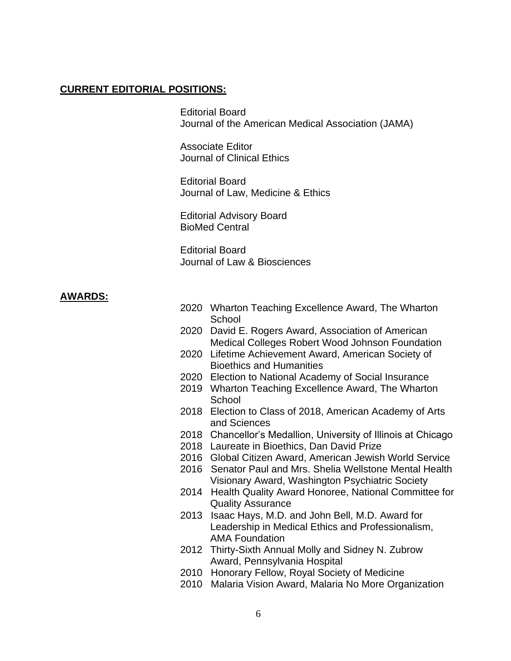#### **CURRENT EDITORIAL POSITIONS:**

Editorial Board Journal of the American Medical Association (JAMA)

Associate Editor Journal of Clinical Ethics

Editorial Board Journal of Law, Medicine & Ethics

Editorial Advisory Board BioMed Central

Editorial Board Journal of Law & Biosciences

#### **AWARDS:**

- 2020 Wharton Teaching Excellence Award, The Wharton School
- 2020 David E. Rogers Award, Association of American Medical Colleges Robert Wood Johnson Foundation
- 2020 Lifetime Achievement Award, American Society of Bioethics and Humanities
- 2020 Election to National Academy of Social Insurance
- 2019 Wharton Teaching Excellence Award, The Wharton **School**
- 2018 Election to Class of 2018, American Academy of Arts and Sciences
- 2018 Chancellor's Medallion, University of Illinois at Chicago
- 2018 Laureate in Bioethics, Dan David Prize
- 2016 Global Citizen Award, American Jewish World Service
- 2016 Senator Paul and Mrs. Shelia Wellstone Mental Health Visionary Award, Washington Psychiatric Society
- 2014 Health Quality Award Honoree, National Committee for Quality Assurance
- 2013 Isaac Hays, M.D. and John Bell, M.D. Award for Leadership in Medical Ethics and Professionalism, AMA Foundation
- 2012 Thirty-Sixth Annual Molly and Sidney N. Zubrow Award, Pennsylvania Hospital
- 2010 Honorary Fellow, Royal Society of Medicine
- 2010 Malaria Vision Award, Malaria No More Organization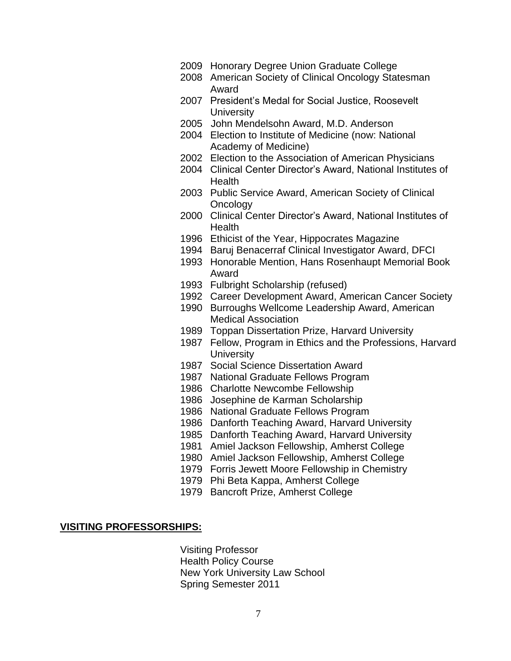- Honorary Degree Union Graduate College
- American Society of Clinical Oncology Statesman Award
- President's Medal for Social Justice, Roosevelt **University**
- 2005 John Mendelsohn Award, M.D. Anderson
- Election to Institute of Medicine (now: National Academy of Medicine)
- Election to the Association of American Physicians
- Clinical Center Director's Award, National Institutes of Health
- Public Service Award, American Society of Clinical **Oncology**
- Clinical Center Director's Award, National Institutes of Health
- Ethicist of the Year, Hippocrates Magazine
- Baruj Benacerraf Clinical Investigator Award, DFCI
- Honorable Mention, Hans Rosenhaupt Memorial Book Award
- Fulbright Scholarship (refused)
- Career Development Award, American Cancer Society
- Burroughs Wellcome Leadership Award, American Medical Association
- Toppan Dissertation Prize, Harvard University
- Fellow, Program in Ethics and the Professions, Harvard **University**
- Social Science Dissertation Award
- National Graduate Fellows Program
- Charlotte Newcombe Fellowship
- Josephine de Karman Scholarship
- National Graduate Fellows Program
- Danforth Teaching Award, Harvard University
- Danforth Teaching Award, Harvard University
- Amiel Jackson Fellowship, Amherst College
- Amiel Jackson Fellowship, Amherst College
- Forris Jewett Moore Fellowship in Chemistry
- Phi Beta Kappa, Amherst College
- Bancroft Prize, Amherst College

### **VISITING PROFESSORSHIPS:**

Visiting Professor Health Policy Course New York University Law School Spring Semester 2011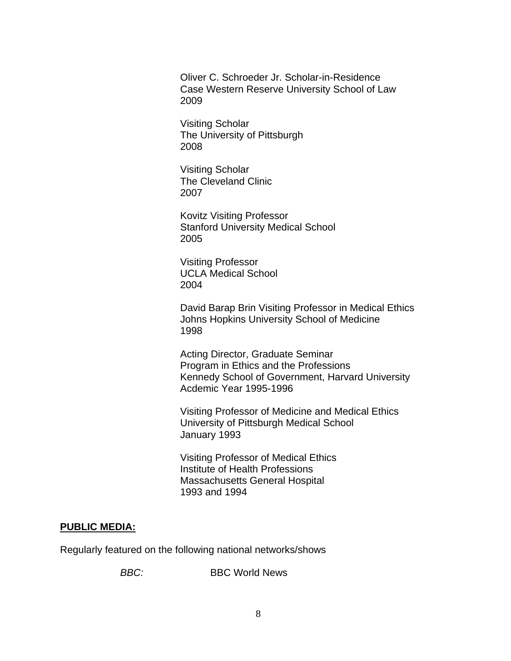Oliver C. Schroeder Jr. Scholar-in-Residence Case Western Reserve University School of Law 2009

Visiting Scholar The University of Pittsburgh 2008

Visiting Scholar The Cleveland Clinic 2007

Kovitz Visiting Professor Stanford University Medical School 2005

Visiting Professor UCLA Medical School 2004

David Barap Brin Visiting Professor in Medical Ethics Johns Hopkins University School of Medicine 1998

Acting Director, Graduate Seminar Program in Ethics and the Professions Kennedy School of Government, Harvard University Acdemic Year 1995-1996

Visiting Professor of Medicine and Medical Ethics University of Pittsburgh Medical School January 1993

Visiting Professor of Medical Ethics Institute of Health Professions Massachusetts General Hospital 1993 and 1994

### **PUBLIC MEDIA:**

Regularly featured on the following national networks/shows

*BBC:* BBC World News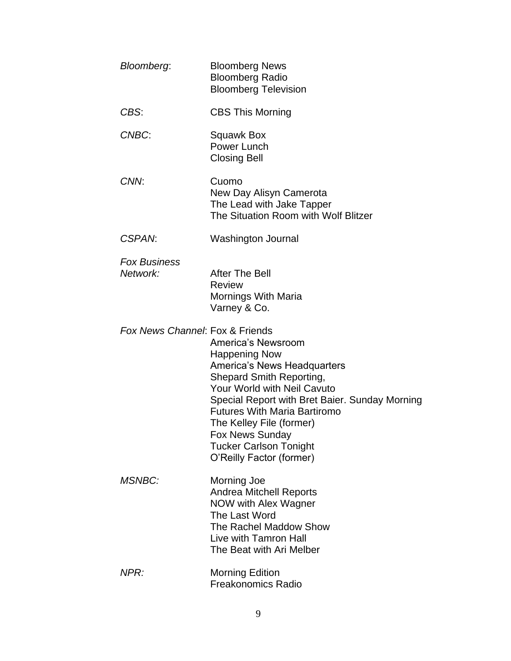| Bloomberg:                      | <b>Bloomberg News</b><br><b>Bloomberg Radio</b><br><b>Bloomberg Television</b>                                                                                                                                                                                                                                                                   |
|---------------------------------|--------------------------------------------------------------------------------------------------------------------------------------------------------------------------------------------------------------------------------------------------------------------------------------------------------------------------------------------------|
| CBS:                            | <b>CBS This Morning</b>                                                                                                                                                                                                                                                                                                                          |
| CNBC:                           | Squawk Box<br>Power Lunch<br><b>Closing Bell</b>                                                                                                                                                                                                                                                                                                 |
| CNN:                            | Cuomo<br>New Day Alisyn Camerota<br>The Lead with Jake Tapper<br>The Situation Room with Wolf Blitzer                                                                                                                                                                                                                                            |
| <b>CSPAN:</b>                   | <b>Washington Journal</b>                                                                                                                                                                                                                                                                                                                        |
| <b>Fox Business</b>             |                                                                                                                                                                                                                                                                                                                                                  |
| Network:                        | After The Bell<br><b>Review</b><br><b>Mornings With Maria</b><br>Varney & Co.                                                                                                                                                                                                                                                                    |
| Fox News Channel: Fox & Friends | America's Newsroom<br><b>Happening Now</b><br>America's News Headquarters<br>Shepard Smith Reporting,<br>Your World with Neil Cavuto<br>Special Report with Bret Baier. Sunday Morning<br><b>Futures With Maria Bartiromo</b><br>The Kelley File (former)<br><b>Fox News Sunday</b><br><b>Tucker Carlson Tonight</b><br>O'Reilly Factor (former) |
| <b>MSNBC:</b>                   | Morning Joe<br><b>Andrea Mitchell Reports</b><br>NOW with Alex Wagner<br>The Last Word<br>The Rachel Maddow Show<br>Live with Tamron Hall<br>The Beat with Ari Melber                                                                                                                                                                            |
| NPR:                            | <b>Morning Edition</b><br><b>Freakonomics Radio</b>                                                                                                                                                                                                                                                                                              |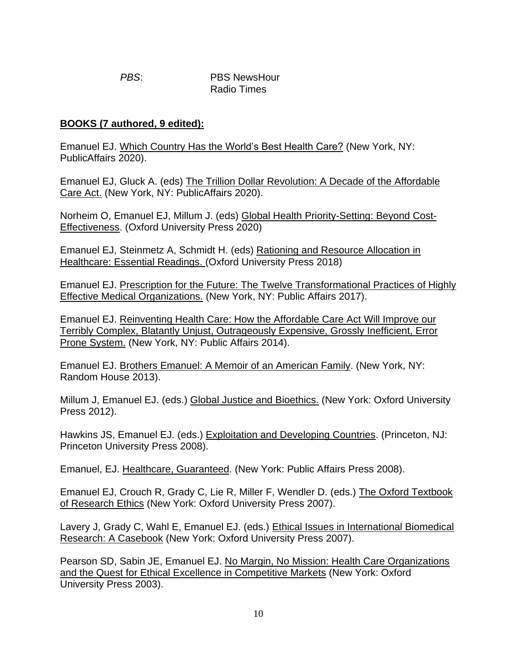*PBS*: PBS NewsHour Radio Times

## **BOOKS (7 authored, 9 edited):**

Emanuel EJ. Which Country Has the World's Best Health Care? (New York, NY: PublicAffairs 2020).

Emanuel EJ, Gluck A. (eds) The Trillion Dollar Revolution: A Decade of the Affordable Care Act. (New York, NY: PublicAffairs 2020).

Norheim O, Emanuel EJ, Millum J. (eds) Global Health Priority-Setting: Beyond Cost-Effectiveness. (Oxford University Press 2020)

Emanuel EJ, Steinmetz A, Schmidt H. (eds) Rationing and Resource Allocation in Healthcare: Essential Readings. (Oxford University Press 2018)

Emanuel EJ. Prescription for the Future: The Twelve Transformational Practices of Highly Effective Medical Organizations. (New York, NY: Public Affairs 2017).

Emanuel EJ. Reinventing Health Care: How the Affordable Care Act Will Improve our Terribly Complex, Blatantly Unjust, Outrageously Expensive, Grossly Inefficient, Error Prone System. (New York, NY: Public Affairs 2014).

Emanuel EJ. Brothers Emanuel: A Memoir of an American Family. (New York, NY: Random House 2013).

Millum J, Emanuel EJ. (eds.) Global Justice and Bioethics. (New York: Oxford University Press 2012).

Hawkins JS, Emanuel EJ. (eds.) Exploitation and Developing Countries. (Princeton, NJ: Princeton University Press 2008).

Emanuel, EJ. Healthcare, Guaranteed. (New York: Public Affairs Press 2008).

Emanuel EJ, Crouch R, Grady C, Lie R, Miller F, Wendler D. (eds.) The Oxford Textbook of Research Ethics (New York: Oxford University Press 2007).

Lavery J, Grady C, Wahl E, Emanuel EJ. (eds.) Ethical Issues in International Biomedical Research: A Casebook (New York: Oxford University Press 2007).

Pearson SD, Sabin JE, Emanuel EJ. No Margin, No Mission: Health Care Organizations and the Quest for Ethical Excellence in Competitive Markets (New York: Oxford University Press 2003).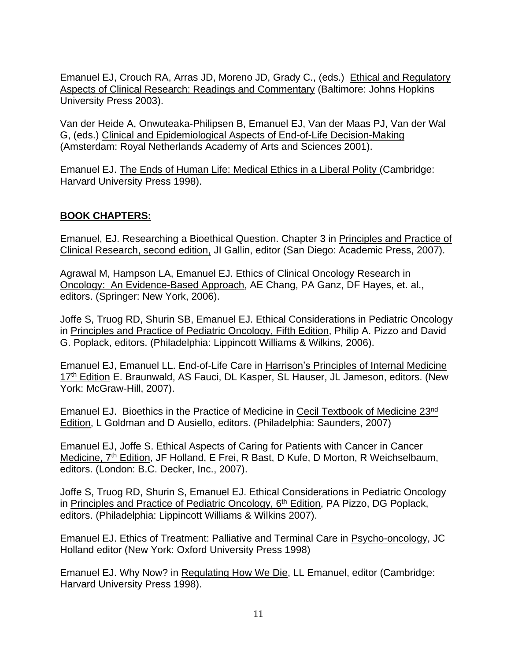Emanuel EJ, Crouch RA, Arras JD, Moreno JD, Grady C., (eds.) Ethical and Regulatory Aspects of Clinical Research: Readings and Commentary (Baltimore: Johns Hopkins University Press 2003).

Van der Heide A, Onwuteaka-Philipsen B, Emanuel EJ, Van der Maas PJ, Van der Wal G, (eds.) Clinical and Epidemiological Aspects of End-of-Life Decision-Making (Amsterdam: Royal Netherlands Academy of Arts and Sciences 2001).

Emanuel EJ. The Ends of Human Life: Medical Ethics in a Liberal Polity (Cambridge: Harvard University Press 1998).

# **BOOK CHAPTERS:**

Emanuel, EJ. Researching a Bioethical Question. Chapter 3 in Principles and Practice of Clinical Research, second edition, JI Gallin, editor (San Diego: Academic Press, 2007).

Agrawal M, Hampson LA, Emanuel EJ. Ethics of Clinical Oncology Research in Oncology: An Evidence-Based Approach, AE Chang, PA Ganz, DF Hayes, et. al., editors. (Springer: New York, 2006).

Joffe S, Truog RD, Shurin SB, Emanuel EJ. Ethical Considerations in Pediatric Oncology in Principles and Practice of Pediatric Oncology, Fifth Edition, Philip A. Pizzo and David G. Poplack, editors. (Philadelphia: Lippincott Williams & Wilkins, 2006).

Emanuel EJ, Emanuel LL. End-of-Life Care in Harrison's Principles of Internal Medicine 17<sup>th</sup> Edition E. Braunwald, AS Fauci, DL Kasper, SL Hauser, JL Jameson, editors. (New York: McGraw-Hill, 2007).

Emanuel EJ. Bioethics in the Practice of Medicine in Cecil Textbook of Medicine 23nd Edition, L Goldman and D Ausiello, editors. (Philadelphia: Saunders, 2007)

Emanuel EJ, Joffe S. Ethical Aspects of Caring for Patients with Cancer in Cancer Medicine, 7<sup>th</sup> Edition, JF Holland, E Frei, R Bast, D Kufe, D Morton, R Weichselbaum, editors. (London: B.C. Decker, Inc., 2007).

Joffe S, Truog RD, Shurin S, Emanuel EJ. Ethical Considerations in Pediatric Oncology in Principles and Practice of Pediatric Oncology, 6<sup>th</sup> Edition, PA Pizzo, DG Poplack, editors. (Philadelphia: Lippincott Williams & Wilkins 2007).

Emanuel EJ. Ethics of Treatment: Palliative and Terminal Care in Psycho-oncology, JC Holland editor (New York: Oxford University Press 1998)

Emanuel EJ. Why Now? in Regulating How We Die, LL Emanuel, editor (Cambridge: Harvard University Press 1998).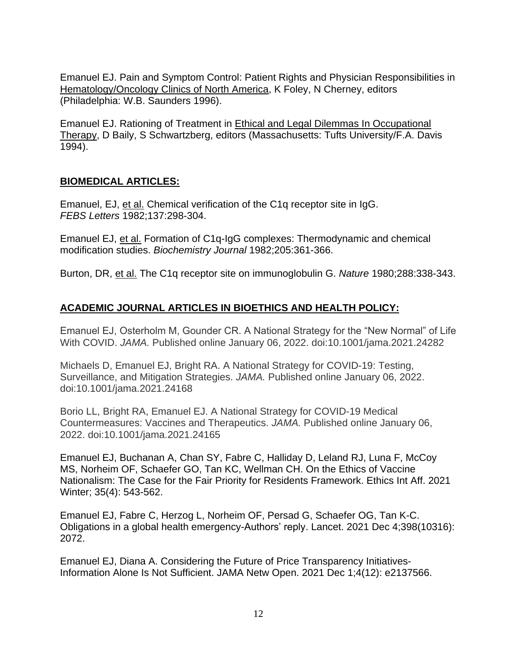Emanuel EJ. Pain and Symptom Control: Patient Rights and Physician Responsibilities in Hematology/Oncology Clinics of North America, K Foley, N Cherney, editors (Philadelphia: W.B. Saunders 1996).

Emanuel EJ. Rationing of Treatment in Ethical and Legal Dilemmas In Occupational Therapy, D Baily, S Schwartzberg, editors (Massachusetts: Tufts University/F.A. Davis 1994).

### **BIOMEDICAL ARTICLES:**

Emanuel, EJ, et al. Chemical verification of the C1q receptor site in IgG. *FEBS Letters* 1982;137:298-304.

Emanuel EJ, et al. Formation of C1q-IgG complexes: Thermodynamic and chemical modification studies. *Biochemistry Journal* 1982;205:361-366.

Burton, DR, et al. The C1q receptor site on immunoglobulin G. *Nature* 1980;288:338-343.

# **ACADEMIC JOURNAL ARTICLES IN BIOETHICS AND HEALTH POLICY:**

Emanuel EJ, Osterholm M, Gounder CR. A National Strategy for the "New Normal" of Life With COVID. *JAMA.* Published online January 06, 2022. doi:10.1001/jama.2021.24282

Michaels D, Emanuel EJ, Bright RA. A National Strategy for COVID-19: Testing, Surveillance, and Mitigation Strategies. *JAMA.* Published online January 06, 2022. doi:10.1001/jama.2021.24168

Borio LL, Bright RA, Emanuel EJ. A National Strategy for COVID-19 Medical Countermeasures: Vaccines and Therapeutics. *JAMA.* Published online January 06, 2022. doi:10.1001/jama.2021.24165

Emanuel EJ, Buchanan A, Chan SY, Fabre C, Halliday D, Leland RJ, Luna F, McCoy MS, Norheim OF, Schaefer GO, Tan KC, Wellman CH. On the Ethics of Vaccine Nationalism: The Case for the Fair Priority for Residents Framework. Ethics Int Aff. 2021 Winter; 35(4): 543-562.

Emanuel EJ, Fabre C, Herzog L, Norheim OF, Persad G, Schaefer OG, Tan K-C. Obligations in a global health emergency-Authors' reply. Lancet. 2021 Dec 4;398(10316): 2072.

Emanuel EJ, Diana A. Considering the Future of Price Transparency Initiatives-Information Alone Is Not Sufficient. JAMA Netw Open. 2021 Dec 1;4(12): e2137566.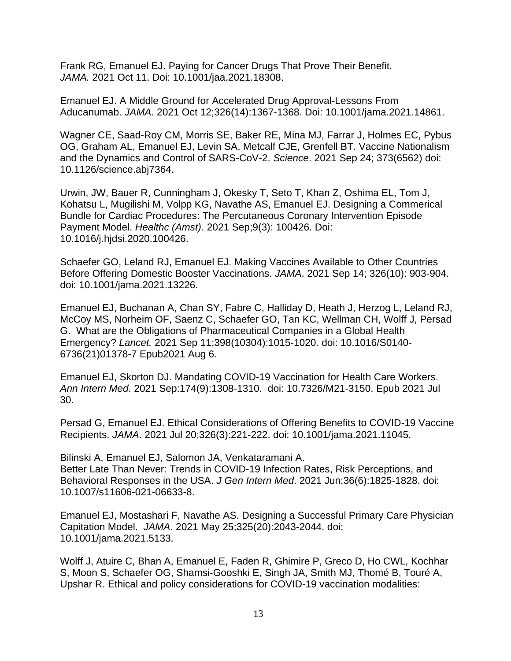Frank RG, Emanuel EJ. Paying for Cancer Drugs That Prove Their Benefit. *JAMA.* 2021 Oct 11. Doi: 10.1001/jaa.2021.18308.

Emanuel EJ. A Middle Ground for Accelerated Drug Approval-Lessons From Aducanumab. *JAMA.* 2021 Oct 12;326(14):1367-1368. Doi: 10.1001/jama.2021.14861.

Wagner CE, Saad-Roy CM, Morris SE, Baker RE, Mina MJ, Farrar J, Holmes EC, Pybus OG, Graham AL, Emanuel EJ, Levin SA, Metcalf CJE, Grenfell BT. Vaccine Nationalism and the Dynamics and Control of SARS-CoV-2. *Science*. 2021 Sep 24; 373(6562) doi: 10.1126/science.abj7364.

Urwin, JW, Bauer R, Cunningham J, Okesky T, Seto T, Khan Z, Oshima EL, Tom J, Kohatsu L, Mugilishi M, Volpp KG, Navathe AS, Emanuel EJ. Designing a Commerical Bundle for Cardiac Procedures: The Percutaneous Coronary Intervention Episode Payment Model. *Healthc (Amst).* 2021 Sep;9(3): 100426. Doi: 10.1016/j.hjdsi.2020.100426.

Schaefer GO, Leland RJ, Emanuel EJ. Making Vaccines Available to Other Countries Before Offering Domestic Booster Vaccinations. *JAMA*. 2021 Sep 14; 326(10): 903-904. doi: 10.1001/jama.2021.13226.

Emanuel EJ, Buchanan A, Chan SY, Fabre C, Halliday D, Heath J, Herzog L, Leland RJ, McCoy MS, Norheim OF, Saenz C, Schaefer GO, Tan KC, Wellman CH, Wolff J, Persad G. What are the Obligations of Pharmaceutical Companies in a Global Health Emergency? *Lancet.* 2021 Sep 11;398(10304):1015-1020. doi: 10.1016/S0140- 6736(21)01378-7 Epub2021 Aug 6.

Emanuel EJ, Skorton DJ. Mandating COVID-19 Vaccination for Health Care Workers. *Ann Intern Med*. 2021 Sep:174(9):1308-1310. doi: 10.7326/M21-3150. Epub 2021 Jul 30.

Persad G, Emanuel EJ. Ethical Considerations of Offering Benefits to COVID-19 Vaccine Recipients. *JAMA*. 2021 Jul 20;326(3):221-222. doi: 10.1001/jama.2021.11045.

Bilinski A, Emanuel EJ, Salomon JA, Venkataramani A. Better Late Than Never: Trends in COVID-19 Infection Rates, Risk Perceptions, and Behavioral Responses in the USA. *J Gen Intern Med*. 2021 Jun;36(6):1825-1828. doi: 10.1007/s11606-021-06633-8.

Emanuel EJ, Mostashari F, Navathe AS. Designing a Successful Primary Care Physician Capitation Model. *JAMA*. 2021 May 25;325(20):2043-2044. doi: 10.1001/jama.2021.5133.

Wolff J, Atuire C, Bhan A, Emanuel E, Faden R, Ghimire P, Greco D, Ho CWL, Kochhar S, Moon S, Schaefer OG, Shamsi-Gooshki E, Singh JA, Smith MJ, Thomé B, Touré A, Upshar R. Ethical and policy considerations for COVID-19 vaccination modalities: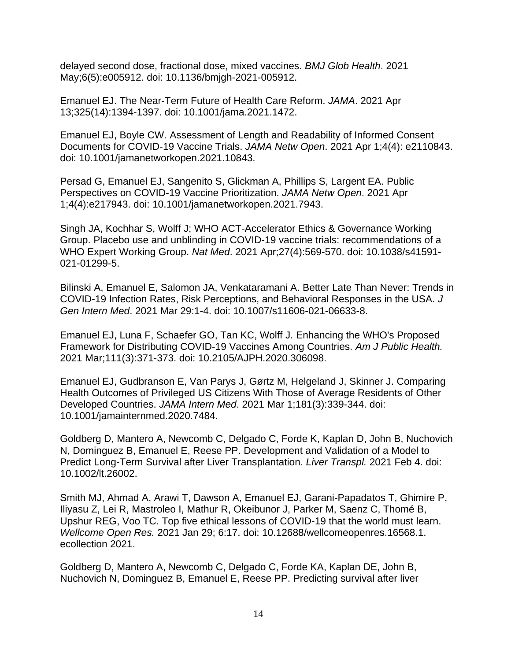delayed second dose, fractional dose, mixed vaccines. *BMJ Glob Health*. 2021 May;6(5):e005912. doi: 10.1136/bmjgh-2021-005912.

Emanuel EJ. The Near-Term Future of Health Care Reform. *JAMA*. 2021 Apr 13;325(14):1394-1397. doi: 10.1001/jama.2021.1472.

Emanuel EJ, Boyle CW. Assessment of Length and Readability of Informed Consent Documents for COVID-19 Vaccine Trials. *JAMA Netw Open*. 2021 Apr 1;4(4): e2110843. doi: 10.1001/jamanetworkopen.2021.10843.

Persad G, Emanuel EJ, Sangenito S, Glickman A, Phillips S, Largent EA. Public Perspectives on COVID-19 Vaccine Prioritization. *JAMA Netw Open*. 2021 Apr 1;4(4):e217943. doi: 10.1001/jamanetworkopen.2021.7943.

Singh JA, Kochhar S, Wolff J; WHO ACT-Accelerator Ethics & Governance Working Group. Placebo use and unblinding in COVID-19 vaccine trials: recommendations of a WHO Expert Working Group. *Nat Med*. 2021 Apr;27(4):569-570. doi: 10.1038/s41591- 021-01299-5.

Bilinski A, Emanuel E, Salomon JA, Venkataramani A. Better Late Than Never: Trends in COVID-19 Infection Rates, Risk Perceptions, and Behavioral Responses in the USA. *J Gen Intern Med*. 2021 Mar 29:1-4. doi: 10.1007/s11606-021-06633-8.

Emanuel EJ, Luna F, Schaefer GO, Tan KC, Wolff J. Enhancing the WHO's Proposed Framework for Distributing COVID-19 Vaccines Among Countries. *Am J Public Health.* 2021 Mar;111(3):371-373. doi: 10.2105/AJPH.2020.306098.

Emanuel EJ, Gudbranson E, Van Parys J, Gørtz M, Helgeland J, Skinner J. Comparing Health Outcomes of Privileged US Citizens With Those of Average Residents of Other Developed Countries. *JAMA Intern Med*. 2021 Mar 1;181(3):339-344. doi: 10.1001/jamainternmed.2020.7484.

Goldberg D, Mantero A, Newcomb C, Delgado C, Forde K, Kaplan D, John B, Nuchovich N, Dominguez B, Emanuel E, Reese PP. Development and Validation of a Model to Predict Long-Term Survival after Liver Transplantation. *Liver Transpl.* 2021 Feb 4. doi: 10.1002/lt.26002.

Smith MJ, Ahmad A, Arawi T, Dawson A, Emanuel EJ, Garani-Papadatos T, Ghimire P, Iliyasu Z, Lei R, Mastroleo I, Mathur R, Okeibunor J, Parker M, Saenz C, Thomé B, Upshur REG, Voo TC. Top five ethical lessons of COVID-19 that the world must learn. *Wellcome Open Res.* 2021 Jan 29; 6:17. doi: 10.12688/wellcomeopenres.16568.1. ecollection 2021.

Goldberg D, Mantero A, Newcomb C, Delgado C, Forde KA, Kaplan DE, John B, Nuchovich N, Dominguez B, Emanuel E, Reese PP. Predicting survival after liver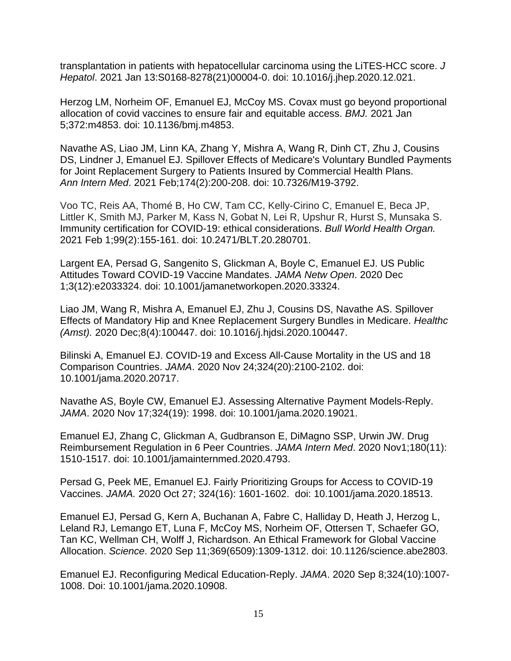transplantation in patients with hepatocellular carcinoma using the LiTES-HCC score. *J Hepatol*. 2021 Jan 13:S0168-8278(21)00004-0. doi: 10.1016/j.jhep.2020.12.021.

Herzog LM, Norheim OF, Emanuel EJ, McCoy MS. Covax must go beyond proportional allocation of covid vaccines to ensure fair and equitable access. *BMJ.* 2021 Jan 5;372:m4853. doi: 10.1136/bmj.m4853.

Navathe AS, Liao JM, Linn KA, Zhang Y, Mishra A, Wang R, Dinh CT, Zhu J, Cousins DS, Lindner J, Emanuel EJ. Spillover Effects of Medicare's Voluntary Bundled Payments for Joint Replacement Surgery to Patients Insured by Commercial Health Plans. *Ann Intern Med*. 2021 Feb;174(2):200-208. doi: 10.7326/M19-3792.

Voo TC, Reis AA, Thomé B, Ho CW, Tam CC, Kelly-Cirino C, Emanuel E, Beca JP, Littler K, Smith MJ, Parker M, Kass N, Gobat N, Lei R, Upshur R, Hurst S, Munsaka S. Immunity certification for COVID-19: ethical considerations. *Bull World Health Organ.* 2021 Feb 1;99(2):155-161. doi: 10.2471/BLT.20.280701.

Largent EA, Persad G, Sangenito S, Glickman A, Boyle C, Emanuel EJ. US Public Attitudes Toward COVID-19 Vaccine Mandates. *JAMA Netw Open*. 2020 Dec 1;3(12):e2033324. doi: 10.1001/jamanetworkopen.2020.33324.

Liao JM, Wang R, Mishra A, Emanuel EJ, Zhu J, Cousins DS, Navathe AS. Spillover Effects of Mandatory Hip and Knee Replacement Surgery Bundles in Medicare. *Healthc (Amst).* 2020 Dec;8(4):100447. doi: 10.1016/j.hjdsi.2020.100447.

Bilinski A, Emanuel EJ. COVID-19 and Excess All-Cause Mortality in the US and 18 Comparison Countries. *JAMA*. 2020 Nov 24;324(20):2100-2102. doi: 10.1001/jama.2020.20717.

Navathe AS, Boyle CW, Emanuel EJ. Assessing Alternative Payment Models-Reply. *JAMA*. 2020 Nov 17;324(19): 1998. doi: 10.1001/jama.2020.19021.

Emanuel EJ, Zhang C, Glickman A, Gudbranson E, DiMagno SSP, Urwin JW. Drug Reimbursement Regulation in 6 Peer Countries. *JAMA Intern Med*. 2020 Nov1;180(11): 1510-1517. doi: 10.1001/jamainternmed.2020.4793.

Persad G, Peek ME, Emanuel EJ. Fairly Prioritizing Groups for Access to COVID-19 Vaccines. *JAMA.* 2020 Oct 27; 324(16): 1601-1602. doi: 10.1001/jama.2020.18513.

Emanuel EJ, Persad G, Kern A, Buchanan A, Fabre C, Halliday D, Heath J, Herzog L, Leland RJ, Lemango ET, Luna F, McCoy MS, Norheim OF, Ottersen T, Schaefer GO, Tan KC, Wellman CH, Wolff J, Richardson. An Ethical Framework for Global Vaccine Allocation. *Science*. 2020 Sep 11;369(6509):1309-1312. doi: 10.1126/science.abe2803.

Emanuel EJ. Reconfiguring Medical Education-Reply. *JAMA*. 2020 Sep 8;324(10):1007- 1008. Doi: 10.1001/jama.2020.10908.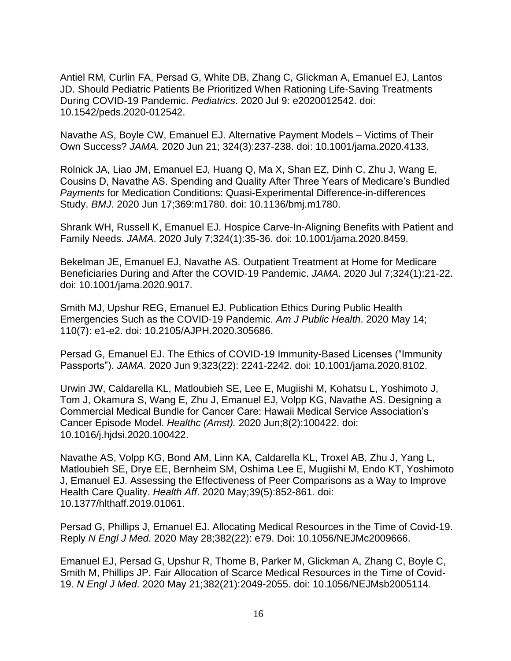Antiel RM, Curlin FA, Persad G, White DB, Zhang C, Glickman A, Emanuel EJ, Lantos JD. Should Pediatric Patients Be Prioritized When Rationing Life-Saving Treatments During COVID-19 Pandemic. *Pediatrics*. 2020 Jul 9: e2020012542. doi: 10.1542/peds.2020-012542.

Navathe AS, Boyle CW, Emanuel EJ. Alternative Payment Models – Victims of Their Own Success? *JAMA.* 2020 Jun 21; 324(3):237-238. doi: 10.1001/jama.2020.4133.

Rolnick JA, Liao JM, Emanuel EJ, Huang Q, Ma X, Shan EZ, Dinh C, Zhu J, Wang E, Cousins D, Navathe AS. Spending and Quality After Three Years of Medicare's Bundled *Payments* for Medication Conditions: Quasi-Experimental Difference-in-differences Study. *BMJ*. 2020 Jun 17;369:m1780. doi: 10.1136/bmj.m1780.

Shrank WH, Russell K, Emanuel EJ. Hospice Carve-In-Aligning Benefits with Patient and Family Needs. *JAMA*. 2020 July 7;324(1):35-36. doi: 10.1001/jama.2020.8459.

Bekelman JE, Emanuel EJ, Navathe AS. Outpatient Treatment at Home for Medicare Beneficiaries During and After the COVID-19 Pandemic. *JAMA*. 2020 Jul 7;324(1):21-22. doi: 10.1001/jama.2020.9017.

Smith MJ, Upshur REG, Emanuel EJ. Publication Ethics During Public Health Emergencies Such as the COVID-19 Pandemic. *Am J Public Health*. 2020 May 14; 110(7): e1-e2. doi: 10.2105/AJPH.2020.305686.

Persad G, Emanuel EJ. The Ethics of COVID-19 Immunity-Based Licenses ("Immunity Passports"). *JAMA*. 2020 Jun 9;323(22): 2241-2242. doi: 10.1001/jama.2020.8102.

Urwin JW, Caldarella KL, Matloubieh SE, Lee E, Mugiishi M, Kohatsu L, Yoshimoto J, Tom J, Okamura S, Wang E, Zhu J, Emanuel EJ, Volpp KG, Navathe AS. Designing a Commercial Medical Bundle for Cancer Care: Hawaii Medical Service Association's Cancer Episode Model. *Healthc (Amst).* 2020 Jun;8(2):100422. doi: 10.1016/j.hjdsi.2020.100422.

Navathe AS, Volpp KG, Bond AM, Linn KA, Caldarella KL, Troxel AB, Zhu J, Yang L, Matloubieh SE, Drye EE, Bernheim SM, Oshima Lee E, Mugiishi M, Endo KT, Yoshimoto J, Emanuel EJ. Assessing the Effectiveness of Peer Comparisons as a Way to Improve Health Care Quality. *Health Aff*. 2020 May;39(5):852-861. doi: 10.1377/hlthaff.2019.01061.

Persad G, Phillips J, Emanuel EJ. Allocating Medical Resources in the Time of Covid-19. Reply *N Engl J Med*. 2020 May 28;382(22): e79. Doi: 10.1056/NEJMc2009666.

Emanuel EJ, Persad G, Upshur R, Thome B, Parker M, Glickman A, Zhang C, Boyle C, Smith M, Phillips JP. Fair Allocation of Scarce Medical Resources in the Time of Covid-19. *N Engl J Med*. 2020 May 21;382(21):2049-2055. doi: 10.1056/NEJMsb2005114.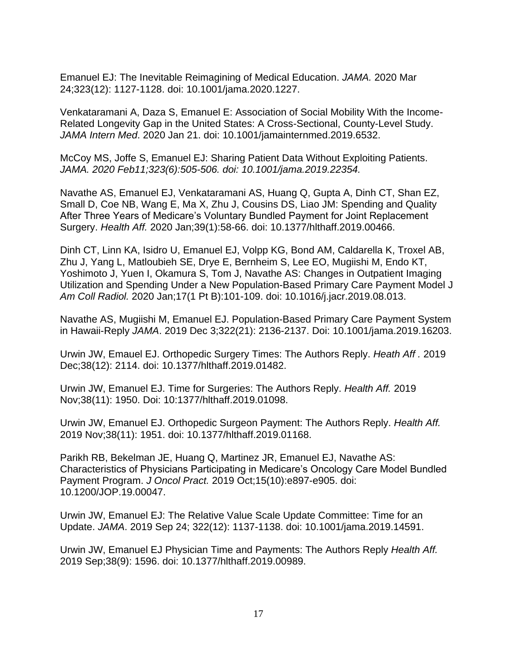Emanuel EJ: The Inevitable Reimagining of Medical Education. *JAMA.* 2020 Mar 24;323(12): 1127-1128. doi: 10.1001/jama.2020.1227.

Venkataramani A, Daza S, Emanuel E: Association of Social Mobility With the Income-Related Longevity Gap in the United States: A Cross-Sectional, County-Level Study. *JAMA Intern Med*. 2020 Jan 21. doi: 10.1001/jamainternmed.2019.6532.

McCoy MS, Joffe S, Emanuel EJ: Sharing Patient Data Without Exploiting Patients. *JAMA. 2020 Feb11;323(6):505-506. doi: 10.1001/jama.2019.22354.*

Navathe AS, Emanuel EJ, Venkataramani AS, Huang Q, Gupta A, Dinh CT, Shan EZ, Small D, Coe NB, Wang E, Ma X, Zhu J, Cousins DS, Liao JM: Spending and Quality After Three Years of Medicare's Voluntary Bundled Payment for Joint Replacement Surgery. *Health Aff.* 2020 Jan;39(1):58-66. doi: 10.1377/hlthaff.2019.00466.

Dinh CT, Linn KA, Isidro U, Emanuel EJ, Volpp KG, Bond AM, Caldarella K, Troxel AB, Zhu J, Yang L, Matloubieh SE, Drye E, Bernheim S, Lee EO, Mugiishi M, Endo KT, Yoshimoto J, Yuen I, Okamura S, Tom J, Navathe AS: Changes in Outpatient Imaging Utilization and Spending Under a New Population-Based Primary Care Payment Model J *Am Coll Radiol.* 2020 Jan;17(1 Pt B):101-109. doi: 10.1016/j.jacr.2019.08.013.

Navathe AS, Mugiishi M, Emanuel EJ. Population-Based Primary Care Payment System in Hawaii-Reply *JAMA*. 2019 Dec 3;322(21): 2136-2137. Doi: 10.1001/jama.2019.16203.

Urwin JW, Emauel EJ. Orthopedic Surgery Times: The Authors Reply. *Heath Aff .* 2019 Dec;38(12): 2114. doi: 10.1377/hlthaff.2019.01482.

Urwin JW, Emanuel EJ. Time for Surgeries: The Authors Reply. *Health Aff.* 2019 Nov;38(11): 1950. Doi: 10:1377/hlthaff.2019.01098.

Urwin JW, Emanuel EJ. Orthopedic Surgeon Payment: The Authors Reply. *Health Aff.* 2019 Nov;38(11): 1951. doi: 10.1377/hlthaff.2019.01168.

Parikh RB, Bekelman JE, Huang Q, Martinez JR, Emanuel EJ, Navathe AS: Characteristics of Physicians Participating in Medicare's Oncology Care Model Bundled Payment Program. *J Oncol Pract.* 2019 Oct;15(10):e897-e905. doi: 10.1200/JOP.19.00047.

Urwin JW, Emanuel EJ: The Relative Value Scale Update Committee: Time for an Update. *JAMA*. 2019 Sep 24; 322(12): 1137-1138. doi: 10.1001/jama.2019.14591.

Urwin JW, Emanuel EJ Physician Time and Payments: The Authors Reply *Health Aff.* 2019 Sep;38(9): 1596. doi: 10.1377/hlthaff.2019.00989.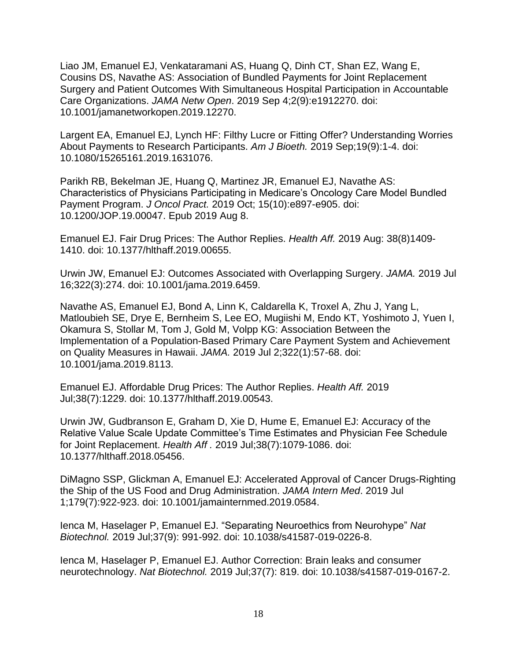Liao JM, Emanuel EJ, Venkataramani AS, Huang Q, Dinh CT, Shan EZ, Wang E, Cousins DS, Navathe AS: Association of Bundled Payments for Joint Replacement Surgery and Patient Outcomes With Simultaneous Hospital Participation in Accountable Care Organizations. *JAMA Netw Open*. 2019 Sep 4;2(9):e1912270. doi: 10.1001/jamanetworkopen.2019.12270.

Largent EA, Emanuel EJ, Lynch HF: Filthy Lucre or Fitting Offer? Understanding Worries About Payments to Research Participants. *Am J Bioeth.* 2019 Sep;19(9):1-4. doi: 10.1080/15265161.2019.1631076.

Parikh RB, Bekelman JE, Huang Q, Martinez JR, Emanuel EJ, Navathe AS: Characteristics of Physicians Participating in Medicare's Oncology Care Model Bundled Payment Program. *J Oncol Pract.* 2019 Oct; 15(10):e897-e905. doi: 10.1200/JOP.19.00047. Epub 2019 Aug 8.

Emanuel EJ. Fair Drug Prices: The Author Replies. *Health Aff.* 2019 Aug: 38(8)1409- 1410. doi: 10.1377/hlthaff.2019.00655.

Urwin JW, Emanuel EJ: Outcomes Associated with Overlapping Surgery. *JAMA.* 2019 Jul 16;322(3):274. doi: 10.1001/jama.2019.6459.

Navathe AS, Emanuel EJ, Bond A, Linn K, Caldarella K, Troxel A, Zhu J, Yang L, Matloubieh SE, Drye E, Bernheim S, Lee EO, Mugiishi M, Endo KT, Yoshimoto J, Yuen I, Okamura S, Stollar M, Tom J, Gold M, Volpp KG: Association Between the Implementation of a Population-Based Primary Care Payment System and Achievement on Quality Measures in Hawaii. *JAMA.* 2019 Jul 2;322(1):57-68. doi: 10.1001/jama.2019.8113.

Emanuel EJ. Affordable Drug Prices: The Author Replies. *Health Aff.* 2019 Jul;38(7):1229. doi: 10.1377/hlthaff.2019.00543.

Urwin JW, Gudbranson E, Graham D, Xie D, Hume E, Emanuel EJ: Accuracy of the Relative Value Scale Update Committee's Time Estimates and Physician Fee Schedule for Joint Replacement. *Health Aff .* 2019 Jul;38(7):1079-1086. doi: 10.1377/hlthaff.2018.05456.

DiMagno SSP, Glickman A, Emanuel EJ: Accelerated Approval of Cancer Drugs-Righting the Ship of the US Food and Drug Administration. *JAMA Intern Med*. 2019 Jul 1;179(7):922-923. doi: 10.1001/jamainternmed.2019.0584.

Ienca M, Haselager P, Emanuel EJ. "Separating Neuroethics from Neurohype" *Nat Biotechnol.* 2019 Jul;37(9): 991-992. doi: 10.1038/s41587-019-0226-8.

Ienca M, Haselager P, Emanuel EJ. Author Correction: Brain leaks and consumer neurotechnology. *Nat Biotechnol.* 2019 Jul;37(7): 819. doi: 10.1038/s41587-019-0167-2.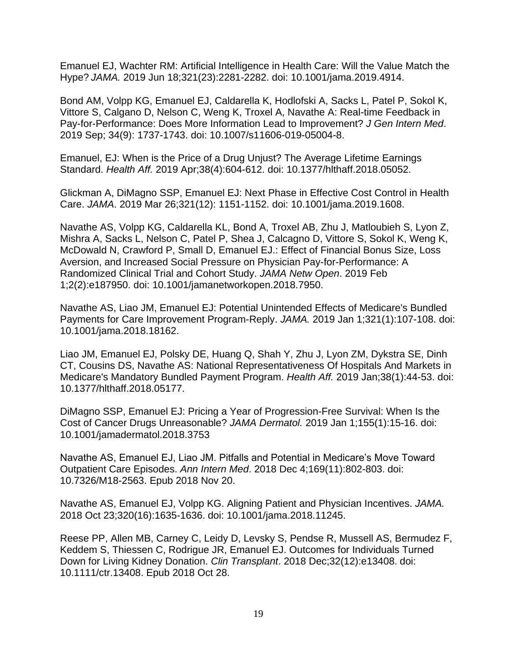Emanuel EJ, Wachter RM: Artificial Intelligence in Health Care: Will the Value Match the Hype? *JAMA.* 2019 Jun 18;321(23):2281-2282. doi: 10.1001/jama.2019.4914.

Bond AM, Volpp KG, Emanuel EJ, Caldarella K, Hodlofski A, Sacks L, Patel P, Sokol K, Vittore S, Calgano D, Nelson C, Weng K, Troxel A, Navathe A: Real-time Feedback in Pay-for-Performance: Does More Information Lead to Improvement? *J Gen Intern Med*. 2019 Sep; 34(9): 1737-1743. doi: 10.1007/s11606-019-05004-8.

Emanuel, EJ: When is the Price of a Drug Unjust? The Average Lifetime Earnings Standard. *Health Aff.* 2019 Apr;38(4):604-612. doi: 10.1377/hlthaff.2018.05052.

Glickman A, DiMagno SSP, Emanuel EJ: Next Phase in Effective Cost Control in Health Care. *JAMA*. 2019 Mar 26;321(12): 1151-1152. doi: 10.1001/jama.2019.1608.

Navathe AS, Volpp KG, Caldarella KL, Bond A, Troxel AB, Zhu J, Matloubieh S, Lyon Z, Mishra A, Sacks L, Nelson C, Patel P, Shea J, Calcagno D, Vittore S, Sokol K, Weng K, McDowald N, Crawford P, Small D, Emanuel EJ.: Effect of Financial Bonus Size, Loss Aversion, and Increased Social Pressure on Physician Pay-for-Performance: A Randomized Clinical Trial and Cohort Study. *JAMA Netw Open*. 2019 Feb 1;2(2):e187950. doi: 10.1001/jamanetworkopen.2018.7950.

Navathe AS, Liao JM, Emanuel EJ: Potential Unintended Effects of Medicare's Bundled Payments for Care Improvement Program-Reply. *JAMA.* 2019 Jan 1;321(1):107-108. doi: 10.1001/jama.2018.18162.

Liao JM, Emanuel EJ, Polsky DE, Huang Q, Shah Y, Zhu J, Lyon ZM, Dykstra SE, Dinh CT, Cousins DS, Navathe AS: National Representativeness Of Hospitals And Markets in Medicare's Mandatory Bundled Payment Program. *Health Aff.* 2019 Jan;38(1):44-53. doi: 10.1377/hlthaff.2018.05177.

DiMagno SSP, Emanuel EJ: Pricing a Year of Progression-Free Survival: When Is the Cost of Cancer Drugs Unreasonable? *JAMA Dermatol.* 2019 Jan 1;155(1):15-16. doi: 10.1001/jamadermatol.2018.3753

Navathe AS, Emanuel EJ, Liao JM. Pitfalls and Potential in Medicare's Move Toward Outpatient Care Episodes. *Ann Intern Med*. 2018 Dec 4;169(11):802-803. doi: 10.7326/M18-2563. Epub 2018 Nov 20.

Navathe AS, Emanuel EJ, Volpp KG. Aligning Patient and Physician Incentives. *JAMA.* 2018 Oct 23;320(16):1635-1636. doi: 10.1001/jama.2018.11245.

Reese PP, Allen MB, Carney C, Leidy D, Levsky S, Pendse R, Mussell AS, Bermudez F, Keddem S, Thiessen C, Rodrigue JR, Emanuel EJ. Outcomes for Individuals Turned Down for Living Kidney Donation. *Clin Transplant*. 2018 Dec;32(12):e13408. doi: 10.1111/ctr.13408. Epub 2018 Oct 28.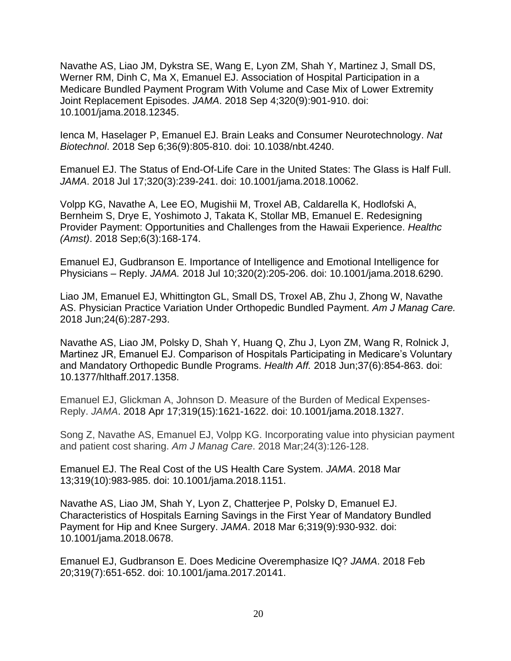Navathe AS, Liao JM, Dykstra SE, Wang E, Lyon ZM, Shah Y, Martinez J, Small DS, Werner RM, Dinh C, Ma X, Emanuel EJ. Association of Hospital Participation in a Medicare Bundled Payment Program With Volume and Case Mix of Lower Extremity Joint Replacement Episodes. *JAMA*. 2018 Sep 4;320(9):901-910. doi: 10.1001/jama.2018.12345.

Ienca M, Haselager P, Emanuel EJ. Brain Leaks and Consumer Neurotechnology. *Nat Biotechnol*. 2018 Sep 6;36(9):805-810. doi: 10.1038/nbt.4240.

Emanuel EJ. The Status of End-Of-Life Care in the United States: The Glass is Half Full. *JAMA*. 2018 Jul 17;320(3):239-241. doi: 10.1001/jama.2018.10062.

Volpp KG, Navathe A, Lee EO, Mugishii M, Troxel AB, Caldarella K, Hodlofski A, Bernheim S, Drye E, Yoshimoto J, Takata K, Stollar MB, Emanuel E. Redesigning Provider Payment: Opportunities and Challenges from the Hawaii Experience. *Healthc (Amst)*. 2018 Sep;6(3):168-174.

Emanuel EJ, Gudbranson E. Importance of Intelligence and Emotional Intelligence for Physicians – Reply. *JAMA.* 2018 Jul 10;320(2):205-206. doi: 10.1001/jama.2018.6290.

Liao JM, Emanuel EJ, Whittington GL, Small DS, Troxel AB, Zhu J, Zhong W, Navathe AS. Physician Practice Variation Under Orthopedic Bundled Payment. *Am J Manag Care.* 2018 Jun;24(6):287-293.

Navathe AS, Liao JM, Polsky D, Shah Y, Huang Q, Zhu J, Lyon ZM, Wang R, Rolnick J, Martinez JR, Emanuel EJ. Comparison of Hospitals Participating in Medicare's Voluntary and Mandatory Orthopedic Bundle Programs. *Health Aff.* 2018 Jun;37(6):854-863. doi: 10.1377/hlthaff.2017.1358.

Emanuel EJ, Glickman A, Johnson D. Measure of the Burden of Medical Expenses-Reply. *JAMA*. 2018 Apr 17;319(15):1621-1622. doi: 10.1001/jama.2018.1327.

Song Z, Navathe AS, Emanuel EJ, Volpp KG. Incorporating value into physician payment and patient cost sharing. *Am J Manag Care*. 2018 Mar;24(3):126-128.

Emanuel EJ. The Real Cost of the US Health Care System. *JAMA*. 2018 Mar 13;319(10):983-985. doi: 10.1001/jama.2018.1151.

Navathe AS, Liao JM, Shah Y, Lyon Z, Chatterjee P, Polsky D, Emanuel EJ. Characteristics of Hospitals Earning Savings in the First Year of Mandatory Bundled Payment for Hip and Knee Surgery. *JAMA*. 2018 Mar 6;319(9):930-932. doi: 10.1001/jama.2018.0678.

Emanuel EJ, Gudbranson E. Does Medicine Overemphasize IQ? *JAMA*. 2018 Feb 20;319(7):651-652. doi: 10.1001/jama.2017.20141.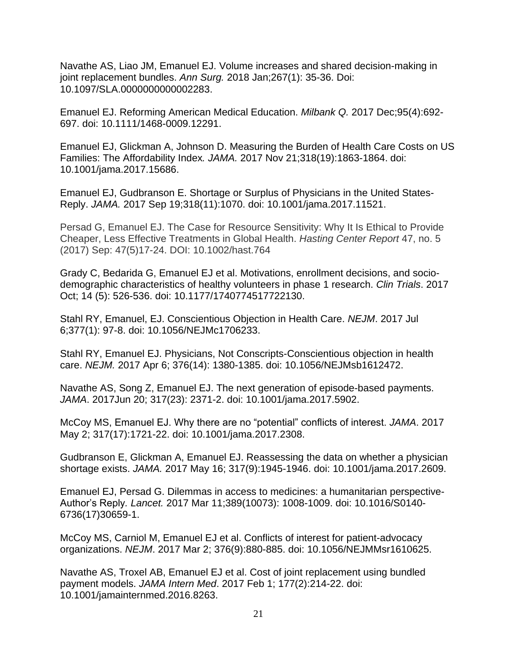Navathe AS, Liao JM, Emanuel EJ. Volume increases and shared decision-making in joint replacement bundles. *Ann Surg.* 2018 Jan;267(1): 35-36. Doi: 10.1097/SLA.0000000000002283.

Emanuel EJ. Reforming American Medical Education. *Milbank Q.* 2017 Dec;95(4):692- 697. doi: 10.1111/1468-0009.12291.

Emanuel EJ, Glickman A, Johnson D. Measuring the Burden of Health Care Costs on US Families: The Affordability Index*. JAMA.* 2017 Nov 21;318(19):1863-1864. doi: 10.1001/jama.2017.15686.

Emanuel EJ, Gudbranson E. Shortage or Surplus of Physicians in the United States-Reply. *JAMA.* 2017 Sep 19;318(11):1070. doi: 10.1001/jama.2017.11521.

Persad G, Emanuel EJ. The Case for Resource Sensitivity: Why It Is Ethical to Provide Cheaper, Less Effective Treatments in Global Health. *Hasting Center Report* 47, no. 5 (2017) Sep: 47(5)17-24. DOI: 10.1002/hast.764

Grady C, Bedarida G, Emanuel EJ et al. Motivations, enrollment decisions, and sociodemographic characteristics of healthy volunteers in phase 1 research. *Clin Trials*. 2017 Oct; 14 (5): 526-536. doi: 10.1177/1740774517722130.

Stahl RY, Emanuel, EJ. Conscientious Objection in Health Care. *NEJM*. 2017 Jul 6;377(1): 97-8. doi: 10.1056/NEJMc1706233.

Stahl RY, Emanuel EJ. Physicians, Not Conscripts-Conscientious objection in health care. *NEJM.* 2017 Apr 6; 376(14): 1380-1385. doi: 10.1056/NEJMsb1612472.

Navathe AS, Song Z, Emanuel EJ. The next generation of episode-based payments. *JAMA*. 2017Jun 20; 317(23): 2371-2. doi: 10.1001/jama.2017.5902.

McCoy MS, Emanuel EJ. Why there are no "potential" conflicts of interest. *JAMA*. 2017 May 2; 317(17):1721-22. doi: 10.1001/jama.2017.2308.

Gudbranson E, Glickman A, Emanuel EJ. Reassessing the data on whether a physician shortage exists. *JAMA.* 2017 May 16; 317(9):1945-1946. doi: 10.1001/jama.2017.2609.

Emanuel EJ, Persad G. Dilemmas in access to medicines: a humanitarian perspective-Author's Reply*. Lancet.* 2017 Mar 11;389(10073): 1008-1009. doi: 10.1016/S0140- 6736(17)30659-1.

McCoy MS, Carniol M, Emanuel EJ et al. Conflicts of interest for patient-advocacy organizations. *NEJM*. 2017 Mar 2; 376(9):880-885. doi: 10.1056/NEJMMsr1610625.

Navathe AS, Troxel AB, Emanuel EJ et al. Cost of joint replacement using bundled payment models. *JAMA Intern Med*. 2017 Feb 1; 177(2):214-22. doi: 10.1001/jamainternmed.2016.8263.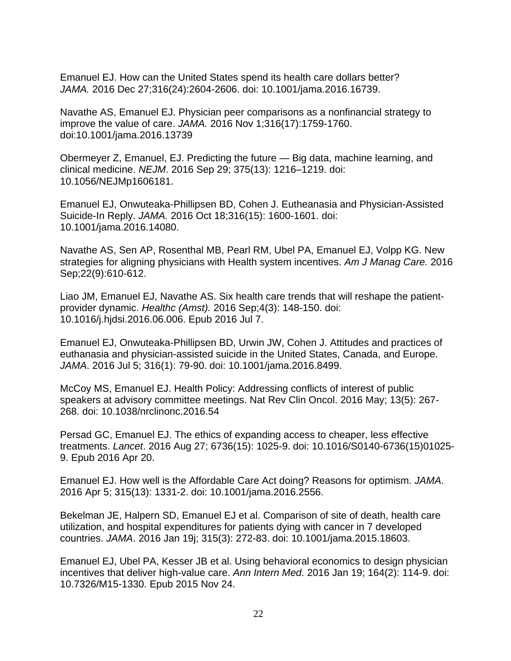Emanuel EJ. How can the United States spend its health care dollars better? *JAMA.* 2016 Dec 27;316(24):2604-2606. doi: 10.1001/jama.2016.16739.

Navathe AS, Emanuel EJ. Physician peer comparisons as a nonfinancial strategy to improve the value of care. *JAMA.* 2016 Nov 1;316(17):1759-1760. doi:10.1001/jama.2016.13739

Obermeyer Z, Emanuel, EJ. Predicting the future — Big data, machine learning, and clinical medicine. *NEJM*. 2016 Sep 29; 375(13): 1216–1219. doi: 10.1056/NEJMp1606181.

Emanuel EJ, Onwuteaka-Phillipsen BD, Cohen J. Eutheanasia and Physician-Assisted Suicide-In Reply. *JAMA.* 2016 Oct 18;316(15): 1600-1601. doi: 10.1001/jama.2016.14080.

Navathe AS, Sen AP, Rosenthal MB, Pearl RM, Ubel PA, Emanuel EJ, Volpp KG. New strategies for aligning physicians with Health system incentives. *Am J Manag Care.* 2016 Sep;22(9):610-612.

Liao JM, Emanuel EJ, Navathe AS. Six health care trends that will reshape the patientprovider dynamic. *Healthc (Amst).* 2016 Sep;4(3): 148-150. doi: 10.1016/j.hjdsi.2016.06.006. Epub 2016 Jul 7.

Emanuel EJ, Onwuteaka-Phillipsen BD, Urwin JW, Cohen J. Attitudes and practices of euthanasia and physician-assisted suicide in the United States, Canada, and Europe. *JAMA*. 2016 Jul 5; 316(1): 79-90. doi: 10.1001/jama.2016.8499.

McCoy MS, Emanuel EJ. Health Policy: Addressing conflicts of interest of public speakers at advisory committee meetings. Nat Rev Clin Oncol. 2016 May; 13(5): 267- 268. doi: 10.1038/nrclinonc.2016.54

Persad GC, Emanuel EJ. The ethics of expanding access to cheaper, less effective treatments. *Lancet*. 2016 Aug 27; 6736(15): 1025-9. doi: 10.1016/S0140-6736(15)01025- 9. Epub 2016 Apr 20.

Emanuel EJ. How well is the Affordable Care Act doing? Reasons for optimism. *JAMA*. 2016 Apr 5; 315(13): 1331-2. doi: 10.1001/jama.2016.2556.

Bekelman JE, Halpern SD, Emanuel EJ et al. Comparison of site of death, health care utilization, and hospital expenditures for patients dying with cancer in 7 developed countries. *JAMA*. 2016 Jan 19j; 315(3): 272-83. doi: 10.1001/jama.2015.18603.

Emanuel EJ, Ubel PA, Kesser JB et al. Using behavioral economics to design physician incentives that deliver high-value care. *Ann Intern Med*. 2016 Jan 19; 164(2): 114-9. doi: 10.7326/M15-1330. Epub 2015 Nov 24.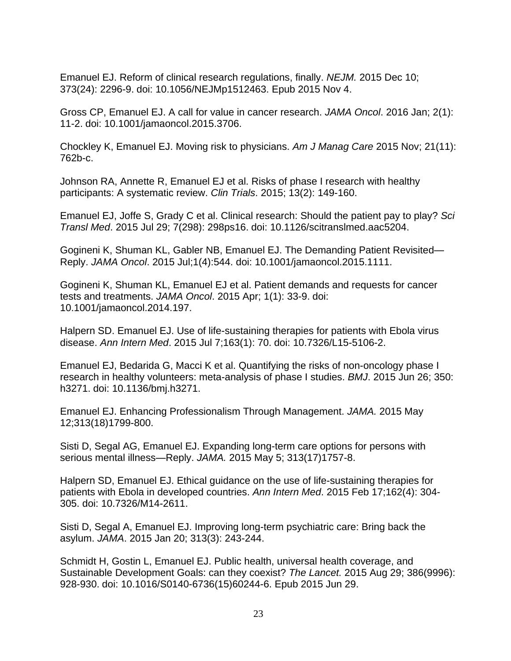Emanuel EJ. Reform of clinical research regulations, finally. *NEJM.* 2015 Dec 10; 373(24): 2296-9. doi: 10.1056/NEJMp1512463. Epub 2015 Nov 4.

Gross CP, Emanuel EJ. A call for value in cancer research. *JAMA Oncol*. 2016 Jan; 2(1): 11-2. doi: 10.1001/jamaoncol.2015.3706.

Chockley K, Emanuel EJ. Moving risk to physicians. *Am J Manag Care* 2015 Nov; 21(11): 762b-c.

Johnson RA, Annette R, Emanuel EJ et al. Risks of phase I research with healthy participants: A systematic review. *Clin Trials*. 2015; 13(2): 149-160.

Emanuel EJ, Joffe S, Grady C et al. Clinical research: Should the patient pay to play? *Sci Transl Med*. 2015 Jul 29; 7(298): 298ps16. doi: 10.1126/scitranslmed.aac5204.

Gogineni K, Shuman KL, Gabler NB, Emanuel EJ. The Demanding Patient Revisited— Reply. *JAMA Oncol*. 2015 Jul;1(4):544. doi: 10.1001/jamaoncol.2015.1111.

Gogineni K, Shuman KL, Emanuel EJ et al. Patient demands and requests for cancer tests and treatments. *JAMA Oncol*. 2015 Apr; 1(1): 33-9. doi: 10.1001/jamaoncol.2014.197.

Halpern SD. Emanuel EJ. Use of life-sustaining therapies for patients with Ebola virus disease. *Ann Intern Med*. 2015 Jul 7;163(1): 70. doi: 10.7326/L15-5106-2.

Emanuel EJ, Bedarida G, Macci K et al. Quantifying the risks of non-oncology phase I research in healthy volunteers: meta-analysis of phase I studies. *BMJ*. 2015 Jun 26; 350: h3271. doi: 10.1136/bmj.h3271.

Emanuel EJ. Enhancing Professionalism Through Management. *JAMA.* 2015 May 12;313(18)1799-800.

Sisti D, Segal AG, Emanuel EJ. Expanding long-term care options for persons with serious mental illness—Reply. *JAMA.* 2015 May 5; 313(17)1757-8.

Halpern SD, Emanuel EJ. Ethical guidance on the use of life-sustaining therapies for patients with Ebola in developed countries. *Ann Intern Med*. 2015 Feb 17;162(4): 304- 305. doi: 10.7326/M14-2611.

Sisti D, Segal A, Emanuel EJ. Improving long-term psychiatric care: Bring back the asylum. *JAMA*. 2015 Jan 20; 313(3): 243-244.

Schmidt H, Gostin L, Emanuel EJ. Public health, universal health coverage, and Sustainable Development Goals: can they coexist? *The Lancet.* 2015 Aug 29; 386(9996): 928-930. doi: 10.1016/S0140-6736(15)60244-6. Epub 2015 Jun 29.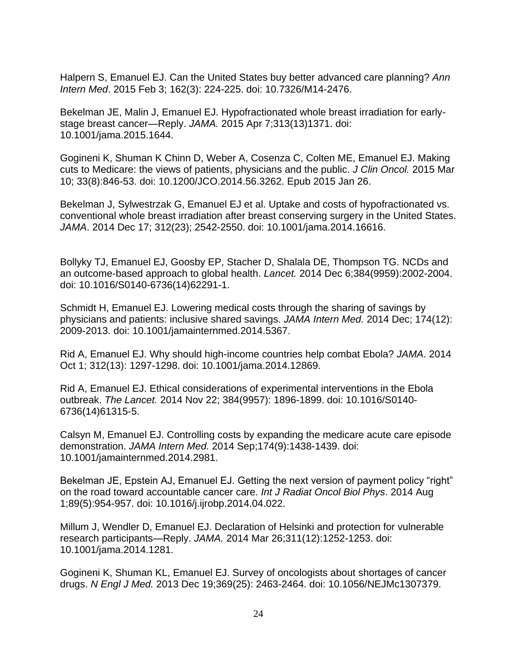Halpern S, Emanuel EJ. Can the United States buy better advanced care planning? *Ann Intern Med*. 2015 Feb 3; 162(3): 224-225. doi: 10.7326/M14-2476.

Bekelman JE, Malin J, Emanuel EJ. Hypofractionated whole breast irradiation for earlystage breast cancer—Reply. *JAMA.* 2015 Apr 7;313(13)1371. doi: 10.1001/jama.2015.1644.

Gogineni K, Shuman K Chinn D, Weber A, Cosenza C, Colten ME, Emanuel EJ. Making cuts to Medicare: the views of patients, physicians and the public. *J Clin Oncol.* 2015 Mar 10; 33(8):846-53. doi: 10.1200/JCO.2014.56.3262. Epub 2015 Jan 26.

Bekelman J, Sylwestrzak G, Emanuel EJ et al. Uptake and costs of hypofractionated vs. conventional whole breast irradiation after breast conserving surgery in the United States. *JAMA*. 2014 Dec 17; 312(23); 2542-2550. doi: 10.1001/jama.2014.16616.

Bollyky TJ, Emanuel EJ, Goosby EP, Stacher D, Shalala DE, Thompson TG. NCDs and an outcome-based approach to global health. *Lancet.* 2014 Dec 6;384(9959):2002-2004. doi: 10.1016/S0140-6736(14)62291-1.

Schmidt H, Emanuel EJ. Lowering medical costs through the sharing of savings by physicians and patients: inclusive shared savings. *JAMA Intern Med.* 2014 Dec; 174(12): 2009-2013. doi: 10.1001/jamainternmed.2014.5367.

Rid A, Emanuel EJ. Why should high-income countries help combat Ebola? *JAMA*. 2014 Oct 1; 312(13): 1297-1298. doi: 10.1001/jama.2014.12869.

Rid A, Emanuel EJ. Ethical considerations of experimental interventions in the Ebola outbreak. *The Lancet.* 2014 Nov 22; 384(9957): 1896-1899. doi: 10.1016/S0140- 6736(14)61315-5.

Calsyn M, Emanuel EJ. Controlling costs by expanding the medicare acute care episode demonstration. *JAMA Intern Med.* 2014 Sep;174(9):1438-1439. doi: 10.1001/jamainternmed.2014.2981.

Bekelman JE, Epstein AJ, Emanuel EJ. Getting the next version of payment policy "right" on the road toward accountable cancer care. *Int J Radiat Oncol Biol Phys*. 2014 Aug 1;89(5):954-957. doi: 10.1016/j.ijrobp.2014.04.022.

Millum J, Wendler D, Emanuel EJ. Declaration of Helsinki and protection for vulnerable research participants—Reply. *JAMA.* 2014 Mar 26;311(12):1252-1253. doi: 10.1001/jama.2014.1281.

Gogineni K, Shuman KL, Emanuel EJ. Survey of oncologists about shortages of cancer drugs. *N Engl J Med.* 2013 Dec 19;369(25): 2463-2464. doi: 10.1056/NEJMc1307379.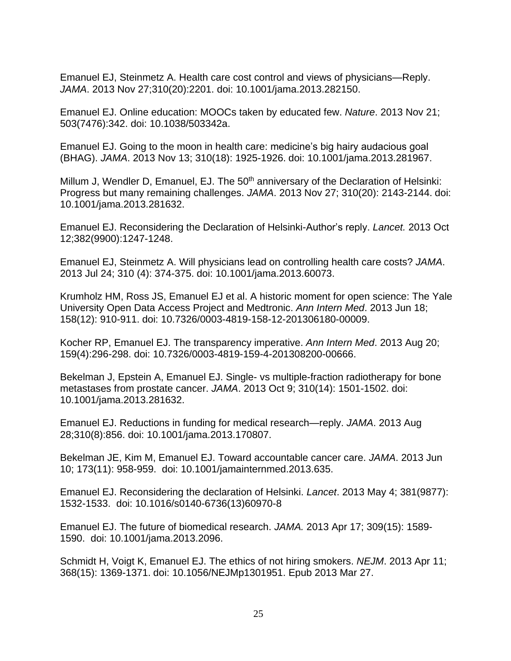Emanuel EJ, Steinmetz A. Health care cost control and views of physicians—Reply. *JAMA*. 2013 Nov 27;310(20):2201. doi: 10.1001/jama.2013.282150.

Emanuel EJ. Online education: MOOCs taken by educated few. *Nature*. 2013 Nov 21; 503(7476):342. doi: 10.1038/503342a.

Emanuel EJ. Going to the moon in health care: medicine's big hairy audacious goal (BHAG). *JAMA*. 2013 Nov 13; 310(18): 1925-1926. doi: 10.1001/jama.2013.281967.

Millum J, Wendler D, Emanuel, EJ. The 50<sup>th</sup> anniversary of the Declaration of Helsinki: Progress but many remaining challenges. *JAMA*. 2013 Nov 27; 310(20): 2143-2144. doi: 10.1001/jama.2013.281632.

Emanuel EJ. Reconsidering the Declaration of Helsinki-Author's reply. *Lancet.* 2013 Oct 12;382(9900):1247-1248.

Emanuel EJ, Steinmetz A. Will physicians lead on controlling health care costs? *JAMA*. 2013 Jul 24; 310 (4): 374-375. doi: 10.1001/jama.2013.60073.

Krumholz HM, Ross JS, Emanuel EJ et al. A historic moment for open science: The Yale University Open Data Access Project and Medtronic. *Ann Intern Med*. 2013 Jun 18; 158(12): 910-911. doi: 10.7326/0003-4819-158-12-201306180-00009.

Kocher RP, Emanuel EJ. The transparency imperative. *Ann Intern Med*. 2013 Aug 20; 159(4):296-298. doi: 10.7326/0003-4819-159-4-201308200-00666.

Bekelman J, Epstein A, Emanuel EJ. Single- vs multiple-fraction radiotherapy for bone metastases from prostate cancer. *JAMA*. 2013 Oct 9; 310(14): 1501-1502. doi: 10.1001/jama.2013.281632.

Emanuel EJ. Reductions in funding for medical research—reply. *JAMA*. 2013 Aug 28;310(8):856. doi: 10.1001/jama.2013.170807.

Bekelman JE, Kim M, Emanuel EJ. Toward accountable cancer care. *JAMA*. 2013 Jun 10; 173(11): 958-959. doi: 10.1001/jamainternmed.2013.635.

Emanuel EJ. Reconsidering the declaration of Helsinki. *Lancet*. 2013 May 4; 381(9877): 1532-1533. doi: 10.1016/s0140-6736(13)60970-8

Emanuel EJ. The future of biomedical research. *JAMA.* 2013 Apr 17; 309(15): 1589- 1590. doi: 10.1001/jama.2013.2096.

Schmidt H, Voigt K, Emanuel EJ. The ethics of not hiring smokers. *NEJM*. 2013 Apr 11; 368(15): 1369-1371. doi: 10.1056/NEJMp1301951. Epub 2013 Mar 27.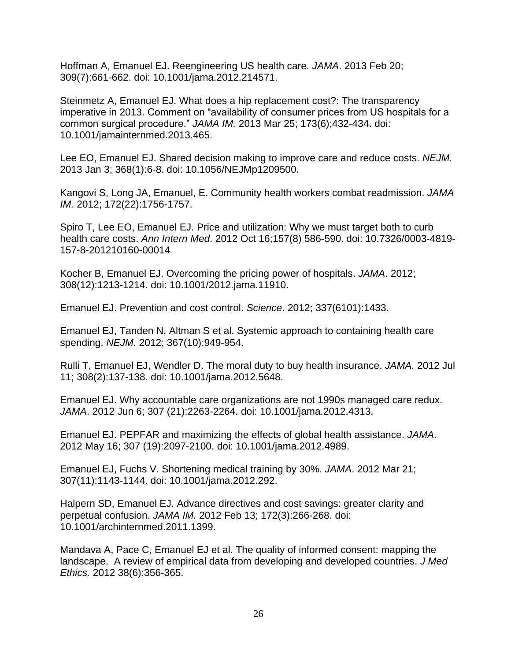Hoffman A, Emanuel EJ. Reengineering US health care. *JAMA*. 2013 Feb 20; 309(7):661-662. doi: 10.1001/jama.2012.214571.

Steinmetz A, Emanuel EJ. What does a hip replacement cost?: The transparency imperative in 2013. Comment on "availability of consumer prices from US hospitals for a common surgical procedure." *JAMA IM.* 2013 Mar 25; 173(6);432-434. doi: 10.1001/jamainternmed.2013.465.

Lee EO, Emanuel EJ. Shared decision making to improve care and reduce costs. *NEJM.*  2013 Jan 3; 368(1):6-8. doi: 10.1056/NEJMp1209500.

Kangovi S, Long JA, Emanuel, E. Community health workers combat readmission. *JAMA IM.* 2012; 172(22):1756-1757.

Spiro T, Lee EO, Emanuel EJ. Price and utilization: Why we must target both to curb health care costs. *Ann Intern Med*. 2012 Oct 16;157(8) 586-590. doi: 10.7326/0003-4819- 157-8-201210160-00014

Kocher B, Emanuel EJ. Overcoming the pricing power of hospitals. *JAMA*. 2012; 308(12):1213-1214. doi: 10.1001/2012.jama.11910.

Emanuel EJ. Prevention and cost control. *Science*. 2012; 337(6101):1433.

Emanuel EJ, Tanden N, Altman S et al. Systemic approach to containing health care spending. *NEJM.* 2012; 367(10):949-954.

Rulli T, Emanuel EJ, Wendler D. The moral duty to buy health insurance. *JAMA.* 2012 Jul 11; 308(2):137-138. doi: 10.1001/jama.2012.5648.

Emanuel EJ. Why accountable care organizations are not 1990s managed care redux. *JAMA*. 2012 Jun 6; 307 (21):2263-2264. doi: 10.1001/jama.2012.4313.

Emanuel EJ. PEPFAR and maximizing the effects of global health assistance. *JAMA*. 2012 May 16; 307 (19):2097-2100. doi: 10.1001/jama.2012.4989.

Emanuel EJ, Fuchs V. Shortening medical training by 30%. *JAMA*. 2012 Mar 21; 307(11):1143-1144. doi: 10.1001/jama.2012.292.

Halpern SD, Emanuel EJ. Advance directives and cost savings: greater clarity and perpetual confusion. *JAMA IM.* 2012 Feb 13; 172(3):266-268. doi: 10.1001/archinternmed.2011.1399.

Mandava A, Pace C, Emanuel EJ et al. The quality of informed consent: mapping the landscape. A review of empirical data from developing and developed countries. *J Med Ethics.* 2012 38(6):356-365.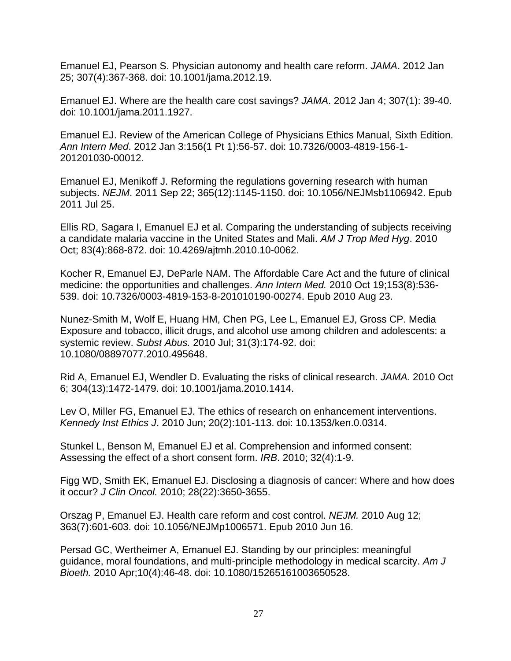Emanuel EJ, Pearson S. Physician autonomy and health care reform. *JAMA*. 2012 Jan 25; 307(4):367-368. doi: 10.1001/jama.2012.19.

Emanuel EJ. Where are the health care cost savings? *JAMA*. 2012 Jan 4; 307(1): 39-40. doi: 10.1001/jama.2011.1927.

Emanuel EJ. Review of the American College of Physicians Ethics Manual, Sixth Edition. *Ann Intern Med*. 2012 Jan 3:156(1 Pt 1):56-57. doi: 10.7326/0003-4819-156-1- 201201030-00012.

Emanuel EJ, Menikoff J. Reforming the regulations governing research with human subjects. *NEJM*. 2011 Sep 22; 365(12):1145-1150. doi: 10.1056/NEJMsb1106942. Epub 2011 Jul 25.

Ellis RD, Sagara I, Emanuel EJ et al. Comparing the understanding of subjects receiving a candidate malaria vaccine in the United States and Mali. *AM J Trop Med Hyg*. 2010 Oct; 83(4):868-872. doi: 10.4269/ajtmh.2010.10-0062.

Kocher R, Emanuel EJ, DeParle NAM. The Affordable Care Act and the future of clinical medicine: the opportunities and challenges. *Ann Intern Med.* 2010 Oct 19;153(8):536- 539. doi: 10.7326/0003-4819-153-8-201010190-00274. Epub 2010 Aug 23.

Nunez-Smith M, Wolf E, Huang HM, Chen PG, Lee L, Emanuel EJ, Gross CP. Media Exposure and tobacco, illicit drugs, and alcohol use among children and adolescents: a systemic review. *Subst Abus.* 2010 Jul; 31(3):174-92. doi: 10.1080/08897077.2010.495648.

Rid A, Emanuel EJ, Wendler D. Evaluating the risks of clinical research. *JAMA.* 2010 Oct 6; 304(13):1472-1479. doi: 10.1001/jama.2010.1414.

Lev O, Miller FG, Emanuel EJ. The ethics of research on enhancement interventions. *Kennedy Inst Ethics J*. 2010 Jun; 20(2):101-113. doi: 10.1353/ken.0.0314.

Stunkel L, Benson M, Emanuel EJ et al. Comprehension and informed consent: Assessing the effect of a short consent form. *IRB*. 2010; 32(4):1-9.

Figg WD, Smith EK, Emanuel EJ. Disclosing a diagnosis of cancer: Where and how does it occur? *J Clin Oncol.* 2010; 28(22):3650-3655.

Orszag P, Emanuel EJ. Health care reform and cost control. *NEJM.* 2010 Aug 12; 363(7):601-603. doi: 10.1056/NEJMp1006571. Epub 2010 Jun 16.

Persad GC, Wertheimer A, Emanuel EJ. Standing by our principles: meaningful guidance, moral foundations, and multi-principle methodology in medical scarcity. *Am J Bioeth.* 2010 Apr;10(4):46-48. doi: 10.1080/15265161003650528.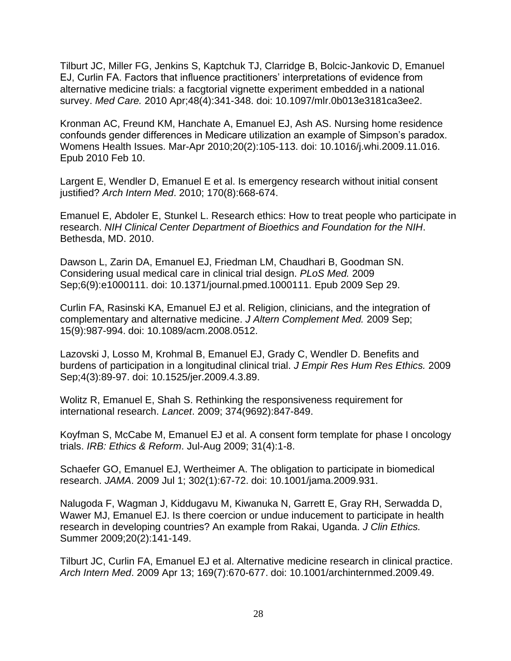Tilburt JC, Miller FG, Jenkins S, Kaptchuk TJ, Clarridge B, Bolcic-Jankovic D, Emanuel EJ, Curlin FA. Factors that influence practitioners' interpretations of evidence from alternative medicine trials: a facgtorial vignette experiment embedded in a national survey. *Med Care.* 2010 Apr;48(4):341-348. doi: 10.1097/mlr.0b013e3181ca3ee2.

Kronman AC, Freund KM, Hanchate A, Emanuel EJ, Ash AS. Nursing home residence confounds gender differences in Medicare utilization an example of Simpson's paradox. Womens Health Issues. Mar-Apr 2010;20(2):105-113. doi: 10.1016/j.whi.2009.11.016. Epub 2010 Feb 10.

Largent E, Wendler D, Emanuel E et al. Is emergency research without initial consent justified? *Arch Intern Med*. 2010; 170(8):668-674.

Emanuel E, Abdoler E, Stunkel L. Research ethics: How to treat people who participate in research. *NIH Clinical Center Department of Bioethics and Foundation for the NIH*. Bethesda, MD. 2010.

Dawson L, Zarin DA, Emanuel EJ, Friedman LM, Chaudhari B, Goodman SN. Considering usual medical care in clinical trial design. *PLoS Med.* 2009 Sep;6(9):e1000111. doi: 10.1371/journal.pmed.1000111. Epub 2009 Sep 29.

Curlin FA, Rasinski KA, Emanuel EJ et al. Religion, clinicians, and the integration of complementary and alternative medicine. *J Altern Complement Med.* 2009 Sep; 15(9):987-994. doi: 10.1089/acm.2008.0512.

Lazovski J, Losso M, Krohmal B, Emanuel EJ, Grady C, Wendler D. Benefits and burdens of participation in a longitudinal clinical trial. *J Empir Res Hum Res Ethics.* 2009 Sep;4(3):89-97. doi: 10.1525/jer.2009.4.3.89.

Wolitz R, Emanuel E, Shah S. Rethinking the responsiveness requirement for international research. *Lancet*. 2009; 374(9692):847-849.

Koyfman S, McCabe M, Emanuel EJ et al. A consent form template for phase I oncology trials. *IRB: Ethics & Reform*. Jul-Aug 2009; 31(4):1-8.

Schaefer GO, Emanuel EJ, Wertheimer A. The obligation to participate in biomedical research. *JAMA*. 2009 Jul 1; 302(1):67-72. doi: 10.1001/jama.2009.931.

Nalugoda F, Wagman J, Kiddugavu M, Kiwanuka N, Garrett E, Gray RH, Serwadda D, Wawer MJ, Emanuel EJ. Is there coercion or undue inducement to participate in health research in developing countries? An example from Rakai, Uganda. *J Clin Ethics.* Summer 2009;20(2):141-149.

Tilburt JC, Curlin FA, Emanuel EJ et al. Alternative medicine research in clinical practice. *Arch Intern Med*. 2009 Apr 13; 169(7):670-677. doi: 10.1001/archinternmed.2009.49.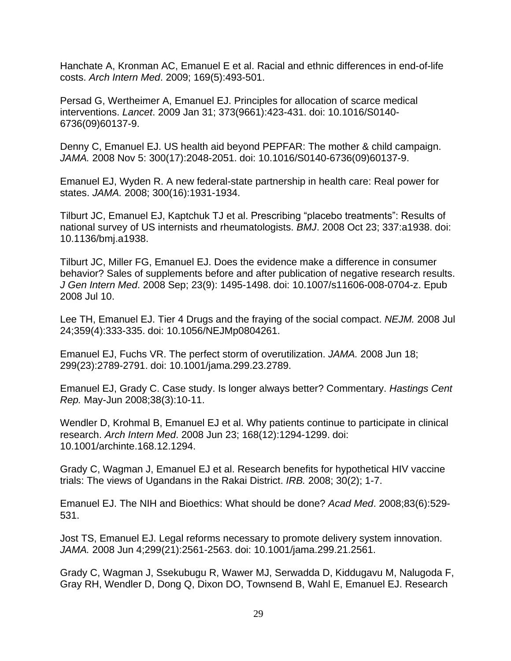Hanchate A, Kronman AC, Emanuel E et al. Racial and ethnic differences in end-of-life costs. *Arch Intern Med*. 2009; 169(5):493-501.

Persad G, Wertheimer A, Emanuel EJ. Principles for allocation of scarce medical interventions. *Lancet*. 2009 Jan 31; 373(9661):423-431. doi: 10.1016/S0140- 6736(09)60137-9.

Denny C, Emanuel EJ. US health aid beyond PEPFAR: The mother & child campaign. *JAMA.* 2008 Nov 5: 300(17):2048-2051. doi: 10.1016/S0140-6736(09)60137-9.

Emanuel EJ, Wyden R. A new federal-state partnership in health care: Real power for states. *JAMA.* 2008; 300(16):1931-1934.

Tilburt JC, Emanuel EJ, Kaptchuk TJ et al. Prescribing "placebo treatments": Results of national survey of US internists and rheumatologists. *BMJ*. 2008 Oct 23; 337:a1938. doi: 10.1136/bmj.a1938.

Tilburt JC, Miller FG, Emanuel EJ. Does the evidence make a difference in consumer behavior? Sales of supplements before and after publication of negative research results. *J Gen Intern Med*. 2008 Sep; 23(9): 1495-1498. doi: 10.1007/s11606-008-0704-z. Epub 2008 Jul 10.

Lee TH, Emanuel EJ. Tier 4 Drugs and the fraying of the social compact. *NEJM.* 2008 Jul 24;359(4):333-335. doi: 10.1056/NEJMp0804261.

Emanuel EJ, Fuchs VR. The perfect storm of overutilization. *JAMA.* 2008 Jun 18; 299(23):2789-2791. doi: 10.1001/jama.299.23.2789.

Emanuel EJ, Grady C. Case study. Is longer always better? Commentary. *Hastings Cent Rep.* May-Jun 2008;38(3):10-11.

Wendler D, Krohmal B, Emanuel EJ et al. Why patients continue to participate in clinical research. *Arch Intern Med*. 2008 Jun 23; 168(12):1294-1299. doi: 10.1001/archinte.168.12.1294.

Grady C, Wagman J, Emanuel EJ et al. Research benefits for hypothetical HIV vaccine trials: The views of Ugandans in the Rakai District. *IRB.* 2008; 30(2); 1-7.

Emanuel EJ. The NIH and Bioethics: What should be done? *Acad Med*. 2008;83(6):529- 531.

Jost TS, Emanuel EJ. Legal reforms necessary to promote delivery system innovation. *JAMA.* 2008 Jun 4;299(21):2561-2563. doi: 10.1001/jama.299.21.2561.

Grady C, Wagman J, Ssekubugu R, Wawer MJ, Serwadda D, Kiddugavu M, Nalugoda F, Gray RH, Wendler D, Dong Q, Dixon DO, Townsend B, Wahl E, Emanuel EJ. Research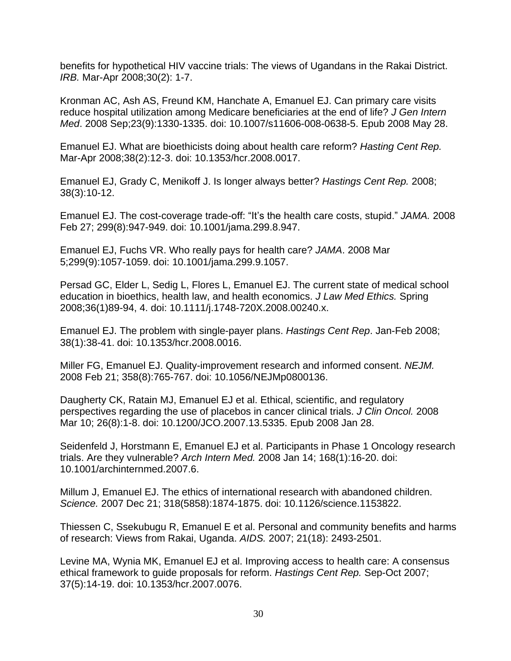benefits for hypothetical HIV vaccine trials: The views of Ugandans in the Rakai District. *IRB.* Mar-Apr 2008;30(2): 1-7.

Kronman AC, Ash AS, Freund KM, Hanchate A, Emanuel EJ. Can primary care visits reduce hospital utilization among Medicare beneficiaries at the end of life? *J Gen Intern Med*. 2008 Sep;23(9):1330-1335. doi: 10.1007/s11606-008-0638-5. Epub 2008 May 28.

Emanuel EJ. What are bioethicists doing about health care reform? *Hasting Cent Rep.* Mar-Apr 2008;38(2):12-3. doi: 10.1353/hcr.2008.0017.

Emanuel EJ, Grady C, Menikoff J. Is longer always better? *Hastings Cent Rep.* 2008; 38(3):10-12.

Emanuel EJ. The cost-coverage trade-off: "It's the health care costs, stupid." *JAMA.* 2008 Feb 27; 299(8):947-949. doi: 10.1001/jama.299.8.947.

Emanuel EJ, Fuchs VR. Who really pays for health care? *JAMA*. 2008 Mar 5;299(9):1057-1059. doi: 10.1001/jama.299.9.1057.

Persad GC, Elder L, Sedig L, Flores L, Emanuel EJ. The current state of medical school education in bioethics, health law, and health economics. *J Law Med Ethics.* Spring 2008;36(1)89-94, 4. doi: 10.1111/j.1748-720X.2008.00240.x.

Emanuel EJ. The problem with single-payer plans. *Hastings Cent Rep*. Jan-Feb 2008; 38(1):38-41. doi: 10.1353/hcr.2008.0016.

Miller FG, Emanuel EJ. Quality-improvement research and informed consent. *NEJM.*  2008 Feb 21; 358(8):765-767. doi: 10.1056/NEJMp0800136.

Daugherty CK, Ratain MJ, Emanuel EJ et al. Ethical, scientific, and regulatory perspectives regarding the use of placebos in cancer clinical trials. *J Clin Oncol.* 2008 Mar 10; 26(8):1-8. doi: 10.1200/JCO.2007.13.5335. Epub 2008 Jan 28.

Seidenfeld J, Horstmann E, Emanuel EJ et al. Participants in Phase 1 Oncology research trials. Are they vulnerable? *Arch Intern Med.* 2008 Jan 14; 168(1):16-20. doi: 10.1001/archinternmed.2007.6.

Millum J, Emanuel EJ. The ethics of international research with abandoned children. *Science.* 2007 Dec 21; 318(5858):1874-1875. doi: 10.1126/science.1153822.

Thiessen C, Ssekubugu R, Emanuel E et al. Personal and community benefits and harms of research: Views from Rakai, Uganda. *AIDS.* 2007; 21(18): 2493-2501.

Levine MA, Wynia MK, Emanuel EJ et al. Improving access to health care: A consensus ethical framework to guide proposals for reform. *Hastings Cent Rep.* Sep-Oct 2007; 37(5):14-19. doi: 10.1353/hcr.2007.0076.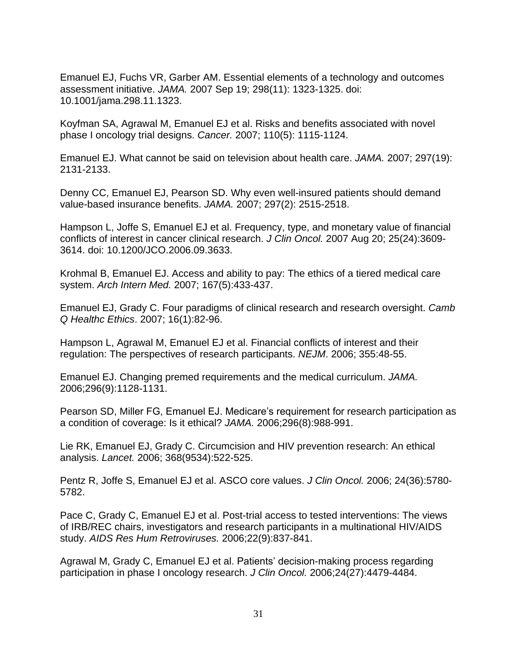Emanuel EJ, Fuchs VR, Garber AM. Essential elements of a technology and outcomes assessment initiative. *JAMA.* 2007 Sep 19; 298(11): 1323-1325. doi: 10.1001/jama.298.11.1323.

Koyfman SA, Agrawal M, Emanuel EJ et al. Risks and benefits associated with novel phase I oncology trial designs. *Cancer.* 2007; 110(5): 1115-1124.

Emanuel EJ. What cannot be said on television about health care. *JAMA.* 2007; 297(19): 2131-2133.

Denny CC, Emanuel EJ, Pearson SD. Why even well-insured patients should demand value-based insurance benefits. *JAMA.* 2007; 297(2): 2515-2518.

Hampson L, Joffe S, Emanuel EJ et al. Frequency, type, and monetary value of financial conflicts of interest in cancer clinical research. *J Clin Oncol.* 2007 Aug 20; 25(24):3609- 3614. doi: 10.1200/JCO.2006.09.3633.

Krohmal B, Emanuel EJ. Access and ability to pay: The ethics of a tiered medical care system. *Arch Intern Med.* 2007; 167(5):433-437.

Emanuel EJ, Grady C. Four paradigms of clinical research and research oversight. *Camb Q Healthc Ethics*. 2007; 16(1):82-96.

Hampson L, Agrawal M, Emanuel EJ et al. Financial conflicts of interest and their regulation: The perspectives of research participants. *NEJM*. 2006; 355:48-55.

Emanuel EJ. Changing premed requirements and the medical curriculum. *JAMA.* 2006;296(9):1128-1131.

Pearson SD, Miller FG, Emanuel EJ. Medicare's requirement for research participation as a condition of coverage: Is it ethical? *JAMA.* 2006;296(8):988-991.

Lie RK, Emanuel EJ, Grady C. Circumcision and HIV prevention research: An ethical analysis. *Lancet.* 2006; 368(9534):522-525.

Pentz R, Joffe S, Emanuel EJ et al. ASCO core values. *J Clin Oncol.* 2006; 24(36):5780- 5782.

Pace C, Grady C, Emanuel EJ et al. Post-trial access to tested interventions: The views of IRB/REC chairs, investigators and research participants in a multinational HIV/AIDS study. *AIDS Res Hum Retroviruses.* 2006;22(9):837-841.

Agrawal M, Grady C, Emanuel EJ et al. Patients' decision-making process regarding participation in phase I oncology research. *J Clin Oncol.* 2006;24(27):4479-4484.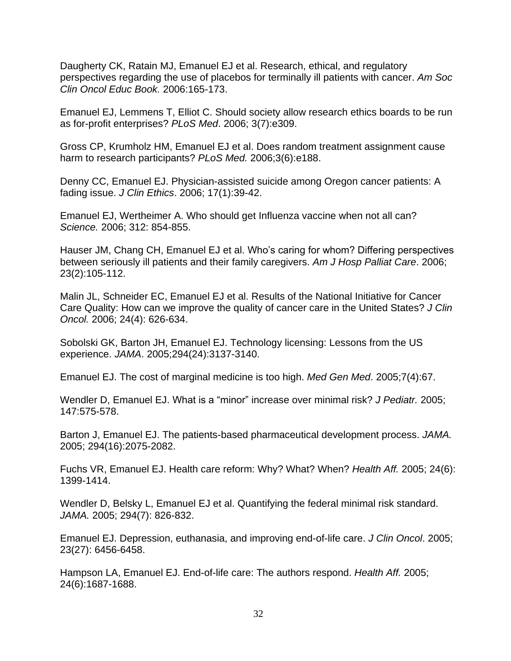Daugherty CK, Ratain MJ, Emanuel EJ et al. Research, ethical, and regulatory perspectives regarding the use of placebos for terminally ill patients with cancer. *Am Soc Clin Oncol Educ Book.* 2006:165-173.

Emanuel EJ, Lemmens T, Elliot C. Should society allow research ethics boards to be run as for-profit enterprises? *PLoS Med*. 2006; 3(7):e309.

Gross CP, Krumholz HM, Emanuel EJ et al. Does random treatment assignment cause harm to research participants? *PLoS Med.* 2006;3(6):e188.

Denny CC, Emanuel EJ. Physician-assisted suicide among Oregon cancer patients: A fading issue. *J Clin Ethics*. 2006; 17(1):39-42.

Emanuel EJ, Wertheimer A. Who should get Influenza vaccine when not all can? *Science.* 2006; 312: 854-855.

Hauser JM, Chang CH, Emanuel EJ et al. Who's caring for whom? Differing perspectives between seriously ill patients and their family caregivers. *Am J Hosp Palliat Care*. 2006; 23(2):105-112.

Malin JL, Schneider EC, Emanuel EJ et al. Results of the National Initiative for Cancer Care Quality: How can we improve the quality of cancer care in the United States? *J Clin Oncol.* 2006; 24(4): 626-634.

Sobolski GK, Barton JH, Emanuel EJ. Technology licensing: Lessons from the US experience. *JAMA*. 2005;294(24):3137-3140.

Emanuel EJ. The cost of marginal medicine is too high. *Med Gen Med*. 2005;7(4):67.

Wendler D, Emanuel EJ. What is a "minor" increase over minimal risk? *J Pediatr.* 2005; 147:575-578.

Barton J, Emanuel EJ. The patients-based pharmaceutical development process. *JAMA.* 2005; 294(16):2075-2082.

Fuchs VR, Emanuel EJ. Health care reform: Why? What? When? *Health Aff.* 2005; 24(6): 1399-1414.

Wendler D, Belsky L, Emanuel EJ et al. Quantifying the federal minimal risk standard. *JAMA.* 2005; 294(7): 826-832.

Emanuel EJ. Depression, euthanasia, and improving end-of-life care. *J Clin Oncol*. 2005; 23(27): 6456-6458.

Hampson LA, Emanuel EJ. End-of-life care: The authors respond. *Health Aff.* 2005; 24(6):1687-1688.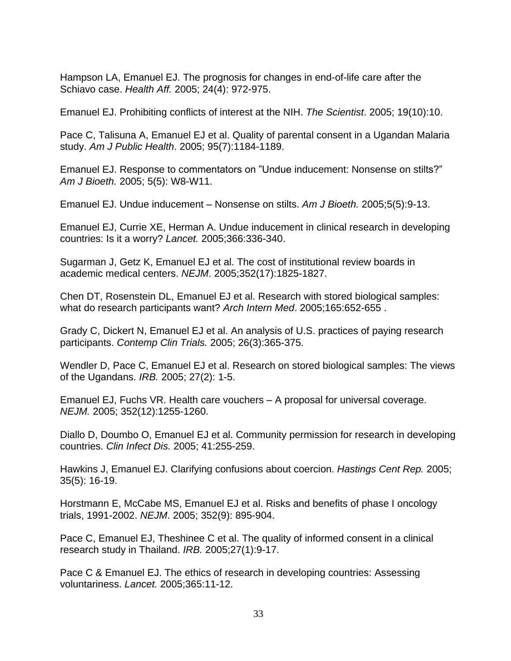Hampson LA, Emanuel EJ. The prognosis for changes in end-of-life care after the Schiavo case. *Health Aff.* 2005; 24(4): 972-975.

Emanuel EJ. Prohibiting conflicts of interest at the NIH. *The Scientist*. 2005; 19(10):10.

Pace C, Talisuna A, Emanuel EJ et al. Quality of parental consent in a Ugandan Malaria study. *Am J Public Health*. 2005; 95(7):1184-1189.

Emanuel EJ. Response to commentators on "Undue inducement: Nonsense on stilts?" *Am J Bioeth.* 2005; 5(5): W8-W11.

Emanuel EJ. Undue inducement – Nonsense on stilts. *Am J Bioeth.* 2005;5(5):9-13.

Emanuel EJ, Currie XE, Herman A. Undue inducement in clinical research in developing countries: Is it a worry? *Lancet.* 2005;366:336-340.

Sugarman J, Getz K, Emanuel EJ et al. The cost of institutional review boards in academic medical centers. *NEJM*. 2005;352(17):1825-1827.

Chen DT, Rosenstein DL, Emanuel EJ et al. Research with stored biological samples: what do research participants want? *Arch Intern Med*. 2005;165:652-655 .

Grady C, Dickert N, Emanuel EJ et al. An analysis of U.S. practices of paying research participants. *Contemp Clin Trials.* 2005; 26(3):365-375.

Wendler D, Pace C, Emanuel EJ et al. Research on stored biological samples: The views of the Ugandans. *IRB.* 2005; 27(2): 1-5.

Emanuel EJ, Fuchs VR. Health care vouchers – A proposal for universal coverage. *NEJM.* 2005; 352(12):1255-1260.

Diallo D, Doumbo O, Emanuel EJ et al. Community permission for research in developing countries. *Clin Infect Dis.* 2005; 41:255-259.

Hawkins J, Emanuel EJ. Clarifying confusions about coercion. *Hastings Cent Rep.* 2005; 35(5): 16-19.

Horstmann E, McCabe MS, Emanuel EJ et al. Risks and benefits of phase I oncology trials, 1991-2002. *NEJM*. 2005; 352(9): 895-904.

Pace C, Emanuel EJ, Theshinee C et al. The quality of informed consent in a clinical research study in Thailand. *IRB.* 2005;27(1):9-17.

Pace C & Emanuel EJ. The ethics of research in developing countries: Assessing voluntariness. *Lancet.* 2005;365:11-12.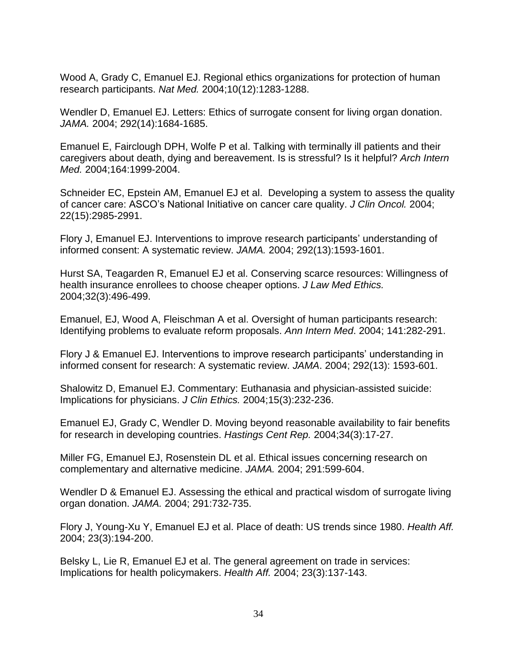Wood A, Grady C, Emanuel EJ. Regional ethics organizations for protection of human research participants. *Nat Med.* 2004;10(12):1283-1288.

Wendler D, Emanuel EJ. Letters: Ethics of surrogate consent for living organ donation. *JAMA.* 2004; 292(14):1684-1685.

Emanuel E, Fairclough DPH, Wolfe P et al. Talking with terminally ill patients and their caregivers about death, dying and bereavement. Is is stressful? Is it helpful? *Arch Intern Med.* 2004;164:1999-2004.

Schneider EC, Epstein AM, Emanuel EJ et al. Developing a system to assess the quality of cancer care: ASCO's National Initiative on cancer care quality. *J Clin Oncol.* 2004; 22(15):2985-2991.

Flory J, Emanuel EJ. Interventions to improve research participants' understanding of informed consent: A systematic review. *JAMA.* 2004; 292(13):1593-1601.

Hurst SA, Teagarden R, Emanuel EJ et al. Conserving scarce resources: Willingness of health insurance enrollees to choose cheaper options. *J Law Med Ethics.* 2004;32(3):496-499.

Emanuel, EJ, Wood A, Fleischman A et al. Oversight of human participants research: Identifying problems to evaluate reform proposals. *Ann Intern Med*. 2004; 141:282-291.

Flory J & Emanuel EJ. Interventions to improve research participants' understanding in informed consent for research: A systematic review. *JAMA*. 2004; 292(13): 1593-601.

Shalowitz D, Emanuel EJ. Commentary: Euthanasia and physician-assisted suicide: Implications for physicians. *J Clin Ethics.* 2004;15(3):232-236.

Emanuel EJ, Grady C, Wendler D. Moving beyond reasonable availability to fair benefits for research in developing countries. *Hastings Cent Rep.* 2004;34(3):17-27.

Miller FG, Emanuel EJ, Rosenstein DL et al. Ethical issues concerning research on complementary and alternative medicine. *JAMA.* 2004; 291:599-604.

Wendler D & Emanuel EJ. Assessing the ethical and practical wisdom of surrogate living organ donation. *JAMA.* 2004; 291:732-735.

Flory J, Young-Xu Y, Emanuel EJ et al. Place of death: US trends since 1980. *Health Aff.*  2004; 23(3):194-200.

Belsky L, Lie R, Emanuel EJ et al. The general agreement on trade in services: Implications for health policymakers. *Health Aff.* 2004; 23(3):137-143.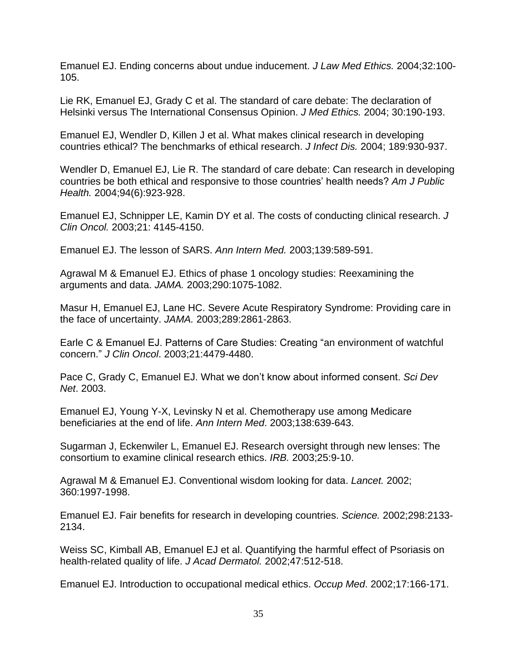Emanuel EJ. Ending concerns about undue inducement. *J Law Med Ethics.* 2004;32:100- 105.

Lie RK, Emanuel EJ, Grady C et al. The standard of care debate: The declaration of Helsinki versus The International Consensus Opinion. *J Med Ethics.* 2004; 30:190-193.

Emanuel EJ, Wendler D, Killen J et al. What makes clinical research in developing countries ethical? The benchmarks of ethical research. *J Infect Dis.* 2004; 189:930-937.

Wendler D, Emanuel EJ, Lie R. The standard of care debate: Can research in developing countries be both ethical and responsive to those countries' health needs? *Am J Public Health.* 2004;94(6):923-928.

Emanuel EJ, Schnipper LE, Kamin DY et al. The costs of conducting clinical research. *J Clin Oncol.* 2003;21: 4145-4150.

Emanuel EJ. The lesson of SARS. *Ann Intern Med.* 2003;139:589-591.

Agrawal M & Emanuel EJ. Ethics of phase 1 oncology studies: Reexamining the arguments and data. *JAMA.* 2003;290:1075-1082.

Masur H, Emanuel EJ, Lane HC. Severe Acute Respiratory Syndrome: Providing care in the face of uncertainty. *JAMA.* 2003;289:2861-2863.

Earle C & Emanuel EJ. Patterns of Care Studies: Creating "an environment of watchful concern." *J Clin Oncol*. 2003;21:4479-4480.

Pace C, Grady C, Emanuel EJ. What we don't know about informed consent. *Sci Dev Net*. 2003.

Emanuel EJ, Young Y-X, Levinsky N et al. Chemotherapy use among Medicare beneficiaries at the end of life. *Ann Intern Med*. 2003;138:639-643.

Sugarman J, Eckenwiler L, Emanuel EJ. Research oversight through new lenses: The consortium to examine clinical research ethics. *IRB.* 2003;25:9-10.

Agrawal M & Emanuel EJ. Conventional wisdom looking for data. *Lancet.* 2002; 360:1997-1998.

Emanuel EJ. Fair benefits for research in developing countries. *Science.* 2002;298:2133- 2134.

Weiss SC, Kimball AB, Emanuel EJ et al. Quantifying the harmful effect of Psoriasis on health-related quality of life. *J Acad Dermatol.* 2002;47:512-518.

Emanuel EJ. Introduction to occupational medical ethics. *Occup Med*. 2002;17:166-171.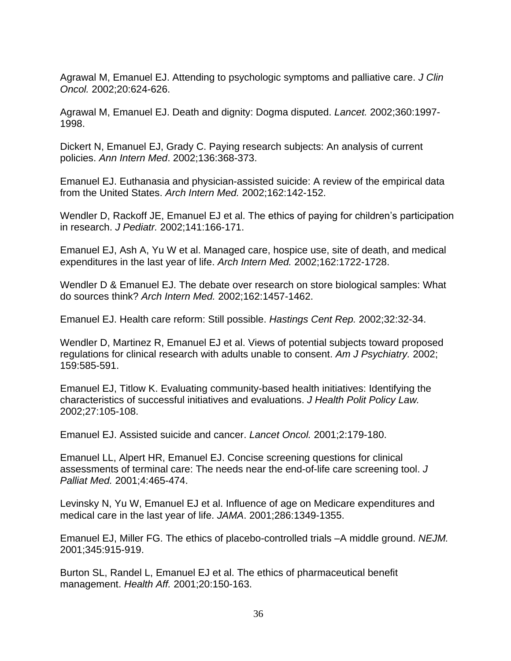Agrawal M, Emanuel EJ. Attending to psychologic symptoms and palliative care. *J Clin Oncol.* 2002;20:624-626.

Agrawal M, Emanuel EJ. Death and dignity: Dogma disputed. *Lancet.* 2002;360:1997- 1998.

Dickert N, Emanuel EJ, Grady C. Paying research subjects: An analysis of current policies. *Ann Intern Med*. 2002;136:368-373.

Emanuel EJ. Euthanasia and physician-assisted suicide: A review of the empirical data from the United States. *Arch Intern Med.* 2002;162:142-152.

Wendler D, Rackoff JE, Emanuel EJ et al. The ethics of paying for children's participation in research. *J Pediatr.* 2002;141:166-171.

Emanuel EJ, Ash A, Yu W et al. Managed care, hospice use, site of death, and medical expenditures in the last year of life. *Arch Intern Med.* 2002;162:1722-1728.

Wendler D & Emanuel EJ. The debate over research on store biological samples: What do sources think? *Arch Intern Med.* 2002;162:1457-1462.

Emanuel EJ. Health care reform: Still possible. *Hastings Cent Rep.* 2002;32:32-34.

Wendler D, Martinez R, Emanuel EJ et al. Views of potential subjects toward proposed regulations for clinical research with adults unable to consent. *Am J Psychiatry.* 2002; 159:585-591.

Emanuel EJ, Titlow K. Evaluating community-based health initiatives: Identifying the characteristics of successful initiatives and evaluations. *J Health Polit Policy Law.*  2002;27:105-108.

Emanuel EJ. Assisted suicide and cancer. *Lancet Oncol.* 2001;2:179-180.

Emanuel LL, Alpert HR, Emanuel EJ. Concise screening questions for clinical assessments of terminal care: The needs near the end-of-life care screening tool. *J Palliat Med.* 2001;4:465-474.

Levinsky N, Yu W, Emanuel EJ et al. Influence of age on Medicare expenditures and medical care in the last year of life. *JAMA*. 2001;286:1349-1355.

Emanuel EJ, Miller FG. The ethics of placebo-controlled trials –A middle ground. *NEJM.*  2001;345:915-919.

Burton SL, Randel L, Emanuel EJ et al. The ethics of pharmaceutical benefit management. *Health Aff.* 2001;20:150-163.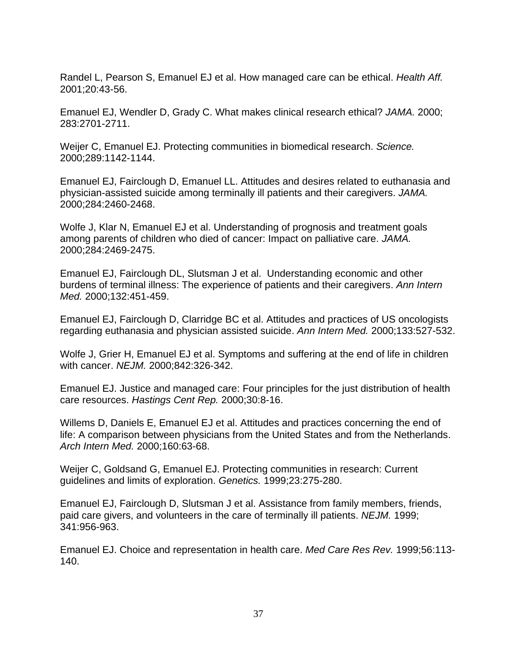Randel L, Pearson S, Emanuel EJ et al. How managed care can be ethical. *Health Aff.* 2001;20:43-56.

Emanuel EJ, Wendler D, Grady C. What makes clinical research ethical? *JAMA.* 2000; 283:2701-2711.

Weijer C, Emanuel EJ. Protecting communities in biomedical research. *Science.* 2000;289:1142-1144.

Emanuel EJ, Fairclough D, Emanuel LL. Attitudes and desires related to euthanasia and physician-assisted suicide among terminally ill patients and their caregivers. *JAMA.* 2000;284:2460-2468.

Wolfe J, Klar N, Emanuel EJ et al. Understanding of prognosis and treatment goals among parents of children who died of cancer: Impact on palliative care. *JAMA.* 2000;284:2469-2475.

Emanuel EJ, Fairclough DL, Slutsman J et al. Understanding economic and other burdens of terminal illness: The experience of patients and their caregivers. *Ann Intern Med.* 2000;132:451-459.

Emanuel EJ, Fairclough D, Clarridge BC et al. Attitudes and practices of US oncologists regarding euthanasia and physician assisted suicide. *Ann Intern Med.* 2000;133:527-532.

Wolfe J, Grier H, Emanuel EJ et al. Symptoms and suffering at the end of life in children with cancer. *NEJM.* 2000;842:326-342.

Emanuel EJ. Justice and managed care: Four principles for the just distribution of health care resources. *Hastings Cent Rep.* 2000;30:8-16.

Willems D, Daniels E, Emanuel EJ et al. Attitudes and practices concerning the end of life: A comparison between physicians from the United States and from the Netherlands. *Arch Intern Med.* 2000;160:63-68.

Weijer C, Goldsand G, Emanuel EJ. Protecting communities in research: Current guidelines and limits of exploration. *Genetics.* 1999;23:275-280.

Emanuel EJ, Fairclough D, Slutsman J et al. Assistance from family members, friends, paid care givers, and volunteers in the care of terminally ill patients. *NEJM.* 1999; 341:956-963.

Emanuel EJ. Choice and representation in health care. *Med Care Res Rev.* 1999;56:113- 140.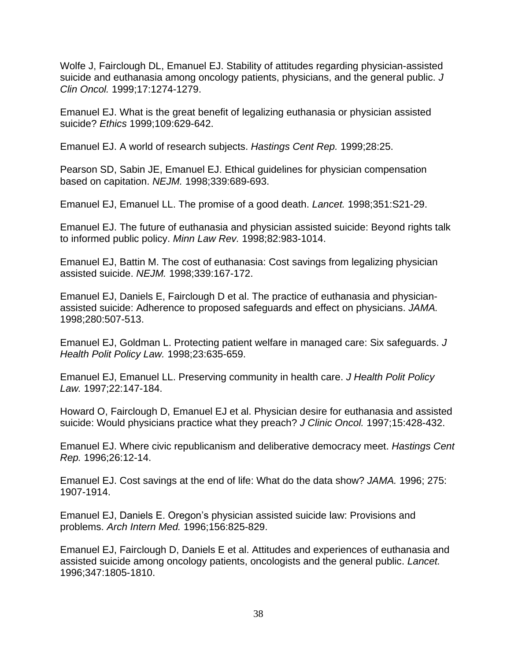Wolfe J, Fairclough DL, Emanuel EJ. Stability of attitudes regarding physician-assisted suicide and euthanasia among oncology patients, physicians, and the general public. *J Clin Oncol.* 1999;17:1274-1279.

Emanuel EJ. What is the great benefit of legalizing euthanasia or physician assisted suicide? *Ethics* 1999;109:629-642.

Emanuel EJ. A world of research subjects. *Hastings Cent Rep.* 1999;28:25.

Pearson SD, Sabin JE, Emanuel EJ. Ethical guidelines for physician compensation based on capitation. *NEJM.* 1998;339:689-693.

Emanuel EJ, Emanuel LL. The promise of a good death. *Lancet.* 1998;351:S21-29.

Emanuel EJ. The future of euthanasia and physician assisted suicide: Beyond rights talk to informed public policy. *Minn Law Rev.* 1998;82:983-1014.

Emanuel EJ, Battin M. The cost of euthanasia: Cost savings from legalizing physician assisted suicide. *NEJM.* 1998;339:167-172.

Emanuel EJ, Daniels E, Fairclough D et al. The practice of euthanasia and physicianassisted suicide: Adherence to proposed safeguards and effect on physicians. *JAMA.* 1998;280:507-513.

Emanuel EJ, Goldman L. Protecting patient welfare in managed care: Six safeguards. *J Health Polit Policy Law.* 1998;23:635-659.

Emanuel EJ, Emanuel LL. Preserving community in health care. *J Health Polit Policy Law.* 1997;22:147-184.

Howard O, Fairclough D, Emanuel EJ et al. Physician desire for euthanasia and assisted suicide: Would physicians practice what they preach? *J Clinic Oncol.* 1997;15:428-432.

Emanuel EJ. Where civic republicanism and deliberative democracy meet. *Hastings Cent Rep.* 1996;26:12-14.

Emanuel EJ. Cost savings at the end of life: What do the data show? *JAMA.* 1996; 275: 1907-1914.

Emanuel EJ, Daniels E. Oregon's physician assisted suicide law: Provisions and problems. *Arch Intern Med.* 1996;156:825-829.

Emanuel EJ, Fairclough D, Daniels E et al. Attitudes and experiences of euthanasia and assisted suicide among oncology patients, oncologists and the general public. *Lancet.* 1996;347:1805-1810.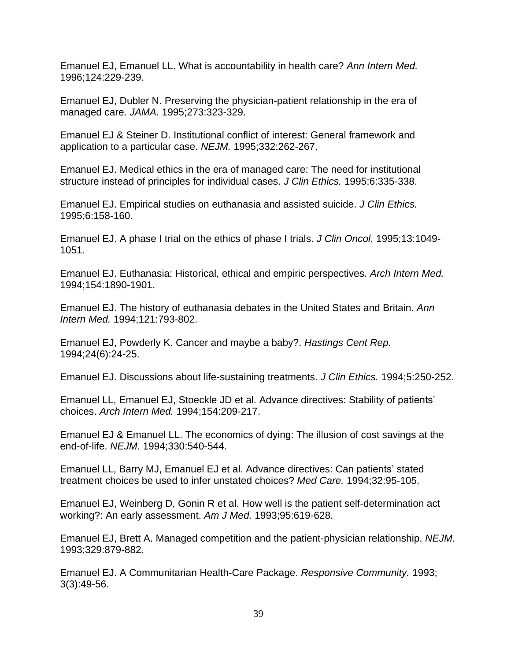Emanuel EJ, Emanuel LL. What is accountability in health care? *Ann Intern Med.* 1996;124:229-239.

Emanuel EJ, Dubler N. Preserving the physician-patient relationship in the era of managed care. *JAMA.* 1995;273:323-329.

Emanuel EJ & Steiner D. Institutional conflict of interest: General framework and application to a particular case. *NEJM.* 1995;332:262-267.

Emanuel EJ. Medical ethics in the era of managed care: The need for institutional structure instead of principles for individual cases. *J Clin Ethics.* 1995;6:335-338.

Emanuel EJ. Empirical studies on euthanasia and assisted suicide. *J Clin Ethics.* 1995;6:158-160.

Emanuel EJ. A phase I trial on the ethics of phase I trials. *J Clin Oncol.* 1995;13:1049- 1051.

Emanuel EJ. Euthanasia: Historical, ethical and empiric perspectives. *Arch Intern Med.*  1994;154:1890-1901.

Emanuel EJ. The history of euthanasia debates in the United States and Britain. *Ann Intern Med.* 1994;121:793-802.

Emanuel EJ, Powderly K. Cancer and maybe a baby?. *Hastings Cent Rep.* 1994;24(6):24-25.

Emanuel EJ. Discussions about life-sustaining treatments. *J Clin Ethics.* 1994;5:250-252.

Emanuel LL, Emanuel EJ, Stoeckle JD et al. Advance directives: Stability of patients' choices. *Arch Intern Med.* 1994;154:209-217.

Emanuel EJ & Emanuel LL. The economics of dying: The illusion of cost savings at the end-of-life. *NEJM.* 1994;330:540-544.

Emanuel LL, Barry MJ, Emanuel EJ et al. Advance directives: Can patients' stated treatment choices be used to infer unstated choices? *Med Care.* 1994;32:95-105.

Emanuel EJ, Weinberg D, Gonin R et al. How well is the patient self-determination act working?: An early assessment. *Am J Med.* 1993;95:619-628.

Emanuel EJ, Brett A. Managed competition and the patient-physician relationship. *NEJM.* 1993;329:879-882.

Emanuel EJ. A Communitarian Health-Care Package. *Responsive Community.* 1993; 3(3):49-56.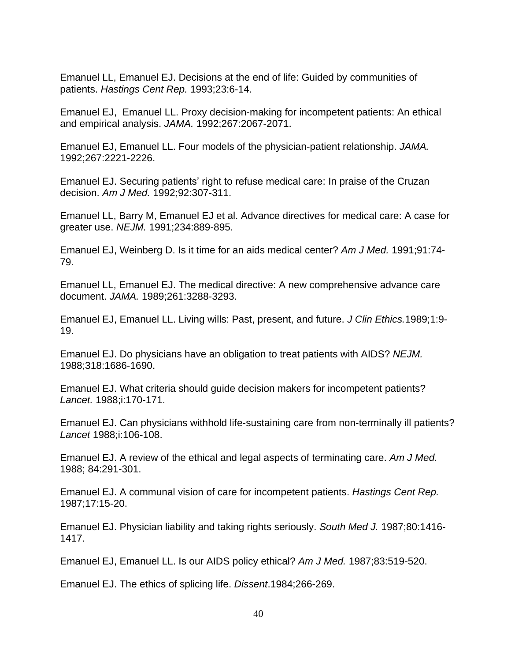Emanuel LL, Emanuel EJ. Decisions at the end of life: Guided by communities of patients. *Hastings Cent Rep.* 1993;23:6-14.

Emanuel EJ, Emanuel LL. Proxy decision-making for incompetent patients: An ethical and empirical analysis. *JAMA.* 1992;267:2067-2071.

Emanuel EJ, Emanuel LL. Four models of the physician-patient relationship. *JAMA.* 1992;267:2221-2226.

Emanuel EJ. Securing patients' right to refuse medical care: In praise of the Cruzan decision. *Am J Med.* 1992;92:307-311.

Emanuel LL, Barry M, Emanuel EJ et al. Advance directives for medical care: A case for greater use. *NEJM.* 1991;234:889-895.

Emanuel EJ, Weinberg D. Is it time for an aids medical center? *Am J Med.* 1991;91:74- 79.

Emanuel LL, Emanuel EJ. The medical directive: A new comprehensive advance care document. *JAMA.* 1989;261:3288-3293.

Emanuel EJ, Emanuel LL. Living wills: Past, present, and future. *J Clin Ethics.*1989;1:9- 19.

Emanuel EJ. Do physicians have an obligation to treat patients with AIDS? *NEJM.*  1988;318:1686-1690.

Emanuel EJ. What criteria should guide decision makers for incompetent patients? *Lancet.* 1988;i:170-171.

Emanuel EJ. Can physicians withhold life-sustaining care from non-terminally ill patients? *Lancet* 1988;i:106-108.

Emanuel EJ. A review of the ethical and legal aspects of terminating care. *Am J Med.*  1988; 84:291-301.

Emanuel EJ. A communal vision of care for incompetent patients. *Hastings Cent Rep.* 1987;17:15-20.

Emanuel EJ. Physician liability and taking rights seriously. *South Med J.* 1987;80:1416- 1417.

Emanuel EJ, Emanuel LL. Is our AIDS policy ethical? *Am J Med.* 1987;83:519-520.

Emanuel EJ. The ethics of splicing life. *Dissent*.1984;266-269.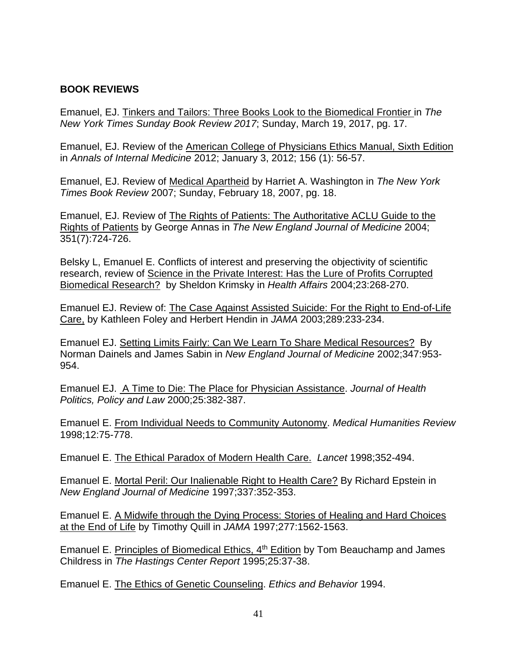## **BOOK REVIEWS**

Emanuel, EJ. Tinkers and Tailors: Three Books Look to the Biomedical Frontier in *The New York Times Sunday Book Review 2017*; Sunday, March 19, 2017, pg. 17.

Emanuel, EJ. Review of the American College of Physicians Ethics Manual, Sixth Edition in *Annals of Internal Medicine* 2012; January 3, 2012; 156 (1): 56-57.

Emanuel, EJ. Review of Medical Apartheid by Harriet A. Washington in *The New York Times Book Review* 2007; Sunday, February 18, 2007, pg. 18.

Emanuel, EJ. Review of The Rights of Patients: The Authoritative ACLU Guide to the Rights of Patients by George Annas in *The New England Journal of Medicine* 2004; 351(7):724-726.

Belsky L, Emanuel E. Conflicts of interest and preserving the objectivity of scientific research, review of Science in the Private Interest: Has the Lure of Profits Corrupted Biomedical Research? by Sheldon Krimsky in *Health Affairs* 2004;23:268-270.

Emanuel EJ. Review of: The Case Against Assisted Suicide: For the Right to End-of-Life Care, by Kathleen Foley and Herbert Hendin in *JAMA* 2003;289:233-234.

Emanuel EJ. Setting Limits Fairly: Can We Learn To Share Medical Resources? By Norman Dainels and James Sabin in *New England Journal of Medicine* 2002;347:953- 954.

Emanuel EJ. A Time to Die: The Place for Physician Assistance. *Journal of Health Politics, Policy and Law* 2000;25:382-387.

Emanuel E. From Individual Needs to Community Autonomy. *Medical Humanities Review* 1998;12:75-778.

Emanuel E. The Ethical Paradox of Modern Health Care. *Lancet* 1998;352-494.

Emanuel E. Mortal Peril: Our Inalienable Right to Health Care? By Richard Epstein in *New England Journal of Medicine* 1997;337:352-353.

Emanuel E. A Midwife through the Dying Process: Stories of Healing and Hard Choices at the End of Life by Timothy Quill in *JAMA* 1997;277:1562-1563.

Emanuel E. Principles of Biomedical Ethics, 4<sup>th</sup> Edition by Tom Beauchamp and James Childress in *The Hastings Center Report* 1995;25:37-38.

Emanuel E. The Ethics of Genetic Counseling. *Ethics and Behavior* 1994.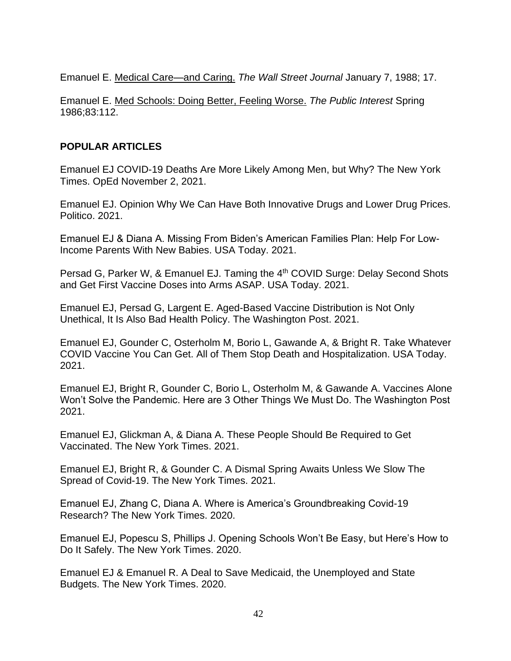Emanuel E. Medical Care—and Caring. *The Wall Street Journal* January 7, 1988; 17.

Emanuel E. Med Schools: Doing Better, Feeling Worse. *The Public Interest* Spring 1986;83:112.

# **POPULAR ARTICLES**

Emanuel EJ COVID-19 Deaths Are More Likely Among Men, but Why? The New York Times. OpEd November 2, 2021.

Emanuel EJ. Opinion Why We Can Have Both Innovative Drugs and Lower Drug Prices. Politico. 2021.

Emanuel EJ & Diana A. Missing From Biden's American Families Plan: Help For Low-Income Parents With New Babies. USA Today. 2021.

Persad G, Parker W, & Emanuel EJ. Taming the 4<sup>th</sup> COVID Surge: Delay Second Shots and Get First Vaccine Doses into Arms ASAP. USA Today. 2021.

Emanuel EJ, Persad G, Largent E. Aged-Based Vaccine Distribution is Not Only Unethical, It Is Also Bad Health Policy. The Washington Post. 2021.

Emanuel EJ, Gounder C, Osterholm M, Borio L, Gawande A, & Bright R. Take Whatever COVID Vaccine You Can Get. All of Them Stop Death and Hospitalization. USA Today. 2021.

Emanuel EJ, Bright R, Gounder C, Borio L, Osterholm M, & Gawande A. Vaccines Alone Won't Solve the Pandemic. Here are 3 Other Things We Must Do. The Washington Post 2021.

Emanuel EJ, Glickman A, & Diana A. These People Should Be Required to Get Vaccinated. The New York Times. 2021.

Emanuel EJ, Bright R, & Gounder C. A Dismal Spring Awaits Unless We Slow The Spread of Covid-19. The New York Times. 2021.

Emanuel EJ, Zhang C, Diana A. Where is America's Groundbreaking Covid-19 Research? The New York Times. 2020.

Emanuel EJ, Popescu S, Phillips J. Opening Schools Won't Be Easy, but Here's How to Do It Safely. The New York Times. 2020.

Emanuel EJ & Emanuel R. A Deal to Save Medicaid, the Unemployed and State Budgets. The New York Times. 2020.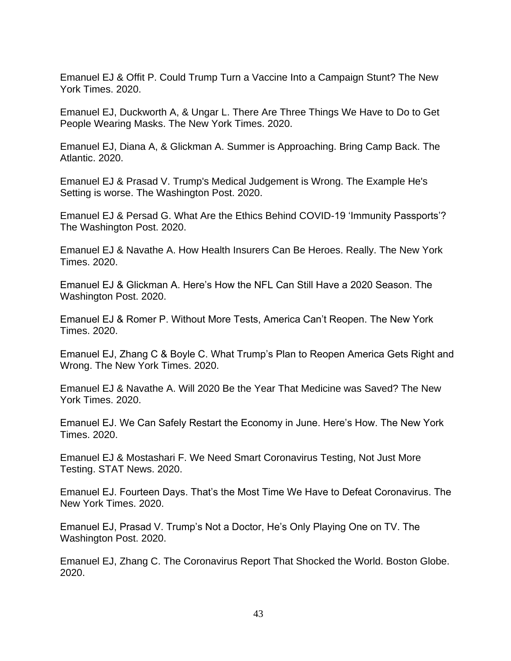Emanuel EJ & Offit P. Could Trump Turn a Vaccine Into a Campaign Stunt? The New York Times. 2020.

Emanuel EJ, Duckworth A, & Ungar L. There Are Three Things We Have to Do to Get People Wearing Masks. The New York Times. 2020.

Emanuel EJ, Diana A, & Glickman A. Summer is Approaching. Bring Camp Back. The Atlantic. 2020.

Emanuel EJ & Prasad V. Trump's Medical Judgement is Wrong. The Example He's Setting is worse. The Washington Post. 2020.

Emanuel EJ & Persad G. What Are the Ethics Behind COVID-19 'Immunity Passports'? The Washington Post. 2020.

Emanuel EJ & Navathe A. How Health Insurers Can Be Heroes. Really. The New York Times. 2020.

Emanuel EJ & Glickman A. Here's How the NFL Can Still Have a 2020 Season. The Washington Post. 2020.

Emanuel EJ & Romer P. Without More Tests, America Can't Reopen. The New York Times. 2020.

Emanuel EJ, Zhang C & Boyle C. What Trump's Plan to Reopen America Gets Right and Wrong. The New York Times. 2020.

Emanuel EJ & Navathe A. Will 2020 Be the Year That Medicine was Saved? The New York Times. 2020.

Emanuel EJ. We Can Safely Restart the Economy in June. Here's How. The New York Times. 2020.

Emanuel EJ & Mostashari F. We Need Smart Coronavirus Testing, Not Just More Testing. STAT News. 2020.

Emanuel EJ. Fourteen Days. That's the Most Time We Have to Defeat Coronavirus. The New York Times. 2020.

Emanuel EJ, Prasad V. Trump's Not a Doctor, He's Only Playing One on TV. The Washington Post. 2020.

Emanuel EJ, Zhang C. The Coronavirus Report That Shocked the World. Boston Globe. 2020.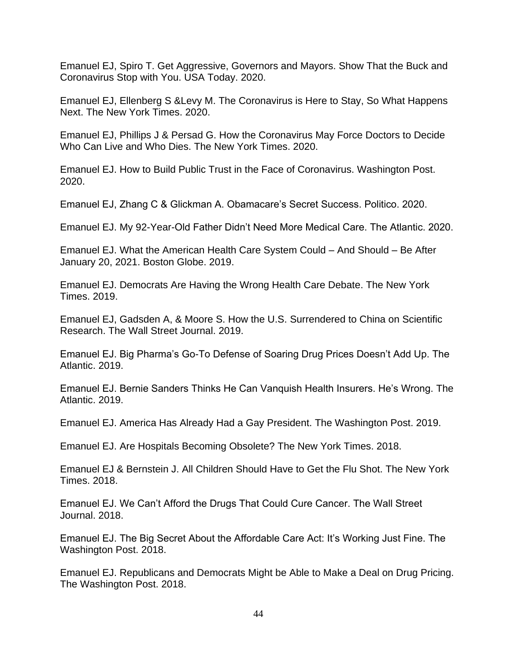Emanuel EJ, Spiro T. Get Aggressive, Governors and Mayors. Show That the Buck and Coronavirus Stop with You. USA Today. 2020.

Emanuel EJ, Ellenberg S &Levy M. The Coronavirus is Here to Stay, So What Happens Next. The New York Times. 2020.

Emanuel EJ, Phillips J & Persad G. How the Coronavirus May Force Doctors to Decide Who Can Live and Who Dies. The New York Times. 2020.

Emanuel EJ. How to Build Public Trust in the Face of Coronavirus. Washington Post. 2020.

Emanuel EJ, Zhang C & Glickman A. Obamacare's Secret Success. Politico. 2020.

Emanuel EJ. My 92-Year-Old Father Didn't Need More Medical Care. The Atlantic. 2020.

Emanuel EJ. What the American Health Care System Could – And Should – Be After January 20, 2021. Boston Globe. 2019.

Emanuel EJ. Democrats Are Having the Wrong Health Care Debate. The New York Times. 2019.

Emanuel EJ, Gadsden A, & Moore S. How the U.S. Surrendered to China on Scientific Research. The Wall Street Journal. 2019.

Emanuel EJ. Big Pharma's Go-To Defense of Soaring Drug Prices Doesn't Add Up. The Atlantic. 2019.

Emanuel EJ. Bernie Sanders Thinks He Can Vanquish Health Insurers. He's Wrong. The Atlantic. 2019.

Emanuel EJ. America Has Already Had a Gay President. The Washington Post. 2019.

Emanuel EJ. Are Hospitals Becoming Obsolete? The New York Times. 2018.

Emanuel EJ & Bernstein J. All Children Should Have to Get the Flu Shot. The New York Times. 2018.

Emanuel EJ. We Can't Afford the Drugs That Could Cure Cancer. The Wall Street Journal. 2018.

Emanuel EJ. The Big Secret About the Affordable Care Act: It's Working Just Fine. The Washington Post. 2018.

Emanuel EJ. Republicans and Democrats Might be Able to Make a Deal on Drug Pricing. The Washington Post. 2018.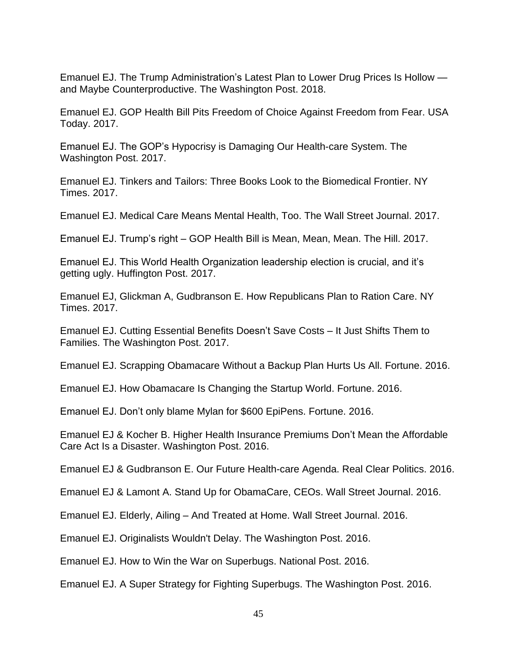Emanuel EJ. The Trump Administration's Latest Plan to Lower Drug Prices Is Hollow and Maybe Counterproductive. The Washington Post. 2018.

Emanuel EJ. GOP Health Bill Pits Freedom of Choice Against Freedom from Fear. USA Today. 2017.

Emanuel EJ. The GOP's Hypocrisy is Damaging Our Health-care System. The Washington Post. 2017.

Emanuel EJ. Tinkers and Tailors: Three Books Look to the Biomedical Frontier. NY Times. 2017.

Emanuel EJ. Medical Care Means Mental Health, Too. The Wall Street Journal. 2017.

Emanuel EJ. Trump's right – GOP Health Bill is Mean, Mean, Mean. The Hill. 2017.

Emanuel EJ. This World Health Organization leadership election is crucial, and it's getting ugly. Huffington Post. 2017.

Emanuel EJ, Glickman A, Gudbranson E. How Republicans Plan to Ration Care. NY Times. 2017.

Emanuel EJ. Cutting Essential Benefits Doesn't Save Costs – It Just Shifts Them to Families. The Washington Post. 2017.

Emanuel EJ. Scrapping Obamacare Without a Backup Plan Hurts Us All. Fortune. 2016.

Emanuel EJ. How Obamacare Is Changing the Startup World. Fortune. 2016.

Emanuel EJ. Don't only blame Mylan for \$600 EpiPens. Fortune. 2016.

Emanuel EJ & Kocher B. Higher Health Insurance Premiums Don't Mean the Affordable Care Act Is a Disaster. Washington Post. 2016.

Emanuel EJ & Gudbranson E. Our Future Health-care Agenda. Real Clear Politics. 2016.

Emanuel EJ & Lamont A. Stand Up for ObamaCare, CEOs. Wall Street Journal. 2016.

Emanuel EJ. Elderly, Ailing – And Treated at Home. Wall Street Journal. 2016.

Emanuel EJ. Originalists Wouldn't Delay. The Washington Post. 2016.

Emanuel EJ. How to Win the War on Superbugs. National Post. 2016.

Emanuel EJ. A Super Strategy for Fighting Superbugs. The Washington Post. 2016.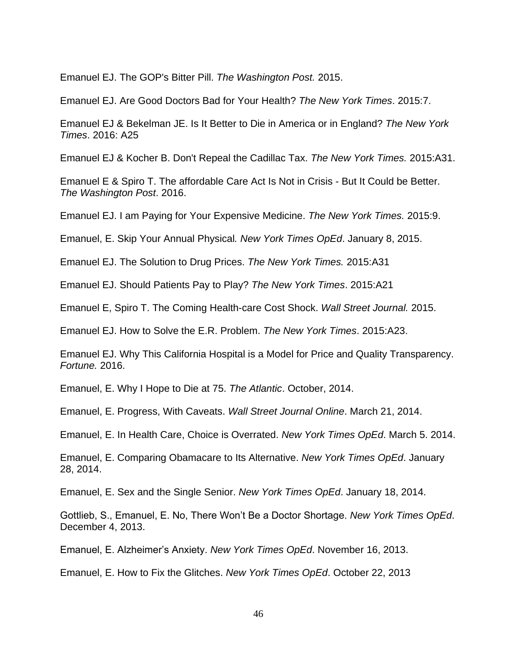Emanuel EJ. The GOP's Bitter Pill. *The Washington Post.* 2015.

Emanuel EJ. Are Good Doctors Bad for Your Health? *The New York Times*. 2015:7.

Emanuel EJ & Bekelman JE. Is It Better to Die in America or in England? *The New York Times*. 2016: A25

Emanuel EJ & Kocher B. Don't Repeal the Cadillac Tax. *The New York Times.* 2015:A31.

Emanuel E & Spiro T. The affordable Care Act Is Not in Crisis - But It Could be Better. *The Washington Post*. 2016.

Emanuel EJ. I am Paying for Your Expensive Medicine. *The New York Times.* 2015:9.

Emanuel, E. Skip Your Annual Physical*. New York Times OpEd*. January 8, 2015.

Emanuel EJ. The Solution to Drug Prices. *The New York Times.* 2015:A31

Emanuel EJ. Should Patients Pay to Play? *The New York Times*. 2015:A21

Emanuel E, Spiro T. The Coming Health-care Cost Shock. *Wall Street Journal.* 2015.

Emanuel EJ. How to Solve the E.R. Problem. *The New York Times*. 2015:A23.

Emanuel EJ. Why This California Hospital is a Model for Price and Quality Transparency. *Fortune.* 2016.

Emanuel, E. Why I Hope to Die at 75. *The Atlantic*. October, 2014.

Emanuel, E. Progress, With Caveats. *Wall Street Journal Online*. March 21, 2014.

Emanuel, E. In Health Care, Choice is Overrated. *New York Times OpEd*. March 5. 2014.

Emanuel, E. Comparing Obamacare to Its Alternative. *New York Times OpEd*. January 28, 2014.

Emanuel, E. Sex and the Single Senior. *New York Times OpEd*. January 18, 2014.

Gottlieb, S., Emanuel, E. No, There Won't Be a Doctor Shortage. *New York Times OpEd*. December 4, 2013.

Emanuel, E. Alzheimer's Anxiety. *New York Times OpEd*. November 16, 2013.

Emanuel, E. How to Fix the Glitches. *New York Times OpEd*. October 22, 2013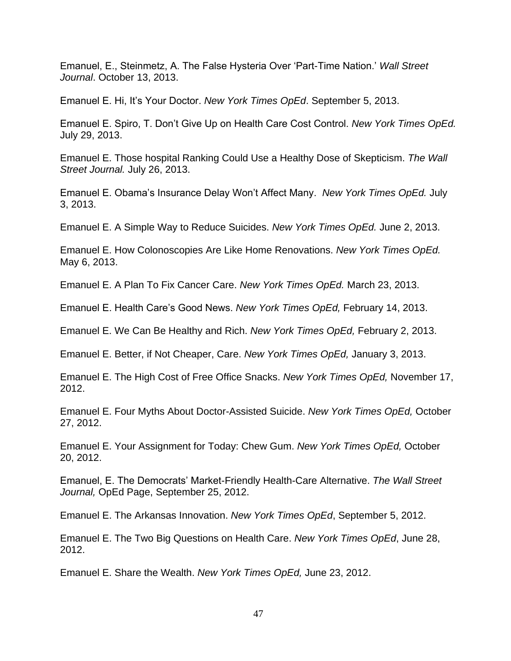Emanuel, E., Steinmetz, A. The False Hysteria Over 'Part-Time Nation.' *Wall Street Journal*. October 13, 2013.

Emanuel E. Hi, It's Your Doctor. *New York Times OpEd*. September 5, 2013.

Emanuel E. Spiro, T. Don't Give Up on Health Care Cost Control. *New York Times OpEd.*  July 29, 2013.

Emanuel E. Those hospital Ranking Could Use a Healthy Dose of Skepticism. *The Wall Street Journal.* July 26, 2013.

Emanuel E. Obama's Insurance Delay Won't Affect Many. *New York Times OpEd.* July 3, 2013.

Emanuel E. A Simple Way to Reduce Suicides. *New York Times OpEd.* June 2, 2013.

Emanuel E. How Colonoscopies Are Like Home Renovations. *New York Times OpEd.*  May 6, 2013.

Emanuel E. A Plan To Fix Cancer Care. *New York Times OpEd.* March 23, 2013.

Emanuel E. Health Care's Good News. *New York Times OpEd,* February 14, 2013.

Emanuel E. We Can Be Healthy and Rich. *New York Times OpEd,* February 2, 2013.

Emanuel E. Better, if Not Cheaper, Care. *New York Times OpEd,* January 3, 2013.

Emanuel E. The High Cost of Free Office Snacks. *New York Times OpEd,* November 17, 2012.

Emanuel E. Four Myths About Doctor-Assisted Suicide. *New York Times OpEd,* October 27, 2012.

Emanuel E. Your Assignment for Today: Chew Gum. *New York Times OpEd,* October 20, 2012.

Emanuel, E. The Democrats' Market-Friendly Health-Care Alternative. *The Wall Street Journal,* OpEd Page, September 25, 2012.

Emanuel E. The Arkansas Innovation. *New York Times OpEd*, September 5, 2012.

Emanuel E. The Two Big Questions on Health Care. *New York Times OpEd*, June 28, 2012.

Emanuel E. Share the Wealth. *New York Times OpEd,* June 23, 2012.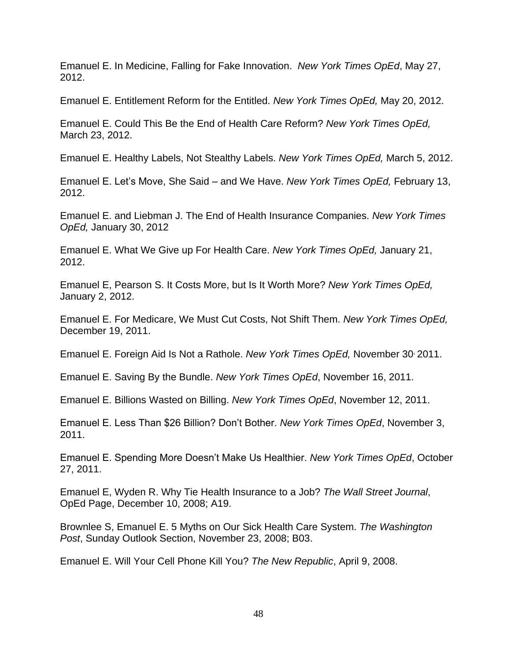Emanuel E. In Medicine, Falling for Fake Innovation. *New York Times OpEd*, May 27, 2012.

Emanuel E. Entitlement Reform for the Entitled. *New York Times OpEd,* May 20, 2012.

Emanuel E. Could This Be the End of Health Care Reform? *New York Times OpEd,* March 23, 2012.

Emanuel E. Healthy Labels, Not Stealthy Labels. *New York Times OpEd,* March 5, 2012.

Emanuel E. Let's Move, She Said – and We Have. *New York Times OpEd,* February 13, 2012.

Emanuel E. and Liebman J. The End of Health Insurance Companies. *New York Times OpEd,* January 30, 2012

Emanuel E. What We Give up For Health Care. *New York Times OpEd,* January 21, 2012.

Emanuel E, Pearson S. It Costs More, but Is It Worth More? *New York Times OpEd,*  January 2, 2012.

Emanuel E. For Medicare, We Must Cut Costs, Not Shift Them. *New York Times OpEd,*  December 19, 2011.

Emanuel E. Foreign Aid Is Not a Rathole. *New York Times OpEd,* November 30, 2011.

Emanuel E. Saving By the Bundle. *New York Times OpEd*, November 16, 2011.

Emanuel E. Billions Wasted on Billing. *New York Times OpEd*, November 12, 2011.

Emanuel E. Less Than \$26 Billion? Don't Bother. *New York Times OpEd*, November 3, 2011.

Emanuel E. Spending More Doesn't Make Us Healthier. *New York Times OpEd*, October 27, 2011.

Emanuel E, Wyden R. Why Tie Health Insurance to a Job? *The Wall Street Journal*, OpEd Page, December 10, 2008; A19.

Brownlee S, Emanuel E. 5 Myths on Our Sick Health Care System. *The Washington Post*, Sunday Outlook Section, November 23, 2008; B03.

Emanuel E. Will Your Cell Phone Kill You? *The New Republic*, April 9, 2008.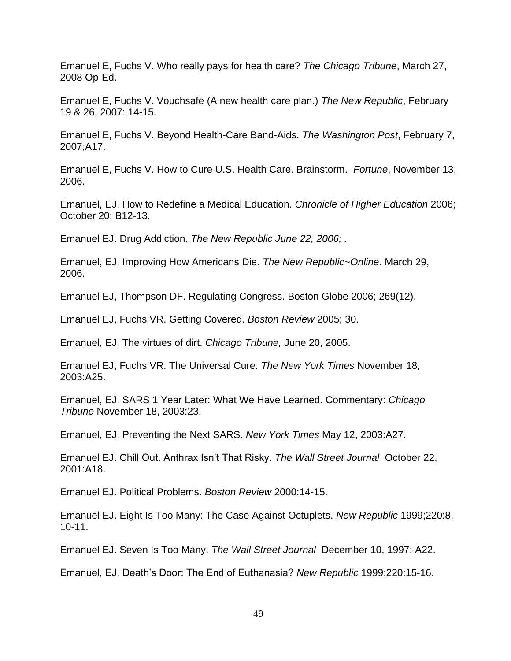Emanuel E, Fuchs V. Who really pays for health care? *The Chicago Tribune*, March 27, 2008 Op-Ed.

Emanuel E, Fuchs V. Vouchsafe (A new health care plan.) *The New Republic*, February 19 & 26, 2007: 14-15.

Emanuel E, Fuchs V. Beyond Health-Care Band-Aids. *The Washington Post*, February 7, 2007;A17.

Emanuel E, Fuchs V. How to Cure U.S. Health Care. Brainstorm. *Fortune*, November 13, 2006.

Emanuel, EJ. How to Redefine a Medical Education. *Chronicle of Higher Education* 2006; October 20: B12-13.

Emanuel EJ. Drug Addiction. *The New Republic June 22, 2006; .*

Emanuel, EJ. Improving How Americans Die. *The New Republic~Online*. March 29, 2006.

Emanuel EJ, Thompson DF. Regulating Congress. Boston Globe 2006; 269(12).

Emanuel EJ, Fuchs VR. Getting Covered. *Boston Review* 2005; 30.

Emanuel, EJ. The virtues of dirt. *Chicago Tribune,* June 20, 2005.

Emanuel EJ, Fuchs VR. The Universal Cure. *The New York Times* November 18, 2003:A25.

Emanuel, EJ. SARS 1 Year Later: What We Have Learned. Commentary: *Chicago Tribune* November 18, 2003:23.

Emanuel, EJ. Preventing the Next SARS. *New York Times* May 12, 2003:A27.

Emanuel EJ. Chill Out. Anthrax Isn't That Risky. *The Wall Street Journal* October 22, 2001:A18.

Emanuel EJ. Political Problems. *Boston Review* 2000:14-15.

Emanuel EJ. Eight Is Too Many: The Case Against Octuplets. *New Republic* 1999;220:8, 10-11.

Emanuel EJ. Seven Is Too Many. *The Wall Street Journal* December 10, 1997: A22.

Emanuel, EJ. Death's Door: The End of Euthanasia? *New Republic* 1999;220:15-16.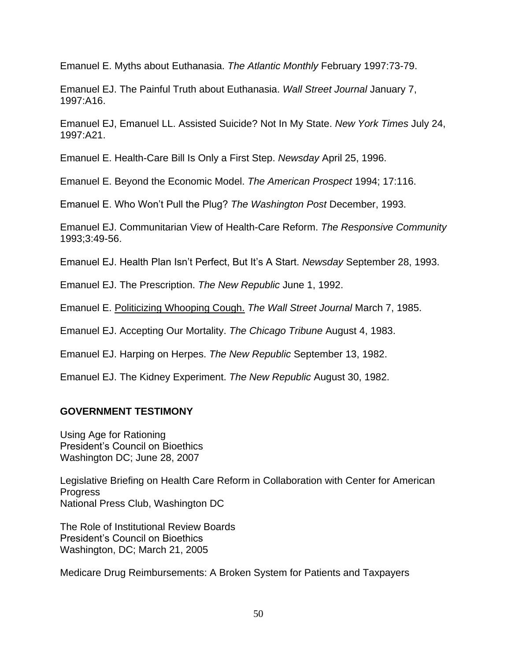Emanuel E. Myths about Euthanasia. *The Atlantic Monthly* February 1997:73-79.

Emanuel EJ. The Painful Truth about Euthanasia. *Wall Street Journal* January 7, 1997:A16.

Emanuel EJ, Emanuel LL. Assisted Suicide? Not In My State. *New York Times* July 24, 1997:A21.

Emanuel E. Health-Care Bill Is Only a First Step. *Newsday* April 25, 1996.

Emanuel E. Beyond the Economic Model. *The American Prospect* 1994; 17:116.

Emanuel E. Who Won't Pull the Plug? *The Washington Post* December, 1993.

Emanuel EJ. Communitarian View of Health-Care Reform. *The Responsive Community* 1993;3:49-56.

Emanuel EJ. Health Plan Isn't Perfect, But It's A Start. *Newsday* September 28, 1993.

Emanuel EJ. The Prescription. *The New Republic* June 1, 1992.

Emanuel E. Politicizing Whooping Cough. *The Wall Street Journal* March 7, 1985.

Emanuel EJ. Accepting Our Mortality. *The Chicago Tribune* August 4, 1983.

Emanuel EJ. Harping on Herpes. *The New Republic* September 13, 1982.

Emanuel EJ. The Kidney Experiment. *The New Republic* August 30, 1982.

## **GOVERNMENT TESTIMONY**

Using Age for Rationing President's Council on Bioethics Washington DC; June 28, 2007

Legislative Briefing on Health Care Reform in Collaboration with Center for American **Progress** National Press Club, Washington DC

The Role of Institutional Review Boards President's Council on Bioethics Washington, DC; March 21, 2005

Medicare Drug Reimbursements: A Broken System for Patients and Taxpayers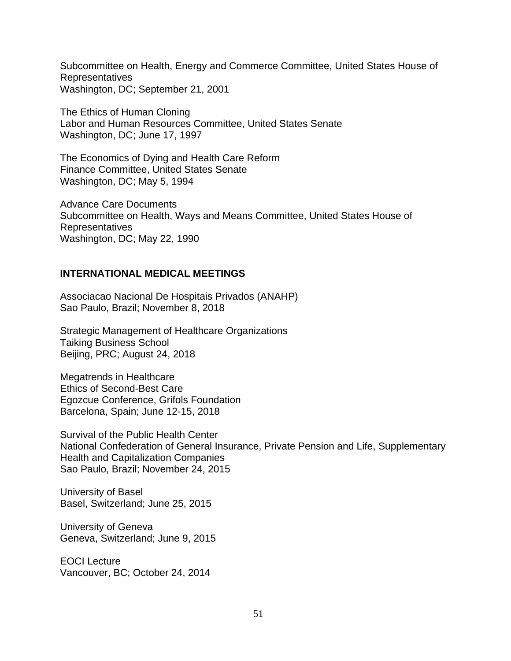Subcommittee on Health, Energy and Commerce Committee, United States House of Representatives Washington, DC; September 21, 2001

The Ethics of Human Cloning Labor and Human Resources Committee, United States Senate Washington, DC; June 17, 1997

The Economics of Dying and Health Care Reform Finance Committee, United States Senate Washington, DC; May 5, 1994

Advance Care Documents Subcommittee on Health, Ways and Means Committee, United States House of Representatives Washington, DC; May 22, 1990

#### **INTERNATIONAL MEDICAL MEETINGS**

Associacao Nacional De Hospitais Privados (ANAHP) Sao Paulo, Brazil; November 8, 2018

Strategic Management of Healthcare Organizations Taiking Business School Beijing, PRC; August 24, 2018

Megatrends in Healthcare Ethics of Second-Best Care Egozcue Conference, Grifols Foundation Barcelona, Spain; June 12-15, 2018

Survival of the Public Health Center National Confederation of General Insurance, Private Pension and Life, Supplementary Health and Capitalization Companies Sao Paulo, Brazil; November 24, 2015

University of Basel Basel, Switzerland; June 25, 2015

University of Geneva Geneva, Switzerland; June 9, 2015

EOCI Lecture Vancouver, BC; October 24, 2014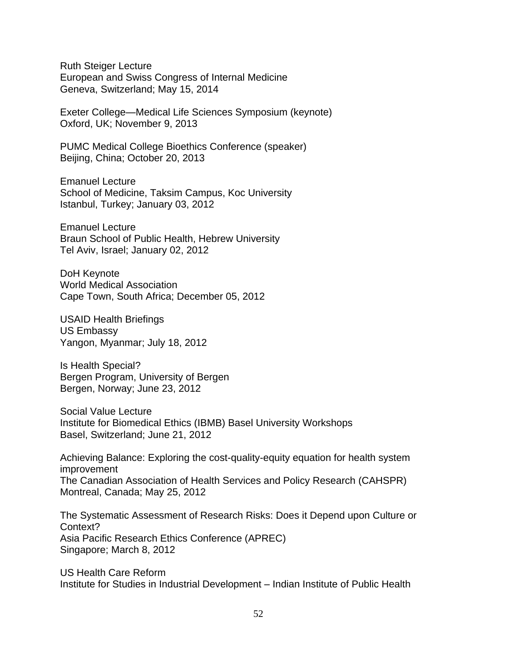Ruth Steiger Lecture European and Swiss Congress of Internal Medicine Geneva, Switzerland; May 15, 2014

Exeter College—Medical Life Sciences Symposium (keynote) Oxford, UK; November 9, 2013

PUMC Medical College Bioethics Conference (speaker) Beijing, China; October 20, 2013

Emanuel Lecture School of Medicine, Taksim Campus, Koc University Istanbul, Turkey; January 03, 2012

Emanuel Lecture Braun School of Public Health, Hebrew University Tel Aviv, Israel; January 02, 2012

DoH Keynote World Medical Association Cape Town, South Africa; December 05, 2012

USAID Health Briefings US Embassy Yangon, Myanmar; July 18, 2012

Is Health Special? Bergen Program, University of Bergen Bergen, Norway; June 23, 2012

Social Value Lecture Institute for Biomedical Ethics (IBMB) Basel University Workshops Basel, Switzerland; June 21, 2012

Achieving Balance: Exploring the cost-quality-equity equation for health system improvement The Canadian Association of Health Services and Policy Research (CAHSPR) Montreal, Canada; May 25, 2012

The Systematic Assessment of Research Risks: Does it Depend upon Culture or Context? Asia Pacific Research Ethics Conference (APREC) Singapore; March 8, 2012

US Health Care Reform Institute for Studies in Industrial Development – Indian Institute of Public Health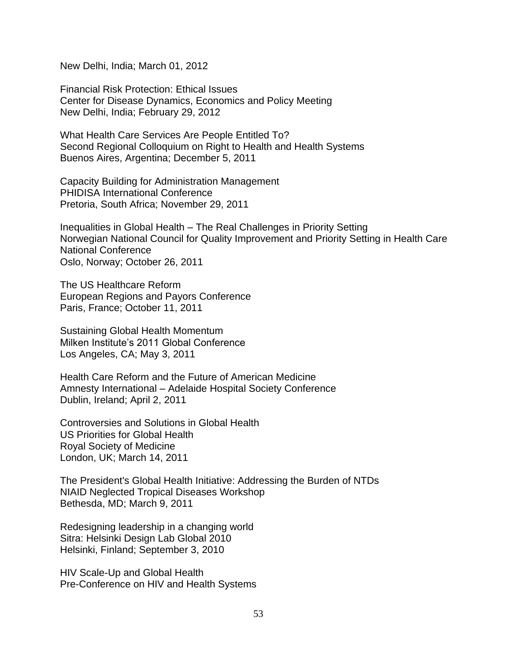New Delhi, India; March 01, 2012

Financial Risk Protection: Ethical Issues Center for Disease Dynamics, Economics and Policy Meeting New Delhi, India; February 29, 2012

What Health Care Services Are People Entitled To? Second Regional Colloquium on Right to Health and Health Systems Buenos Aires, Argentina; December 5, 2011

Capacity Building for Administration Management PHIDISA International Conference Pretoria, South Africa; November 29, 2011

Inequalities in Global Health – The Real Challenges in Priority Setting Norwegian National Council for Quality Improvement and Priority Setting in Health Care National Conference Oslo, Norway; October 26, 2011

The US Healthcare Reform European Regions and Payors Conference Paris, France; October 11, 2011

Sustaining Global Health Momentum Milken Institute's 2011 Global Conference Los Angeles, CA; May 3, 2011

Health Care Reform and the Future of American Medicine Amnesty International – Adelaide Hospital Society Conference Dublin, Ireland; April 2, 2011

Controversies and Solutions in Global Health US Priorities for Global Health Royal Society of Medicine London, UK; March 14, 2011

The President's Global Health Initiative: Addressing the Burden of NTDs NIAID Neglected Tropical Diseases Workshop Bethesda, MD; March 9, 2011

Redesigning leadership in a changing world Sitra: Helsinki Design Lab Global 2010 Helsinki, Finland; September 3, 2010

HIV Scale-Up and Global Health Pre-Conference on HIV and Health Systems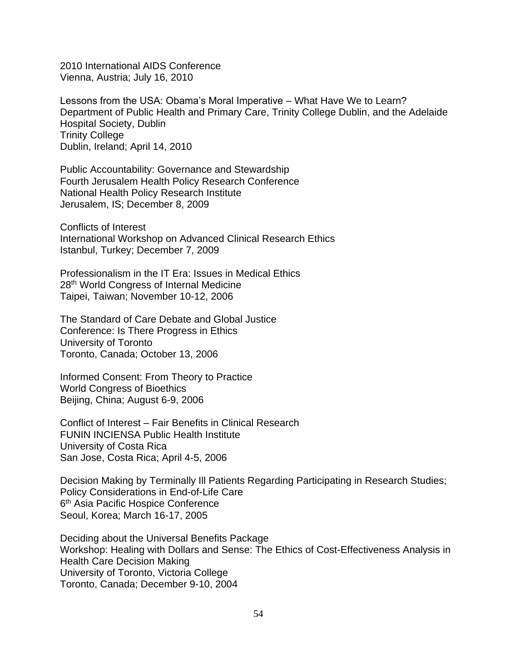2010 International AIDS Conference Vienna, Austria; July 16, 2010

Lessons from the USA: Obama's Moral Imperative – What Have We to Learn? Department of Public Health and Primary Care, Trinity College Dublin, and the Adelaide Hospital Society, Dublin Trinity College Dublin, Ireland; April 14, 2010

Public Accountability: Governance and Stewardship Fourth Jerusalem Health Policy Research Conference National Health Policy Research Institute Jerusalem, IS; December 8, 2009

Conflicts of Interest International Workshop on Advanced Clinical Research Ethics Istanbul, Turkey; December 7, 2009

Professionalism in the IT Era: Issues in Medical Ethics 28th World Congress of Internal Medicine Taipei, Taiwan; November 10-12, 2006

The Standard of Care Debate and Global Justice Conference: Is There Progress in Ethics University of Toronto Toronto, Canada; October 13, 2006

Informed Consent: From Theory to Practice World Congress of Bioethics Beijing, China; August 6-9, 2006

Conflict of Interest – Fair Benefits in Clinical Research FUNIN INCIENSA Public Health Institute University of Costa Rica San Jose, Costa Rica; April 4-5, 2006

Decision Making by Terminally Ill Patients Regarding Participating in Research Studies; Policy Considerations in End-of-Life Care 6<sup>th</sup> Asia Pacific Hospice Conference Seoul, Korea; March 16-17, 2005

Deciding about the Universal Benefits Package Workshop: Healing with Dollars and Sense: The Ethics of Cost-Effectiveness Analysis in Health Care Decision Making University of Toronto, Victoria College Toronto, Canada; December 9-10, 2004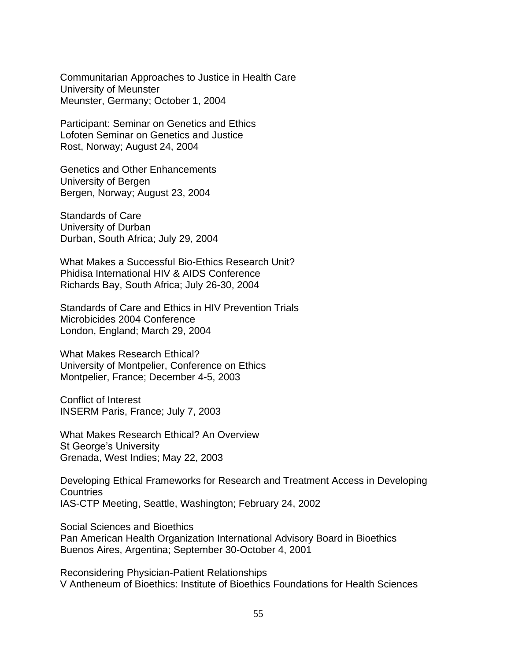Communitarian Approaches to Justice in Health Care University of Meunster Meunster, Germany; October 1, 2004

Participant: Seminar on Genetics and Ethics Lofoten Seminar on Genetics and Justice Rost, Norway; August 24, 2004

Genetics and Other Enhancements University of Bergen Bergen, Norway; August 23, 2004

Standards of Care University of Durban Durban, South Africa; July 29, 2004

What Makes a Successful Bio-Ethics Research Unit? Phidisa International HIV & AIDS Conference Richards Bay, South Africa; July 26-30, 2004

Standards of Care and Ethics in HIV Prevention Trials Microbicides 2004 Conference London, England; March 29, 2004

What Makes Research Ethical? University of Montpelier, Conference on Ethics Montpelier, France; December 4-5, 2003

Conflict of Interest INSERM Paris, France; July 7, 2003

What Makes Research Ethical? An Overview St George's University Grenada, West Indies; May 22, 2003

Developing Ethical Frameworks for Research and Treatment Access in Developing **Countries** IAS-CTP Meeting, Seattle, Washington; February 24, 2002

Social Sciences and Bioethics Pan American Health Organization International Advisory Board in Bioethics Buenos Aires, Argentina; September 30-October 4, 2001

Reconsidering Physician-Patient Relationships V Antheneum of Bioethics: Institute of Bioethics Foundations for Health Sciences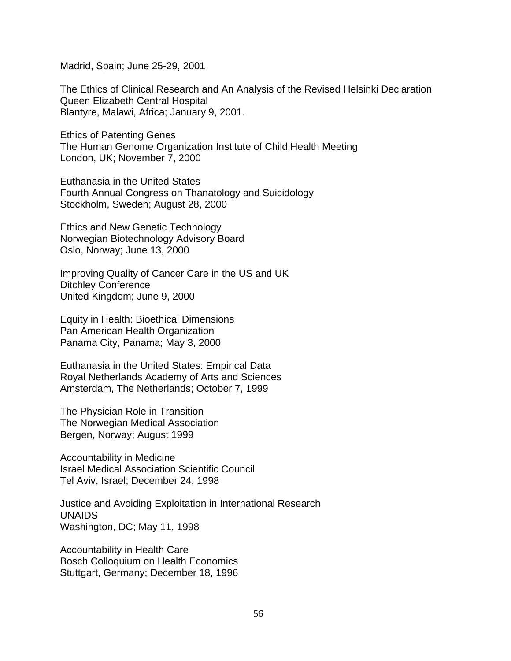Madrid, Spain; June 25-29, 2001

The Ethics of Clinical Research and An Analysis of the Revised Helsinki Declaration Queen Elizabeth Central Hospital Blantyre, Malawi, Africa; January 9, 2001.

Ethics of Patenting Genes The Human Genome Organization Institute of Child Health Meeting London, UK; November 7, 2000

Euthanasia in the United States Fourth Annual Congress on Thanatology and Suicidology Stockholm, Sweden; August 28, 2000

Ethics and New Genetic Technology Norwegian Biotechnology Advisory Board Oslo, Norway; June 13, 2000

Improving Quality of Cancer Care in the US and UK Ditchley Conference United Kingdom; June 9, 2000

Equity in Health: Bioethical Dimensions Pan American Health Organization Panama City, Panama; May 3, 2000

Euthanasia in the United States: Empirical Data Royal Netherlands Academy of Arts and Sciences Amsterdam, The Netherlands; October 7, 1999

The Physician Role in Transition The Norwegian Medical Association Bergen, Norway; August 1999

Accountability in Medicine Israel Medical Association Scientific Council Tel Aviv, Israel; December 24, 1998

Justice and Avoiding Exploitation in International Research UNAIDS Washington, DC; May 11, 1998

Accountability in Health Care Bosch Colloquium on Health Economics Stuttgart, Germany; December 18, 1996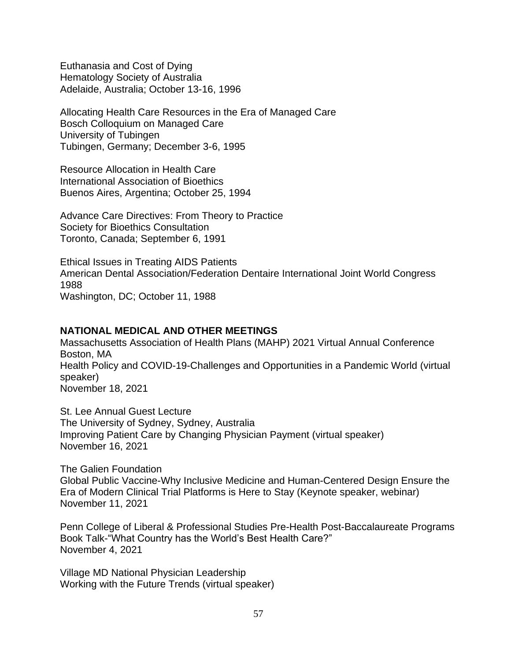Euthanasia and Cost of Dying Hematology Society of Australia Adelaide, Australia; October 13-16, 1996

Allocating Health Care Resources in the Era of Managed Care Bosch Colloquium on Managed Care University of Tubingen Tubingen, Germany; December 3-6, 1995

Resource Allocation in Health Care International Association of Bioethics Buenos Aires, Argentina; October 25, 1994

Advance Care Directives: From Theory to Practice Society for Bioethics Consultation Toronto, Canada; September 6, 1991

Ethical Issues in Treating AIDS Patients American Dental Association/Federation Dentaire International Joint World Congress 1988 Washington, DC; October 11, 1988

### **NATIONAL MEDICAL AND OTHER MEETINGS**

Massachusetts Association of Health Plans (MAHP) 2021 Virtual Annual Conference Boston, MA Health Policy and COVID-19-Challenges and Opportunities in a Pandemic World (virtual speaker) November 18, 2021

St. Lee Annual Guest Lecture The University of Sydney, Sydney, Australia Improving Patient Care by Changing Physician Payment (virtual speaker) November 16, 2021

The Galien Foundation Global Public Vaccine-Why Inclusive Medicine and Human-Centered Design Ensure the Era of Modern Clinical Trial Platforms is Here to Stay (Keynote speaker, webinar) November 11, 2021

Penn College of Liberal & Professional Studies Pre-Health Post-Baccalaureate Programs Book Talk-"What Country has the World's Best Health Care?" November 4, 2021

Village MD National Physician Leadership Working with the Future Trends (virtual speaker)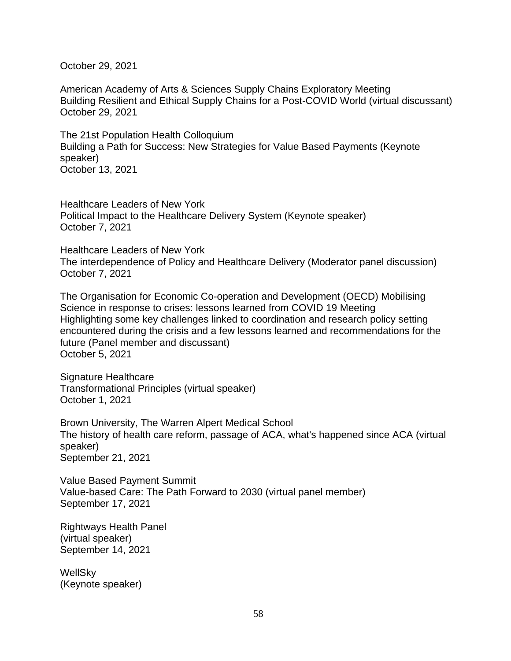October 29, 2021

American Academy of Arts & Sciences Supply Chains Exploratory Meeting Building Resilient and Ethical Supply Chains for a Post-COVID World (virtual discussant) October 29, 2021

The 21st Population Health Colloquium Building a Path for Success: New Strategies for Value Based Payments (Keynote speaker) October 13, 2021

Healthcare Leaders of New York Political Impact to the Healthcare Delivery System (Keynote speaker) October 7, 2021

Healthcare Leaders of New York The interdependence of Policy and Healthcare Delivery (Moderator panel discussion) October 7, 2021

The Organisation for Economic Co-operation and Development (OECD) Mobilising Science in response to crises: lessons learned from COVID 19 Meeting Highlighting some key challenges linked to coordination and research policy setting encountered during the crisis and a few lessons learned and recommendations for the future (Panel member and discussant) October 5, 2021

Signature Healthcare Transformational Principles (virtual speaker) October 1, 2021

Brown University, The Warren Alpert Medical School The history of health care reform, passage of ACA, what's happened since ACA (virtual speaker) September 21, 2021

Value Based Payment Summit Value-based Care: The Path Forward to 2030 (virtual panel member) September 17, 2021

Rightways Health Panel (virtual speaker) September 14, 2021

WellSky (Keynote speaker)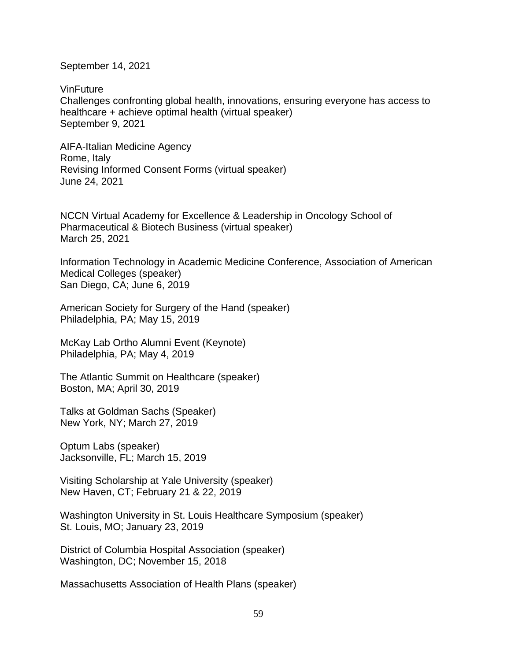September 14, 2021

**VinFuture** Challenges confronting global health, innovations, ensuring everyone has access to healthcare + achieve optimal health (virtual speaker) September 9, 2021

AIFA-Italian Medicine Agency Rome, Italy Revising Informed Consent Forms (virtual speaker) June 24, 2021

NCCN Virtual Academy for Excellence & Leadership in Oncology School of Pharmaceutical & Biotech Business (virtual speaker) March 25, 2021

Information Technology in Academic Medicine Conference, Association of American Medical Colleges (speaker) San Diego, CA; June 6, 2019

American Society for Surgery of the Hand (speaker) Philadelphia, PA; May 15, 2019

McKay Lab Ortho Alumni Event (Keynote) Philadelphia, PA; May 4, 2019

The Atlantic Summit on Healthcare (speaker) Boston, MA; April 30, 2019

Talks at Goldman Sachs (Speaker) New York, NY; March 27, 2019

Optum Labs (speaker) Jacksonville, FL; March 15, 2019

Visiting Scholarship at Yale University (speaker) New Haven, CT; February 21 & 22, 2019

Washington University in St. Louis Healthcare Symposium (speaker) St. Louis, MO; January 23, 2019

District of Columbia Hospital Association (speaker) Washington, DC; November 15, 2018

Massachusetts Association of Health Plans (speaker)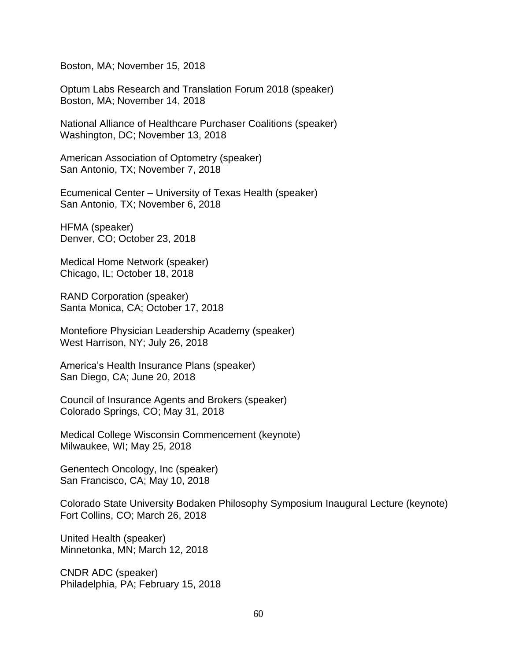Boston, MA; November 15, 2018

Optum Labs Research and Translation Forum 2018 (speaker) Boston, MA; November 14, 2018

National Alliance of Healthcare Purchaser Coalitions (speaker) Washington, DC; November 13, 2018

American Association of Optometry (speaker) San Antonio, TX; November 7, 2018

Ecumenical Center – University of Texas Health (speaker) San Antonio, TX; November 6, 2018

HFMA (speaker) Denver, CO; October 23, 2018

Medical Home Network (speaker) Chicago, IL; October 18, 2018

RAND Corporation (speaker) Santa Monica, CA; October 17, 2018

Montefiore Physician Leadership Academy (speaker) West Harrison, NY; July 26, 2018

America's Health Insurance Plans (speaker) San Diego, CA; June 20, 2018

Council of Insurance Agents and Brokers (speaker) Colorado Springs, CO; May 31, 2018

Medical College Wisconsin Commencement (keynote) Milwaukee, WI; May 25, 2018

Genentech Oncology, Inc (speaker) San Francisco, CA; May 10, 2018

Colorado State University Bodaken Philosophy Symposium Inaugural Lecture (keynote) Fort Collins, CO; March 26, 2018

United Health (speaker) Minnetonka, MN; March 12, 2018

CNDR ADC (speaker) Philadelphia, PA; February 15, 2018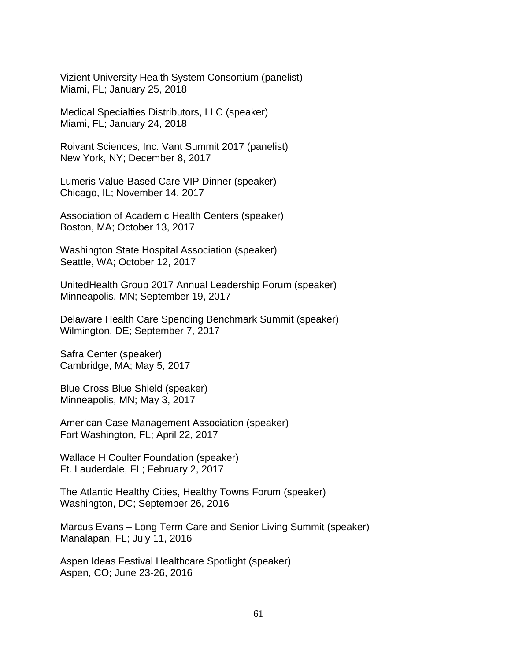Vizient University Health System Consortium (panelist) Miami, FL; January 25, 2018

Medical Specialties Distributors, LLC (speaker) Miami, FL; January 24, 2018

Roivant Sciences, Inc. Vant Summit 2017 (panelist) New York, NY; December 8, 2017

Lumeris Value-Based Care VIP Dinner (speaker) Chicago, IL; November 14, 2017

Association of Academic Health Centers (speaker) Boston, MA; October 13, 2017

Washington State Hospital Association (speaker) Seattle, WA; October 12, 2017

UnitedHealth Group 2017 Annual Leadership Forum (speaker) Minneapolis, MN; September 19, 2017

Delaware Health Care Spending Benchmark Summit (speaker) Wilmington, DE; September 7, 2017

Safra Center (speaker) Cambridge, MA; May 5, 2017

Blue Cross Blue Shield (speaker) Minneapolis, MN; May 3, 2017

American Case Management Association (speaker) Fort Washington, FL; April 22, 2017

Wallace H Coulter Foundation (speaker) Ft. Lauderdale, FL; February 2, 2017

The Atlantic Healthy Cities, Healthy Towns Forum (speaker) Washington, DC; September 26, 2016

Marcus Evans – Long Term Care and Senior Living Summit (speaker) Manalapan, FL; July 11, 2016

Aspen Ideas Festival Healthcare Spotlight (speaker) Aspen, CO; June 23-26, 2016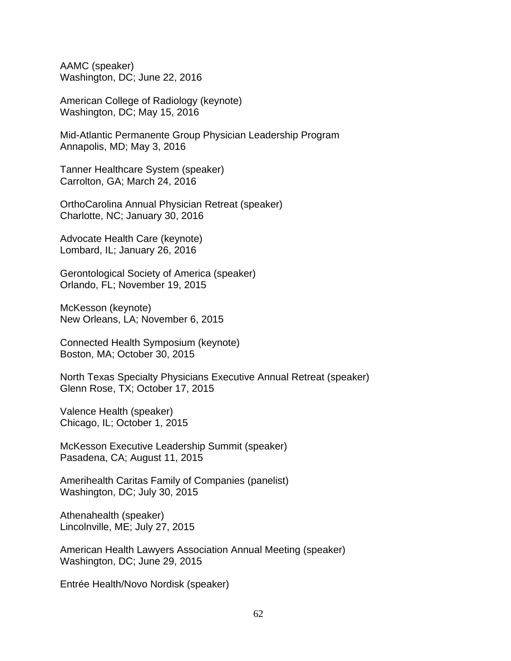AAMC (speaker) Washington, DC; June 22, 2016

American College of Radiology (keynote) Washington, DC; May 15, 2016

Mid-Atlantic Permanente Group Physician Leadership Program Annapolis, MD; May 3, 2016

Tanner Healthcare System (speaker) Carrolton, GA; March 24, 2016

OrthoCarolina Annual Physician Retreat (speaker) Charlotte, NC; January 30, 2016

Advocate Health Care (keynote) Lombard, IL; January 26, 2016

Gerontological Society of America (speaker) Orlando, FL; November 19, 2015

McKesson (keynote) New Orleans, LA; November 6, 2015

Connected Health Symposium (keynote) Boston, MA; October 30, 2015

North Texas Specialty Physicians Executive Annual Retreat (speaker) Glenn Rose, TX; October 17, 2015

Valence Health (speaker) Chicago, IL; October 1, 2015

McKesson Executive Leadership Summit (speaker) Pasadena, CA; August 11, 2015

Amerihealth Caritas Family of Companies (panelist) Washington, DC; July 30, 2015

Athenahealth (speaker) Lincolnville, ME; July 27, 2015

American Health Lawyers Association Annual Meeting (speaker) Washington, DC; June 29, 2015

Entrée Health/Novo Nordisk (speaker)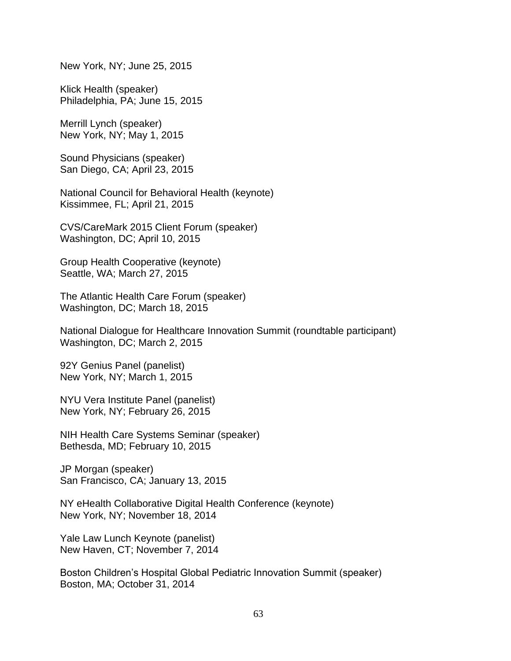New York, NY; June 25, 2015

Klick Health (speaker) Philadelphia, PA; June 15, 2015

Merrill Lynch (speaker) New York, NY; May 1, 2015

Sound Physicians (speaker) San Diego, CA; April 23, 2015

National Council for Behavioral Health (keynote) Kissimmee, FL; April 21, 2015

CVS/CareMark 2015 Client Forum (speaker) Washington, DC; April 10, 2015

Group Health Cooperative (keynote) Seattle, WA; March 27, 2015

The Atlantic Health Care Forum (speaker) Washington, DC; March 18, 2015

National Dialogue for Healthcare Innovation Summit (roundtable participant) Washington, DC; March 2, 2015

92Y Genius Panel (panelist) New York, NY; March 1, 2015

NYU Vera Institute Panel (panelist) New York, NY; February 26, 2015

NIH Health Care Systems Seminar (speaker) Bethesda, MD; February 10, 2015

JP Morgan (speaker) San Francisco, CA; January 13, 2015

NY eHealth Collaborative Digital Health Conference (keynote) New York, NY; November 18, 2014

Yale Law Lunch Keynote (panelist) New Haven, CT; November 7, 2014

Boston Children's Hospital Global Pediatric Innovation Summit (speaker) Boston, MA; October 31, 2014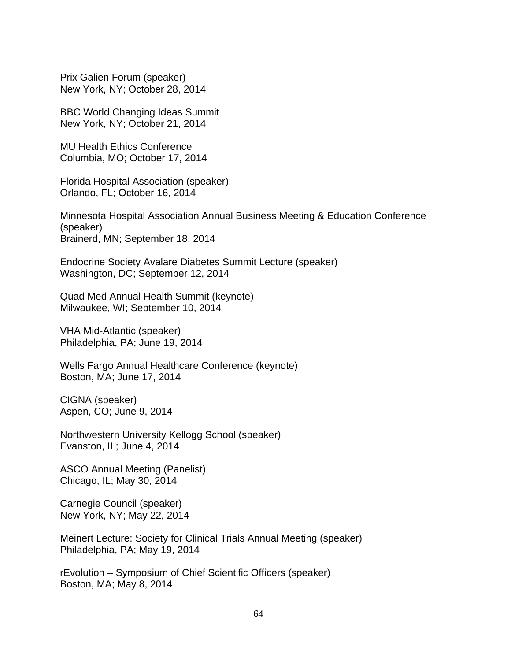Prix Galien Forum (speaker) New York, NY; October 28, 2014

BBC World Changing Ideas Summit New York, NY; October 21, 2014

MU Health Ethics Conference Columbia, MO; October 17, 2014

Florida Hospital Association (speaker) Orlando, FL; October 16, 2014

Minnesota Hospital Association Annual Business Meeting & Education Conference (speaker) Brainerd, MN; September 18, 2014

Endocrine Society Avalare Diabetes Summit Lecture (speaker) Washington, DC; September 12, 2014

Quad Med Annual Health Summit (keynote) Milwaukee, WI; September 10, 2014

VHA Mid-Atlantic (speaker) Philadelphia, PA; June 19, 2014

Wells Fargo Annual Healthcare Conference (keynote) Boston, MA; June 17, 2014

CIGNA (speaker) Aspen, CO; June 9, 2014

Northwestern University Kellogg School (speaker) Evanston, IL; June 4, 2014

ASCO Annual Meeting (Panelist) Chicago, IL; May 30, 2014

Carnegie Council (speaker) New York, NY; May 22, 2014

Meinert Lecture: Society for Clinical Trials Annual Meeting (speaker) Philadelphia, PA; May 19, 2014

rEvolution – Symposium of Chief Scientific Officers (speaker) Boston, MA; May 8, 2014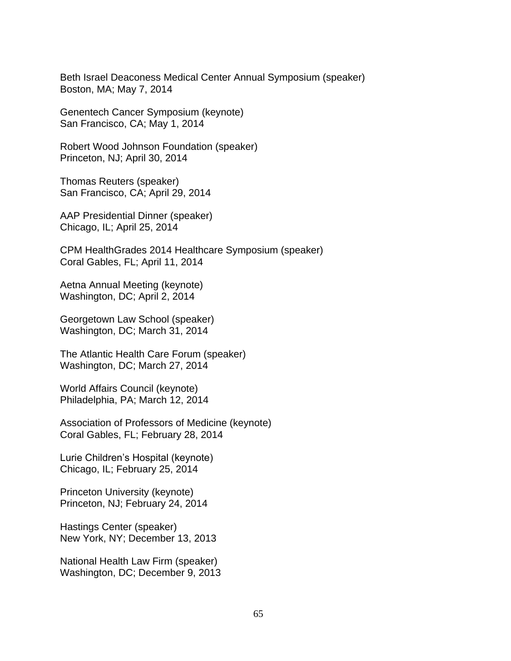Beth Israel Deaconess Medical Center Annual Symposium (speaker) Boston, MA; May 7, 2014

Genentech Cancer Symposium (keynote) San Francisco, CA; May 1, 2014

Robert Wood Johnson Foundation (speaker) Princeton, NJ; April 30, 2014

Thomas Reuters (speaker) San Francisco, CA; April 29, 2014

AAP Presidential Dinner (speaker) Chicago, IL; April 25, 2014

CPM HealthGrades 2014 Healthcare Symposium (speaker) Coral Gables, FL; April 11, 2014

Aetna Annual Meeting (keynote) Washington, DC; April 2, 2014

Georgetown Law School (speaker) Washington, DC; March 31, 2014

The Atlantic Health Care Forum (speaker) Washington, DC; March 27, 2014

World Affairs Council (keynote) Philadelphia, PA; March 12, 2014

Association of Professors of Medicine (keynote) Coral Gables, FL; February 28, 2014

Lurie Children's Hospital (keynote) Chicago, IL; February 25, 2014

Princeton University (keynote) Princeton, NJ; February 24, 2014

Hastings Center (speaker) New York, NY; December 13, 2013

National Health Law Firm (speaker) Washington, DC; December 9, 2013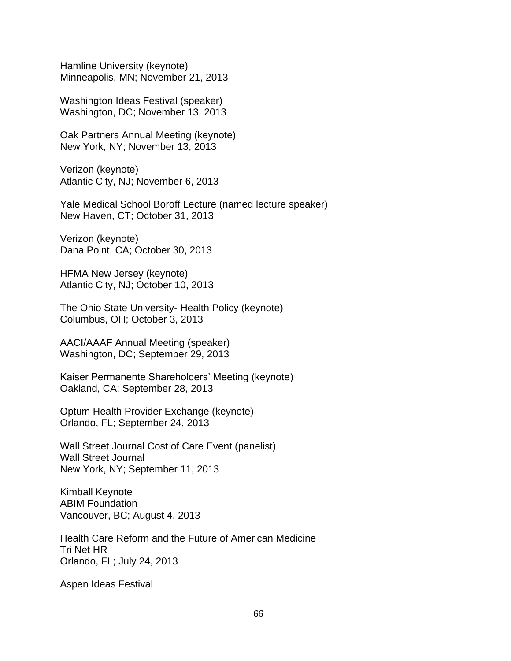Hamline University (keynote) Minneapolis, MN; November 21, 2013

Washington Ideas Festival (speaker) Washington, DC; November 13, 2013

Oak Partners Annual Meeting (keynote) New York, NY; November 13, 2013

Verizon (keynote) Atlantic City, NJ; November 6, 2013

Yale Medical School Boroff Lecture (named lecture speaker) New Haven, CT; October 31, 2013

Verizon (keynote) Dana Point, CA; October 30, 2013

HFMA New Jersey (keynote) Atlantic City, NJ; October 10, 2013

The Ohio State University- Health Policy (keynote) Columbus, OH; October 3, 2013

AACI/AAAF Annual Meeting (speaker) Washington, DC; September 29, 2013

Kaiser Permanente Shareholders' Meeting (keynote) Oakland, CA; September 28, 2013

Optum Health Provider Exchange (keynote) Orlando, FL; September 24, 2013

Wall Street Journal Cost of Care Event (panelist) Wall Street Journal New York, NY; September 11, 2013

Kimball Keynote ABIM Foundation Vancouver, BC; August 4, 2013

Health Care Reform and the Future of American Medicine Tri Net HR Orlando, FL; July 24, 2013

Aspen Ideas Festival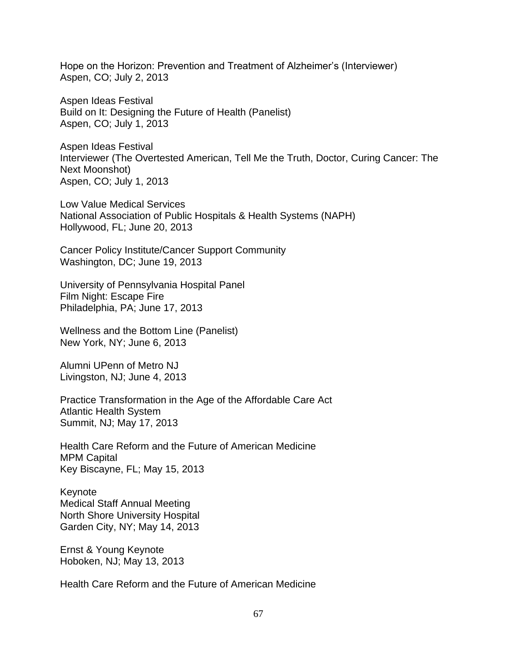Hope on the Horizon: Prevention and Treatment of Alzheimer's (Interviewer) Aspen, CO; July 2, 2013

Aspen Ideas Festival Build on It: Designing the Future of Health (Panelist) Aspen, CO; July 1, 2013

Aspen Ideas Festival Interviewer (The Overtested American, Tell Me the Truth, Doctor, Curing Cancer: The Next Moonshot) Aspen, CO; July 1, 2013

Low Value Medical Services National Association of Public Hospitals & Health Systems (NAPH) Hollywood, FL; June 20, 2013

Cancer Policy Institute/Cancer Support Community Washington, DC; June 19, 2013

University of Pennsylvania Hospital Panel Film Night: Escape Fire Philadelphia, PA; June 17, 2013

Wellness and the Bottom Line (Panelist) New York, NY; June 6, 2013

Alumni UPenn of Metro NJ Livingston, NJ; June 4, 2013

Practice Transformation in the Age of the Affordable Care Act Atlantic Health System Summit, NJ; May 17, 2013

Health Care Reform and the Future of American Medicine MPM Capital Key Biscayne, FL; May 15, 2013

Keynote Medical Staff Annual Meeting North Shore University Hospital Garden City, NY; May 14, 2013

Ernst & Young Keynote Hoboken, NJ; May 13, 2013

Health Care Reform and the Future of American Medicine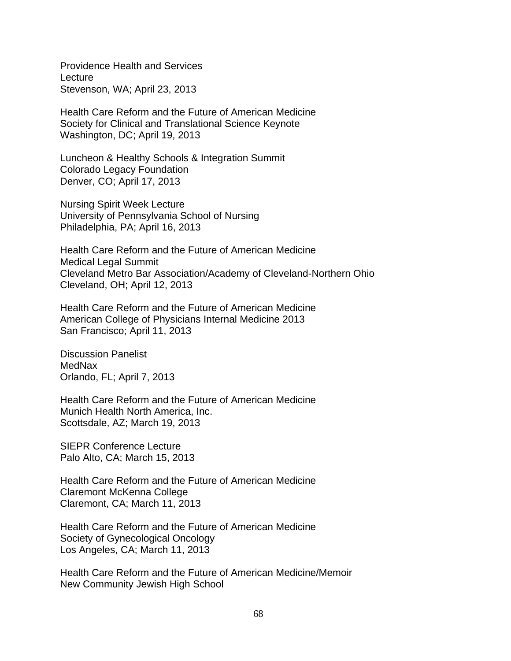Providence Health and Services Lecture Stevenson, WA; April 23, 2013

Health Care Reform and the Future of American Medicine Society for Clinical and Translational Science Keynote Washington, DC; April 19, 2013

Luncheon & Healthy Schools & Integration Summit Colorado Legacy Foundation Denver, CO; April 17, 2013

Nursing Spirit Week Lecture University of Pennsylvania School of Nursing Philadelphia, PA; April 16, 2013

Health Care Reform and the Future of American Medicine Medical Legal Summit Cleveland Metro Bar Association/Academy of Cleveland-Northern Ohio Cleveland, OH; April 12, 2013

Health Care Reform and the Future of American Medicine American College of Physicians Internal Medicine 2013 San Francisco; April 11, 2013

Discussion Panelist MedNax Orlando, FL; April 7, 2013

Health Care Reform and the Future of American Medicine Munich Health North America, Inc. Scottsdale, AZ; March 19, 2013

SIEPR Conference Lecture Palo Alto, CA; March 15, 2013

Health Care Reform and the Future of American Medicine Claremont McKenna College Claremont, CA; March 11, 2013

Health Care Reform and the Future of American Medicine Society of Gynecological Oncology Los Angeles, CA; March 11, 2013

Health Care Reform and the Future of American Medicine/Memoir New Community Jewish High School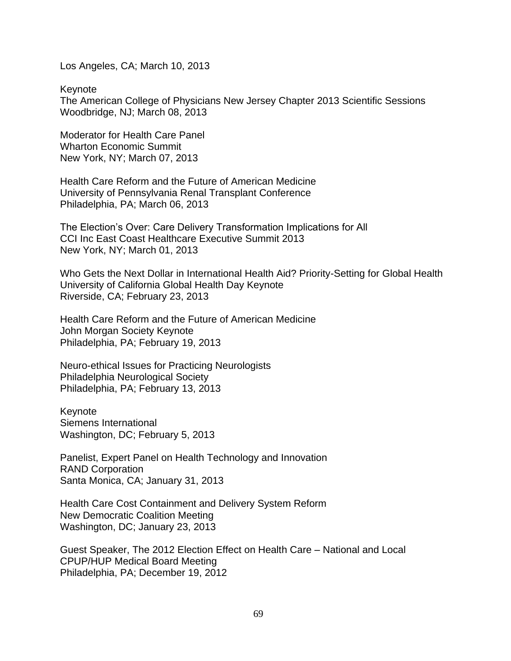Los Angeles, CA; March 10, 2013

Keynote

The American College of Physicians New Jersey Chapter 2013 Scientific Sessions Woodbridge, NJ; March 08, 2013

Moderator for Health Care Panel Wharton Economic Summit New York, NY; March 07, 2013

Health Care Reform and the Future of American Medicine University of Pennsylvania Renal Transplant Conference Philadelphia, PA; March 06, 2013

The Election's Over: Care Delivery Transformation Implications for All CCI Inc East Coast Healthcare Executive Summit 2013 New York, NY; March 01, 2013

Who Gets the Next Dollar in International Health Aid? Priority-Setting for Global Health University of California Global Health Day Keynote Riverside, CA; February 23, 2013

Health Care Reform and the Future of American Medicine John Morgan Society Keynote Philadelphia, PA; February 19, 2013

Neuro-ethical Issues for Practicing Neurologists Philadelphia Neurological Society Philadelphia, PA; February 13, 2013

Keynote Siemens International Washington, DC; February 5, 2013

Panelist, Expert Panel on Health Technology and Innovation RAND Corporation Santa Monica, CA; January 31, 2013

Health Care Cost Containment and Delivery System Reform New Democratic Coalition Meeting Washington, DC; January 23, 2013

Guest Speaker, The 2012 Election Effect on Health Care – National and Local CPUP/HUP Medical Board Meeting Philadelphia, PA; December 19, 2012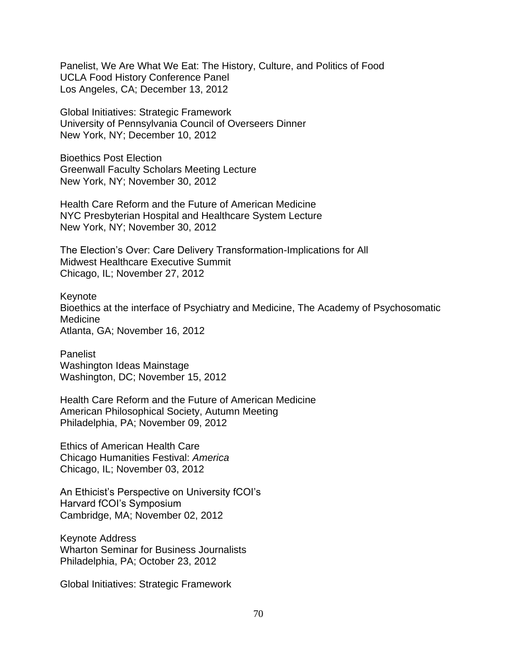Panelist, We Are What We Eat: The History, Culture, and Politics of Food UCLA Food History Conference Panel Los Angeles, CA; December 13, 2012

Global Initiatives: Strategic Framework University of Pennsylvania Council of Overseers Dinner New York, NY; December 10, 2012

Bioethics Post Election Greenwall Faculty Scholars Meeting Lecture New York, NY; November 30, 2012

Health Care Reform and the Future of American Medicine NYC Presbyterian Hospital and Healthcare System Lecture New York, NY; November 30, 2012

The Election's Over: Care Delivery Transformation-Implications for All Midwest Healthcare Executive Summit Chicago, IL; November 27, 2012

Keynote Bioethics at the interface of Psychiatry and Medicine, The Academy of Psychosomatic Medicine Atlanta, GA; November 16, 2012

**Panelist** Washington Ideas Mainstage Washington, DC; November 15, 2012

Health Care Reform and the Future of American Medicine American Philosophical Society, Autumn Meeting Philadelphia, PA; November 09, 2012

Ethics of American Health Care Chicago Humanities Festival: *America* Chicago, IL; November 03, 2012

An Ethicist's Perspective on University fCOI's Harvard fCOI's Symposium Cambridge, MA; November 02, 2012

Keynote Address Wharton Seminar for Business Journalists Philadelphia, PA; October 23, 2012

Global Initiatives: Strategic Framework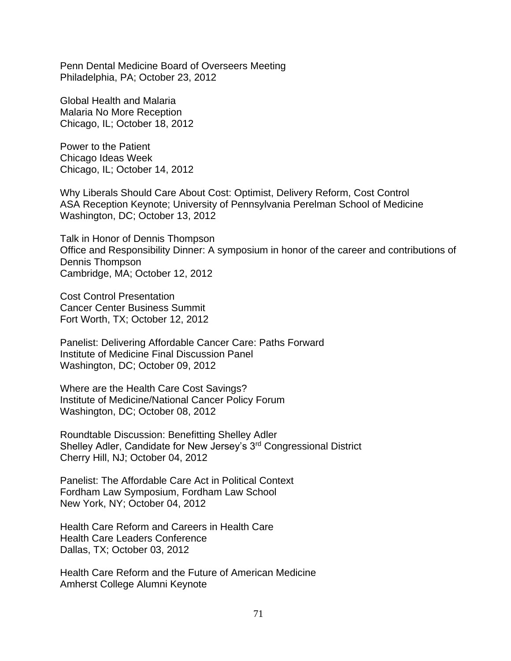Penn Dental Medicine Board of Overseers Meeting Philadelphia, PA; October 23, 2012

Global Health and Malaria Malaria No More Reception Chicago, IL; October 18, 2012

Power to the Patient Chicago Ideas Week Chicago, IL; October 14, 2012

Why Liberals Should Care About Cost: Optimist, Delivery Reform, Cost Control ASA Reception Keynote; University of Pennsylvania Perelman School of Medicine Washington, DC; October 13, 2012

Talk in Honor of Dennis Thompson Office and Responsibility Dinner: A symposium in honor of the career and contributions of Dennis Thompson Cambridge, MA; October 12, 2012

Cost Control Presentation Cancer Center Business Summit Fort Worth, TX; October 12, 2012

Panelist: Delivering Affordable Cancer Care: Paths Forward Institute of Medicine Final Discussion Panel Washington, DC; October 09, 2012

Where are the Health Care Cost Savings? Institute of Medicine/National Cancer Policy Forum Washington, DC; October 08, 2012

Roundtable Discussion: Benefitting Shelley Adler Shelley Adler, Candidate for New Jersey's 3rd Congressional District Cherry Hill, NJ; October 04, 2012

Panelist: The Affordable Care Act in Political Context Fordham Law Symposium, Fordham Law School New York, NY; October 04, 2012

Health Care Reform and Careers in Health Care Health Care Leaders Conference Dallas, TX; October 03, 2012

Health Care Reform and the Future of American Medicine Amherst College Alumni Keynote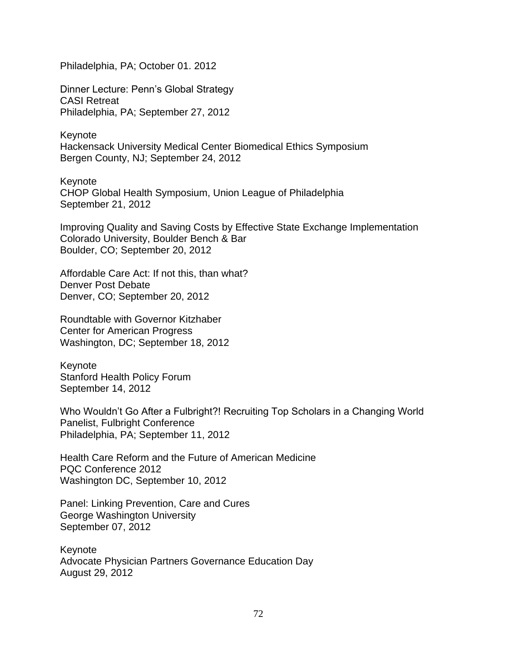Philadelphia, PA; October 01. 2012

Dinner Lecture: Penn's Global Strategy CASI Retreat Philadelphia, PA; September 27, 2012

Keynote Hackensack University Medical Center Biomedical Ethics Symposium Bergen County, NJ; September 24, 2012

Keynote CHOP Global Health Symposium, Union League of Philadelphia September 21, 2012

Improving Quality and Saving Costs by Effective State Exchange Implementation Colorado University, Boulder Bench & Bar Boulder, CO; September 20, 2012

Affordable Care Act: If not this, than what? Denver Post Debate Denver, CO; September 20, 2012

Roundtable with Governor Kitzhaber Center for American Progress Washington, DC; September 18, 2012

Keynote Stanford Health Policy Forum September 14, 2012

Who Wouldn't Go After a Fulbright?! Recruiting Top Scholars in a Changing World Panelist, Fulbright Conference Philadelphia, PA; September 11, 2012

Health Care Reform and the Future of American Medicine PQC Conference 2012 Washington DC, September 10, 2012

Panel: Linking Prevention, Care and Cures George Washington University September 07, 2012

Keynote Advocate Physician Partners Governance Education Day August 29, 2012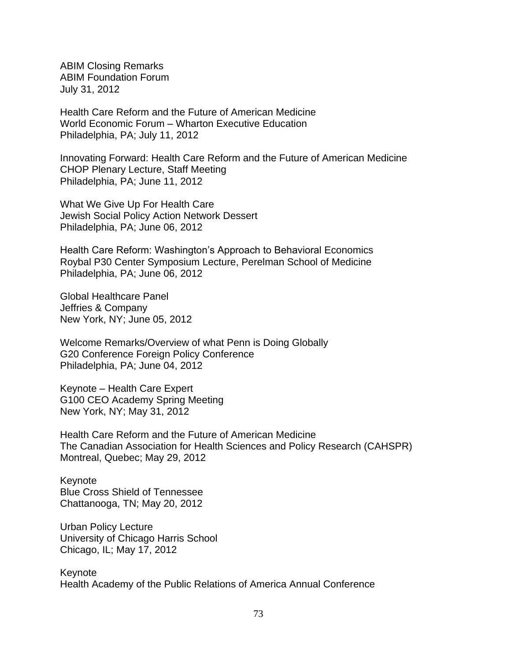ABIM Closing Remarks ABIM Foundation Forum July 31, 2012

Health Care Reform and the Future of American Medicine World Economic Forum – Wharton Executive Education Philadelphia, PA; July 11, 2012

Innovating Forward: Health Care Reform and the Future of American Medicine CHOP Plenary Lecture, Staff Meeting Philadelphia, PA; June 11, 2012

What We Give Up For Health Care Jewish Social Policy Action Network Dessert Philadelphia, PA; June 06, 2012

Health Care Reform: Washington's Approach to Behavioral Economics Roybal P30 Center Symposium Lecture, Perelman School of Medicine Philadelphia, PA; June 06, 2012

Global Healthcare Panel Jeffries & Company New York, NY; June 05, 2012

Welcome Remarks/Overview of what Penn is Doing Globally G20 Conference Foreign Policy Conference Philadelphia, PA; June 04, 2012

Keynote – Health Care Expert G100 CEO Academy Spring Meeting New York, NY; May 31, 2012

Health Care Reform and the Future of American Medicine The Canadian Association for Health Sciences and Policy Research (CAHSPR) Montreal, Quebec; May 29, 2012

Keynote Blue Cross Shield of Tennessee Chattanooga, TN; May 20, 2012

Urban Policy Lecture University of Chicago Harris School Chicago, IL; May 17, 2012

Keynote Health Academy of the Public Relations of America Annual Conference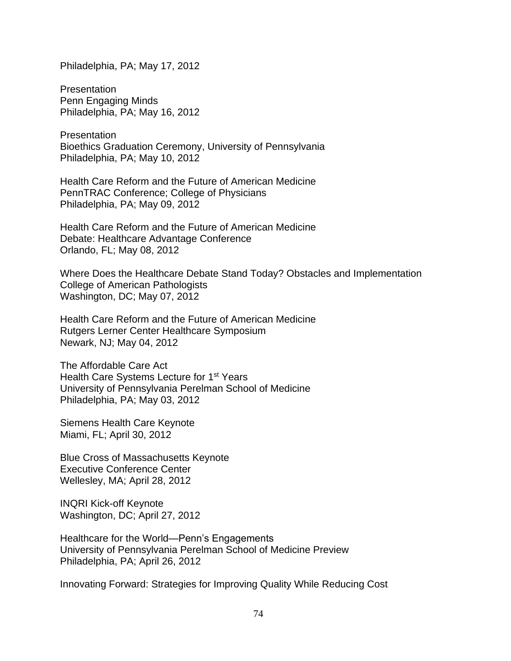Philadelphia, PA; May 17, 2012

Presentation Penn Engaging Minds Philadelphia, PA; May 16, 2012

**Presentation** Bioethics Graduation Ceremony, University of Pennsylvania Philadelphia, PA; May 10, 2012

Health Care Reform and the Future of American Medicine PennTRAC Conference; College of Physicians Philadelphia, PA; May 09, 2012

Health Care Reform and the Future of American Medicine Debate: Healthcare Advantage Conference Orlando, FL; May 08, 2012

Where Does the Healthcare Debate Stand Today? Obstacles and Implementation College of American Pathologists Washington, DC; May 07, 2012

Health Care Reform and the Future of American Medicine Rutgers Lerner Center Healthcare Symposium Newark, NJ; May 04, 2012

The Affordable Care Act Health Care Systems Lecture for 1st Years University of Pennsylvania Perelman School of Medicine Philadelphia, PA; May 03, 2012

Siemens Health Care Keynote Miami, FL; April 30, 2012

Blue Cross of Massachusetts Keynote Executive Conference Center Wellesley, MA; April 28, 2012

INQRI Kick-off Keynote Washington, DC; April 27, 2012

Healthcare for the World—Penn's Engagements University of Pennsylvania Perelman School of Medicine Preview Philadelphia, PA; April 26, 2012

Innovating Forward: Strategies for Improving Quality While Reducing Cost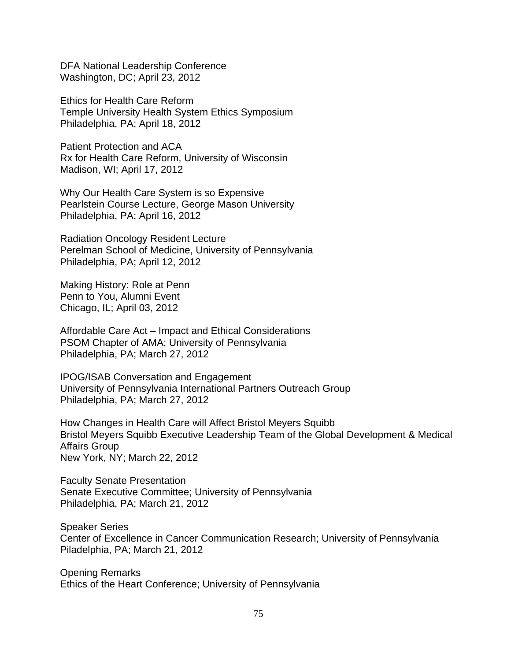DFA National Leadership Conference Washington, DC; April 23, 2012

Ethics for Health Care Reform Temple University Health System Ethics Symposium Philadelphia, PA; April 18, 2012

Patient Protection and ACA Rx for Health Care Reform, University of Wisconsin Madison, WI; April 17, 2012

Why Our Health Care System is so Expensive Pearlstein Course Lecture, George Mason University Philadelphia, PA; April 16, 2012

Radiation Oncology Resident Lecture Perelman School of Medicine, University of Pennsylvania Philadelphia, PA; April 12, 2012

Making History: Role at Penn Penn to You, Alumni Event Chicago, IL; April 03, 2012

Affordable Care Act – Impact and Ethical Considerations PSOM Chapter of AMA; University of Pennsylvania Philadelphia, PA; March 27, 2012

IPOG/ISAB Conversation and Engagement University of Pennsylvania International Partners Outreach Group Philadelphia, PA; March 27, 2012

How Changes in Health Care will Affect Bristol Meyers Squibb Bristol Meyers Squibb Executive Leadership Team of the Global Development & Medical Affairs Group New York, NY; March 22, 2012

Faculty Senate Presentation Senate Executive Committee; University of Pennsylvania Philadelphia, PA; March 21, 2012

Speaker Series Center of Excellence in Cancer Communication Research; University of Pennsylvania Piladelphia, PA; March 21, 2012

Opening Remarks Ethics of the Heart Conference; University of Pennsylvania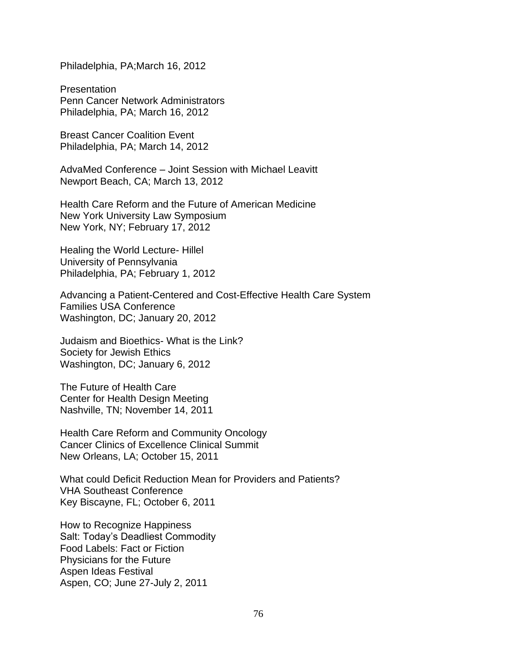Philadelphia, PA;March 16, 2012

**Presentation** Penn Cancer Network Administrators Philadelphia, PA; March 16, 2012

Breast Cancer Coalition Event Philadelphia, PA; March 14, 2012

AdvaMed Conference – Joint Session with Michael Leavitt Newport Beach, CA; March 13, 2012

Health Care Reform and the Future of American Medicine New York University Law Symposium New York, NY; February 17, 2012

Healing the World Lecture- Hillel University of Pennsylvania Philadelphia, PA; February 1, 2012

Advancing a Patient-Centered and Cost-Effective Health Care System Families USA Conference Washington, DC; January 20, 2012

Judaism and Bioethics- What is the Link? Society for Jewish Ethics Washington, DC; January 6, 2012

The Future of Health Care Center for Health Design Meeting Nashville, TN; November 14, 2011

Health Care Reform and Community Oncology Cancer Clinics of Excellence Clinical Summit New Orleans, LA; October 15, 2011

What could Deficit Reduction Mean for Providers and Patients? VHA Southeast Conference Key Biscayne, FL; October 6, 2011

How to Recognize Happiness Salt: Today's Deadliest Commodity Food Labels: Fact or Fiction Physicians for the Future Aspen Ideas Festival Aspen, CO; June 27-July 2, 2011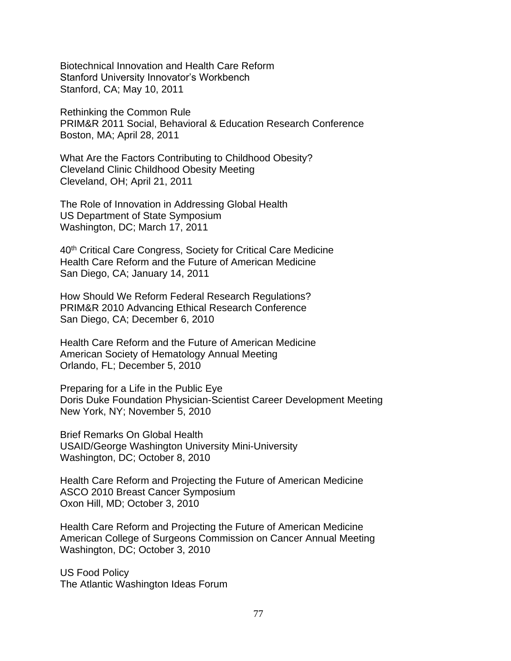Biotechnical Innovation and Health Care Reform Stanford University Innovator's Workbench Stanford, CA; May 10, 2011

Rethinking the Common Rule PRIM&R 2011 Social, Behavioral & Education Research Conference Boston, MA; April 28, 2011

What Are the Factors Contributing to Childhood Obesity? Cleveland Clinic Childhood Obesity Meeting Cleveland, OH; April 21, 2011

The Role of Innovation in Addressing Global Health US Department of State Symposium Washington, DC; March 17, 2011

40th Critical Care Congress, Society for Critical Care Medicine Health Care Reform and the Future of American Medicine San Diego, CA; January 14, 2011

How Should We Reform Federal Research Regulations? PRIM&R 2010 Advancing Ethical Research Conference San Diego, CA; December 6, 2010

Health Care Reform and the Future of American Medicine American Society of Hematology Annual Meeting Orlando, FL; December 5, 2010

Preparing for a Life in the Public Eye Doris Duke Foundation Physician-Scientist Career Development Meeting New York, NY; November 5, 2010

Brief Remarks On Global Health USAID/George Washington University Mini-University Washington, DC; October 8, 2010

Health Care Reform and Projecting the Future of American Medicine ASCO 2010 Breast Cancer Symposium Oxon Hill, MD; October 3, 2010

Health Care Reform and Projecting the Future of American Medicine American College of Surgeons Commission on Cancer Annual Meeting Washington, DC; October 3, 2010

US Food Policy The Atlantic Washington Ideas Forum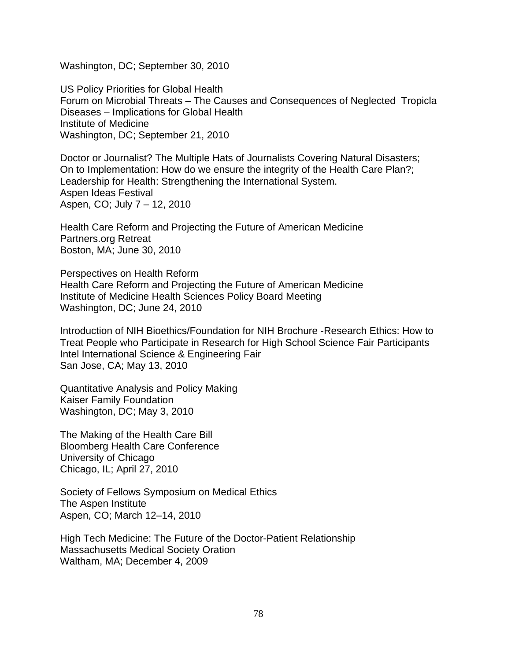Washington, DC; September 30, 2010

US Policy Priorities for Global Health Forum on Microbial Threats – The Causes and Consequences of Neglected Tropicla Diseases – Implications for Global Health Institute of Medicine Washington, DC; September 21, 2010

Doctor or Journalist? The Multiple Hats of Journalists Covering Natural Disasters; On to Implementation: How do we ensure the integrity of the Health Care Plan?; Leadership for Health: Strengthening the International System. Aspen Ideas Festival Aspen, CO; July 7 – 12, 2010

Health Care Reform and Projecting the Future of American Medicine Partners.org Retreat Boston, MA; June 30, 2010

Perspectives on Health Reform Health Care Reform and Projecting the Future of American Medicine Institute of Medicine Health Sciences Policy Board Meeting Washington, DC; June 24, 2010

Introduction of NIH Bioethics/Foundation for NIH Brochure -Research Ethics: How to Treat People who Participate in Research for High School Science Fair Participants Intel International Science & Engineering Fair San Jose, CA; May 13, 2010

Quantitative Analysis and Policy Making Kaiser Family Foundation Washington, DC; May 3, 2010

The Making of the Health Care Bill Bloomberg Health Care Conference University of Chicago Chicago, IL; April 27, 2010

Society of Fellows Symposium on Medical Ethics The Aspen Institute Aspen, CO; March 12–14, 2010

High Tech Medicine: The Future of the Doctor-Patient Relationship Massachusetts Medical Society Oration Waltham, MA; December 4, 2009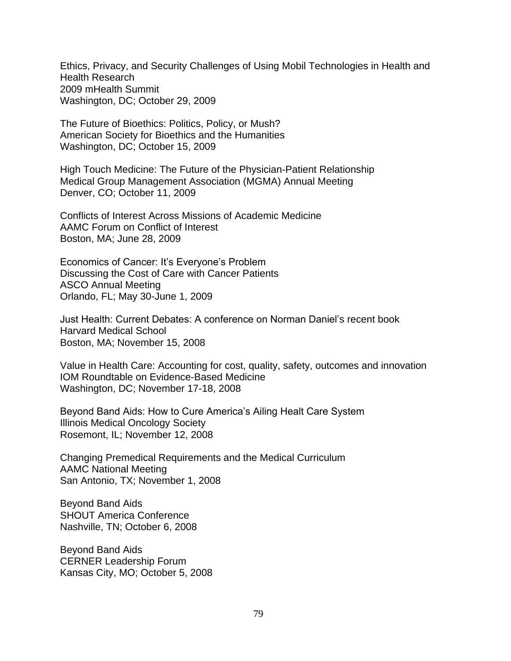Ethics, Privacy, and Security Challenges of Using Mobil Technologies in Health and Health Research 2009 mHealth Summit Washington, DC; October 29, 2009

The Future of Bioethics: Politics, Policy, or Mush? American Society for Bioethics and the Humanities Washington, DC; October 15, 2009

High Touch Medicine: The Future of the Physician-Patient Relationship Medical Group Management Association (MGMA) Annual Meeting Denver, CO; October 11, 2009

Conflicts of Interest Across Missions of Academic Medicine AAMC Forum on Conflict of Interest Boston, MA; June 28, 2009

Economics of Cancer: It's Everyone's Problem Discussing the Cost of Care with Cancer Patients ASCO Annual Meeting Orlando, FL; May 30-June 1, 2009

Just Health: Current Debates: A conference on Norman Daniel's recent book Harvard Medical School Boston, MA; November 15, 2008

Value in Health Care: Accounting for cost, quality, safety, outcomes and innovation IOM Roundtable on Evidence-Based Medicine Washington, DC; November 17-18, 2008

Beyond Band Aids: How to Cure America's Ailing Healt Care System Illinois Medical Oncology Society Rosemont, IL; November 12, 2008

Changing Premedical Requirements and the Medical Curriculum AAMC National Meeting San Antonio, TX; November 1, 2008

Beyond Band Aids SHOUT America Conference Nashville, TN; October 6, 2008

Beyond Band Aids CERNER Leadership Forum Kansas City, MO; October 5, 2008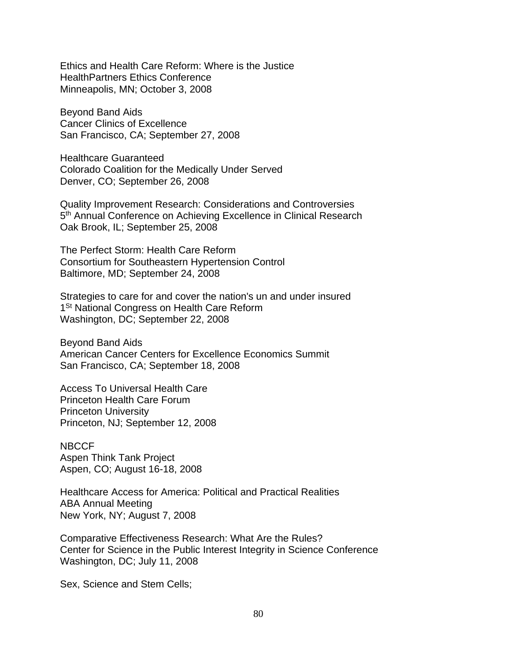Ethics and Health Care Reform: Where is the Justice HealthPartners Ethics Conference Minneapolis, MN; October 3, 2008

Beyond Band Aids Cancer Clinics of Excellence San Francisco, CA; September 27, 2008

Healthcare Guaranteed Colorado Coalition for the Medically Under Served Denver, CO; September 26, 2008

Quality Improvement Research: Considerations and Controversies 5<sup>th</sup> Annual Conference on Achieving Excellence in Clinical Research Oak Brook, IL; September 25, 2008

The Perfect Storm: Health Care Reform Consortium for Southeastern Hypertension Control Baltimore, MD; September 24, 2008

Strategies to care for and cover the nation's un and under insured 1<sup>St</sup> National Congress on Health Care Reform Washington, DC; September 22, 2008

Beyond Band Aids American Cancer Centers for Excellence Economics Summit San Francisco, CA; September 18, 2008

Access To Universal Health Care Princeton Health Care Forum Princeton University Princeton, NJ; September 12, 2008

NBCCF Aspen Think Tank Project Aspen, CO; August 16-18, 2008

Healthcare Access for America: Political and Practical Realities ABA Annual Meeting New York, NY; August 7, 2008

Comparative Effectiveness Research: What Are the Rules? Center for Science in the Public Interest Integrity in Science Conference Washington, DC; July 11, 2008

Sex, Science and Stem Cells;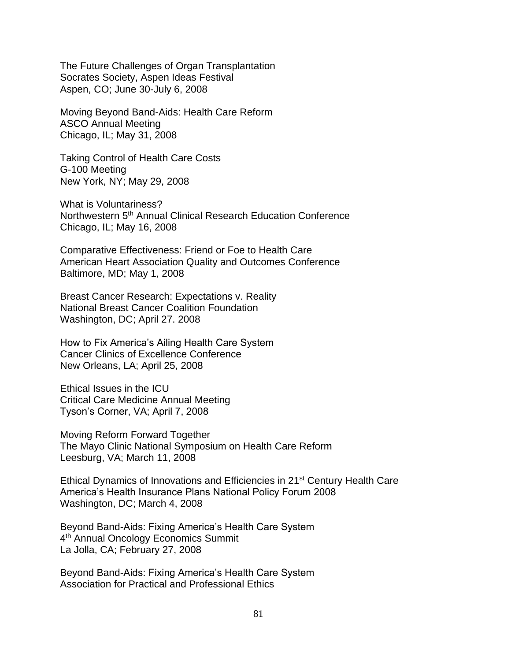The Future Challenges of Organ Transplantation Socrates Society, Aspen Ideas Festival Aspen, CO; June 30-July 6, 2008

Moving Beyond Band-Aids: Health Care Reform ASCO Annual Meeting Chicago, IL; May 31, 2008

Taking Control of Health Care Costs G-100 Meeting New York, NY; May 29, 2008

What is Voluntariness? Northwestern 5<sup>th</sup> Annual Clinical Research Education Conference Chicago, IL; May 16, 2008

Comparative Effectiveness: Friend or Foe to Health Care American Heart Association Quality and Outcomes Conference Baltimore, MD; May 1, 2008

Breast Cancer Research: Expectations v. Reality National Breast Cancer Coalition Foundation Washington, DC; April 27. 2008

How to Fix America's Ailing Health Care System Cancer Clinics of Excellence Conference New Orleans, LA; April 25, 2008

Ethical Issues in the ICU Critical Care Medicine Annual Meeting Tyson's Corner, VA; April 7, 2008

Moving Reform Forward Together The Mayo Clinic National Symposium on Health Care Reform Leesburg, VA; March 11, 2008

Ethical Dynamics of Innovations and Efficiencies in 21st Century Health Care America's Health Insurance Plans National Policy Forum 2008 Washington, DC; March 4, 2008

Beyond Band-Aids: Fixing America's Health Care System 4<sup>th</sup> Annual Oncology Economics Summit La Jolla, CA; February 27, 2008

Beyond Band-Aids: Fixing America's Health Care System Association for Practical and Professional Ethics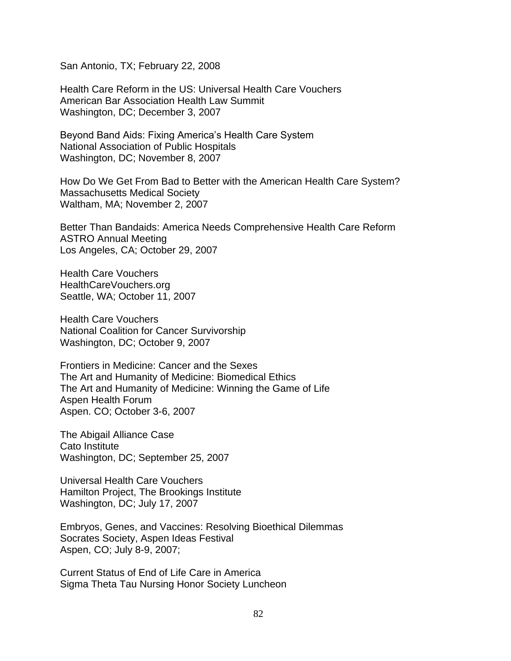San Antonio, TX; February 22, 2008

Health Care Reform in the US: Universal Health Care Vouchers American Bar Association Health Law Summit Washington, DC; December 3, 2007

Beyond Band Aids: Fixing America's Health Care System National Association of Public Hospitals Washington, DC; November 8, 2007

How Do We Get From Bad to Better with the American Health Care System? Massachusetts Medical Society Waltham, MA; November 2, 2007

Better Than Bandaids: America Needs Comprehensive Health Care Reform ASTRO Annual Meeting Los Angeles, CA; October 29, 2007

Health Care Vouchers HealthCareVouchers.org Seattle, WA; October 11, 2007

Health Care Vouchers National Coalition for Cancer Survivorship Washington, DC; October 9, 2007

Frontiers in Medicine: Cancer and the Sexes The Art and Humanity of Medicine: Biomedical Ethics The Art and Humanity of Medicine: Winning the Game of Life Aspen Health Forum Aspen. CO; October 3-6, 2007

The Abigail Alliance Case Cato Institute Washington, DC; September 25, 2007

Universal Health Care Vouchers Hamilton Project, The Brookings Institute Washington, DC; July 17, 2007

Embryos, Genes, and Vaccines: Resolving Bioethical Dilemmas Socrates Society, Aspen Ideas Festival Aspen, CO; July 8-9, 2007;

Current Status of End of Life Care in America Sigma Theta Tau Nursing Honor Society Luncheon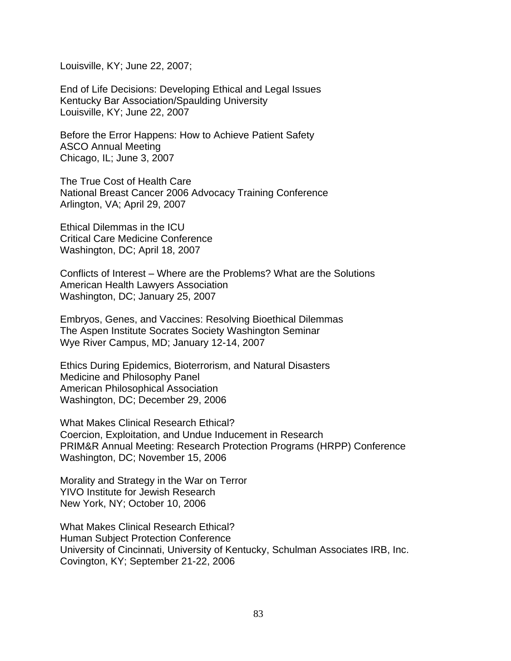Louisville, KY; June 22, 2007;

End of Life Decisions: Developing Ethical and Legal Issues Kentucky Bar Association/Spaulding University Louisville, KY; June 22, 2007

Before the Error Happens: How to Achieve Patient Safety ASCO Annual Meeting Chicago, IL; June 3, 2007

The True Cost of Health Care National Breast Cancer 2006 Advocacy Training Conference Arlington, VA; April 29, 2007

Ethical Dilemmas in the ICU Critical Care Medicine Conference Washington, DC; April 18, 2007

Conflicts of Interest – Where are the Problems? What are the Solutions American Health Lawyers Association Washington, DC; January 25, 2007

Embryos, Genes, and Vaccines: Resolving Bioethical Dilemmas The Aspen Institute Socrates Society Washington Seminar Wye River Campus, MD; January 12-14, 2007

Ethics During Epidemics, Bioterrorism, and Natural Disasters Medicine and Philosophy Panel American Philosophical Association Washington, DC; December 29, 2006

What Makes Clinical Research Ethical? Coercion, Exploitation, and Undue Inducement in Research PRIM&R Annual Meeting: Research Protection Programs (HRPP) Conference Washington, DC; November 15, 2006

Morality and Strategy in the War on Terror YIVO Institute for Jewish Research New York, NY; October 10, 2006

What Makes Clinical Research Ethical? Human Subject Protection Conference University of Cincinnati, University of Kentucky, Schulman Associates IRB, Inc. Covington, KY; September 21-22, 2006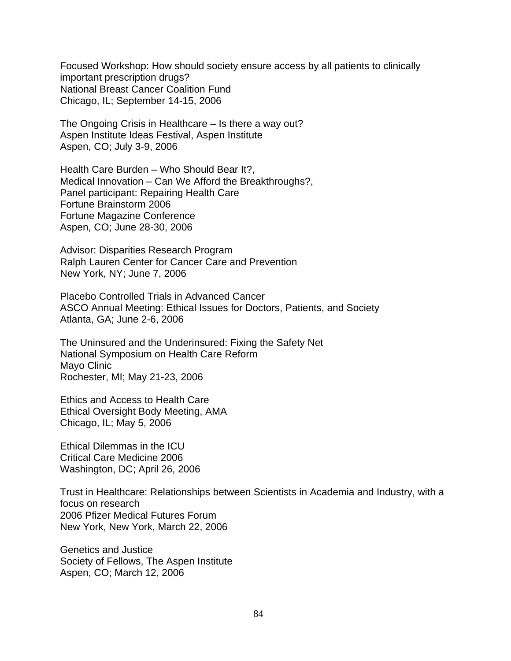Focused Workshop: How should society ensure access by all patients to clinically important prescription drugs? National Breast Cancer Coalition Fund Chicago, IL; September 14-15, 2006

The Ongoing Crisis in Healthcare – Is there a way out? Aspen Institute Ideas Festival, Aspen Institute Aspen, CO; July 3-9, 2006

Health Care Burden – Who Should Bear It?, Medical Innovation – Can We Afford the Breakthroughs?, Panel participant: Repairing Health Care Fortune Brainstorm 2006 Fortune Magazine Conference Aspen, CO; June 28-30, 2006

Advisor: Disparities Research Program Ralph Lauren Center for Cancer Care and Prevention New York, NY; June 7, 2006

Placebo Controlled Trials in Advanced Cancer ASCO Annual Meeting: Ethical Issues for Doctors, Patients, and Society Atlanta, GA; June 2-6, 2006

The Uninsured and the Underinsured: Fixing the Safety Net National Symposium on Health Care Reform Mayo Clinic Rochester, MI; May 21-23, 2006

Ethics and Access to Health Care Ethical Oversight Body Meeting, AMA Chicago, IL; May 5, 2006

Ethical Dilemmas in the ICU Critical Care Medicine 2006 Washington, DC; April 26, 2006

Trust in Healthcare: Relationships between Scientists in Academia and Industry, with a focus on research 2006 Pfizer Medical Futures Forum New York, New York, March 22, 2006

Genetics and Justice Society of Fellows, The Aspen Institute Aspen, CO; March 12, 2006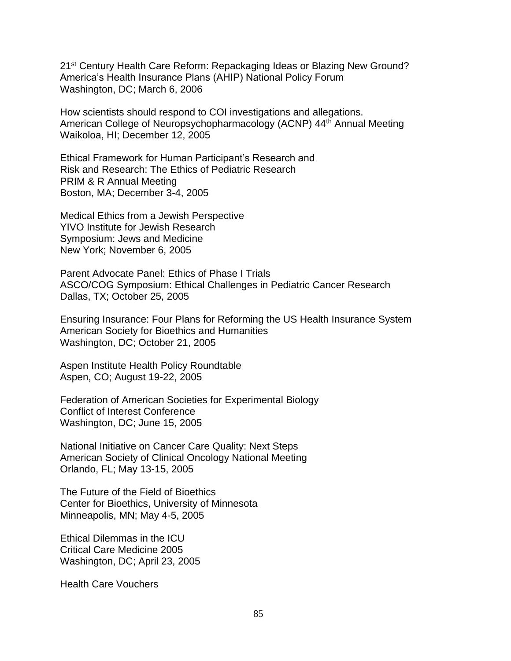21st Century Health Care Reform: Repackaging Ideas or Blazing New Ground? America's Health Insurance Plans (AHIP) National Policy Forum Washington, DC; March 6, 2006

How scientists should respond to COI investigations and allegations. American College of Neuropsychopharmacology (ACNP) 44<sup>th</sup> Annual Meeting Waikoloa, HI; December 12, 2005

Ethical Framework for Human Participant's Research and Risk and Research: The Ethics of Pediatric Research PRIM & R Annual Meeting Boston, MA; December 3-4, 2005

Medical Ethics from a Jewish Perspective YIVO Institute for Jewish Research Symposium: Jews and Medicine New York; November 6, 2005

Parent Advocate Panel: Ethics of Phase I Trials ASCO/COG Symposium: Ethical Challenges in Pediatric Cancer Research Dallas, TX; October 25, 2005

Ensuring Insurance: Four Plans for Reforming the US Health Insurance System American Society for Bioethics and Humanities Washington, DC; October 21, 2005

Aspen Institute Health Policy Roundtable Aspen, CO; August 19-22, 2005

Federation of American Societies for Experimental Biology Conflict of Interest Conference Washington, DC; June 15, 2005

National Initiative on Cancer Care Quality: Next Steps American Society of Clinical Oncology National Meeting Orlando, FL; May 13-15, 2005

The Future of the Field of Bioethics Center for Bioethics, University of Minnesota Minneapolis, MN; May 4-5, 2005

Ethical Dilemmas in the ICU Critical Care Medicine 2005 Washington, DC; April 23, 2005

Health Care Vouchers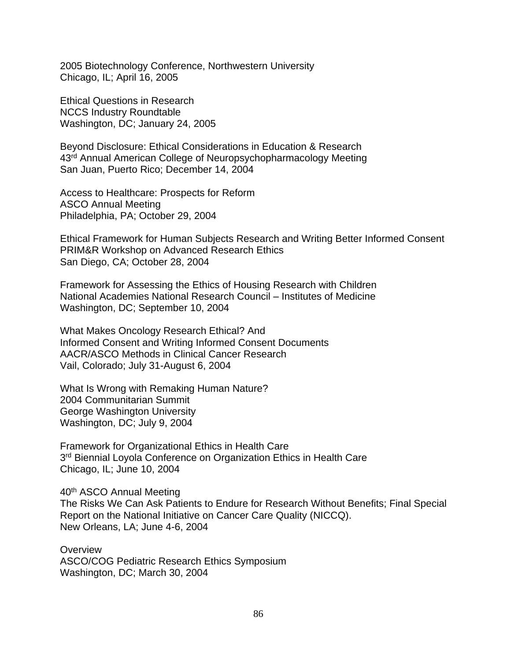2005 Biotechnology Conference, Northwestern University Chicago, IL; April 16, 2005

Ethical Questions in Research NCCS Industry Roundtable Washington, DC; January 24, 2005

Beyond Disclosure: Ethical Considerations in Education & Research 43<sup>rd</sup> Annual American College of Neuropsychopharmacology Meeting San Juan, Puerto Rico; December 14, 2004

Access to Healthcare: Prospects for Reform ASCO Annual Meeting Philadelphia, PA; October 29, 2004

Ethical Framework for Human Subjects Research and Writing Better Informed Consent PRIM&R Workshop on Advanced Research Ethics San Diego, CA; October 28, 2004

Framework for Assessing the Ethics of Housing Research with Children National Academies National Research Council – Institutes of Medicine Washington, DC; September 10, 2004

What Makes Oncology Research Ethical? And Informed Consent and Writing Informed Consent Documents AACR/ASCO Methods in Clinical Cancer Research Vail, Colorado; July 31-August 6, 2004

What Is Wrong with Remaking Human Nature? 2004 Communitarian Summit George Washington University Washington, DC; July 9, 2004

Framework for Organizational Ethics in Health Care 3<sup>rd</sup> Biennial Loyola Conference on Organization Ethics in Health Care Chicago, IL; June 10, 2004

40th ASCO Annual Meeting The Risks We Can Ask Patients to Endure for Research Without Benefits; Final Special Report on the National Initiative on Cancer Care Quality (NICCQ). New Orleans, LA; June 4-6, 2004

**Overview** ASCO/COG Pediatric Research Ethics Symposium Washington, DC; March 30, 2004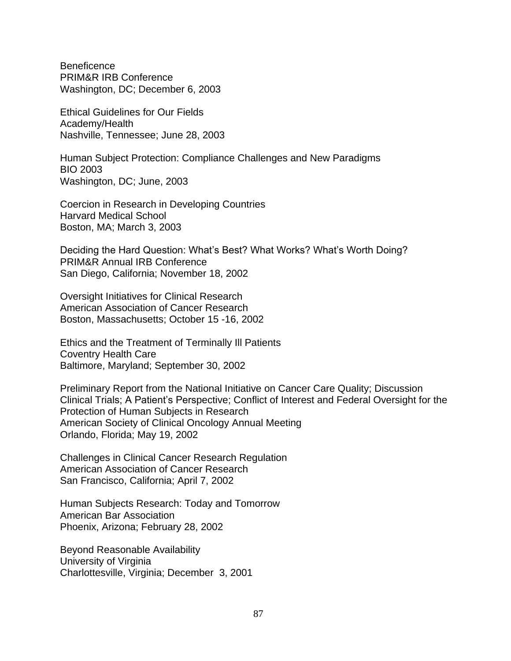**Beneficence** PRIM&R IRB Conference Washington, DC; December 6, 2003

Ethical Guidelines for Our Fields Academy/Health Nashville, Tennessee; June 28, 2003

Human Subject Protection: Compliance Challenges and New Paradigms BIO 2003 Washington, DC; June, 2003

Coercion in Research in Developing Countries Harvard Medical School Boston, MA; March 3, 2003

Deciding the Hard Question: What's Best? What Works? What's Worth Doing? PRIM&R Annual IRB Conference San Diego, California; November 18, 2002

Oversight Initiatives for Clinical Research American Association of Cancer Research Boston, Massachusetts; October 15 -16, 2002

Ethics and the Treatment of Terminally Ill Patients Coventry Health Care Baltimore, Maryland; September 30, 2002

Preliminary Report from the National Initiative on Cancer Care Quality; Discussion Clinical Trials; A Patient's Perspective; Conflict of Interest and Federal Oversight for the Protection of Human Subjects in Research American Society of Clinical Oncology Annual Meeting Orlando, Florida; May 19, 2002

Challenges in Clinical Cancer Research Regulation American Association of Cancer Research San Francisco, California; April 7, 2002

Human Subjects Research: Today and Tomorrow American Bar Association Phoenix, Arizona; February 28, 2002

Beyond Reasonable Availability University of Virginia Charlottesville, Virginia; December 3, 2001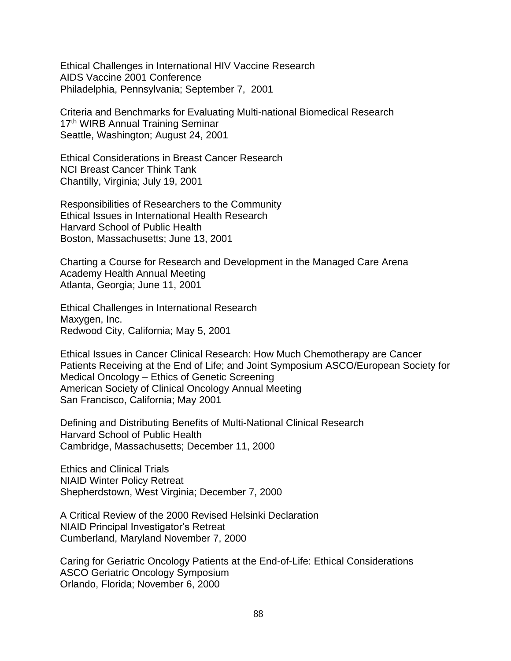Ethical Challenges in International HIV Vaccine Research AIDS Vaccine 2001 Conference Philadelphia, Pennsylvania; September 7, 2001

Criteria and Benchmarks for Evaluating Multi-national Biomedical Research 17<sup>th</sup> WIRB Annual Training Seminar Seattle, Washington; August 24, 2001

Ethical Considerations in Breast Cancer Research NCI Breast Cancer Think Tank Chantilly, Virginia; July 19, 2001

Responsibilities of Researchers to the Community Ethical Issues in International Health Research Harvard School of Public Health Boston, Massachusetts; June 13, 2001

Charting a Course for Research and Development in the Managed Care Arena Academy Health Annual Meeting Atlanta, Georgia; June 11, 2001

Ethical Challenges in International Research Maxygen, Inc. Redwood City, California; May 5, 2001

Ethical Issues in Cancer Clinical Research: How Much Chemotherapy are Cancer Patients Receiving at the End of Life; and Joint Symposium ASCO/European Society for Medical Oncology – Ethics of Genetic Screening American Society of Clinical Oncology Annual Meeting San Francisco, California; May 2001

Defining and Distributing Benefits of Multi-National Clinical Research Harvard School of Public Health Cambridge, Massachusetts; December 11, 2000

Ethics and Clinical Trials NIAID Winter Policy Retreat Shepherdstown, West Virginia; December 7, 2000

A Critical Review of the 2000 Revised Helsinki Declaration NIAID Principal Investigator's Retreat Cumberland, Maryland November 7, 2000

Caring for Geriatric Oncology Patients at the End-of-Life: Ethical Considerations ASCO Geriatric Oncology Symposium Orlando, Florida; November 6, 2000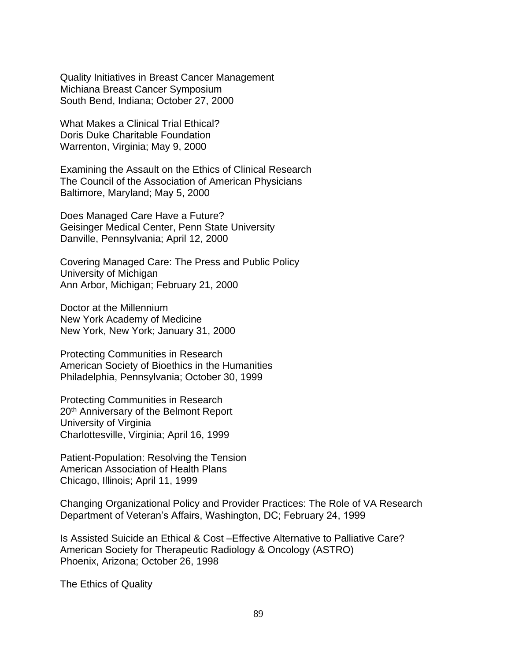Quality Initiatives in Breast Cancer Management Michiana Breast Cancer Symposium South Bend, Indiana; October 27, 2000

What Makes a Clinical Trial Ethical? Doris Duke Charitable Foundation Warrenton, Virginia; May 9, 2000

Examining the Assault on the Ethics of Clinical Research The Council of the Association of American Physicians Baltimore, Maryland; May 5, 2000

Does Managed Care Have a Future? Geisinger Medical Center, Penn State University Danville, Pennsylvania; April 12, 2000

Covering Managed Care: The Press and Public Policy University of Michigan Ann Arbor, Michigan; February 21, 2000

Doctor at the Millennium New York Academy of Medicine New York, New York; January 31, 2000

Protecting Communities in Research American Society of Bioethics in the Humanities Philadelphia, Pennsylvania; October 30, 1999

Protecting Communities in Research 20<sup>th</sup> Anniversary of the Belmont Report University of Virginia Charlottesville, Virginia; April 16, 1999

Patient-Population: Resolving the Tension American Association of Health Plans Chicago, Illinois; April 11, 1999

Changing Organizational Policy and Provider Practices: The Role of VA Research Department of Veteran's Affairs, Washington, DC; February 24, 1999

Is Assisted Suicide an Ethical & Cost –Effective Alternative to Palliative Care? American Society for Therapeutic Radiology & Oncology (ASTRO) Phoenix, Arizona; October 26, 1998

The Ethics of Quality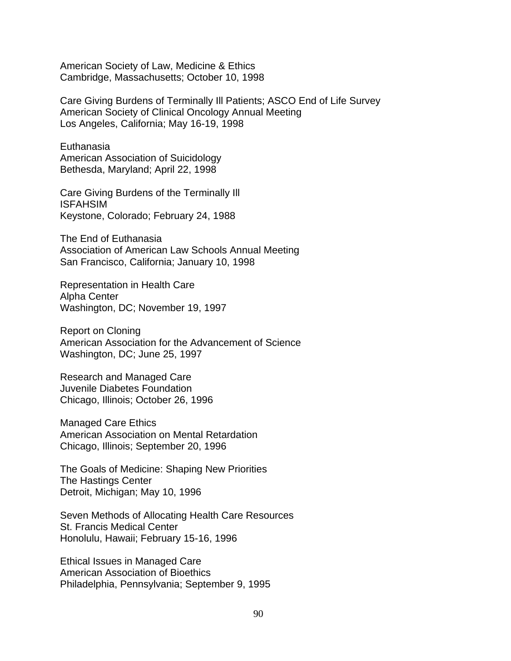American Society of Law, Medicine & Ethics Cambridge, Massachusetts; October 10, 1998

Care Giving Burdens of Terminally Ill Patients; ASCO End of Life Survey American Society of Clinical Oncology Annual Meeting Los Angeles, California; May 16-19, 1998

Euthanasia American Association of Suicidology Bethesda, Maryland; April 22, 1998

Care Giving Burdens of the Terminally Ill ISFAHSIM Keystone, Colorado; February 24, 1988

The End of Euthanasia Association of American Law Schools Annual Meeting San Francisco, California; January 10, 1998

Representation in Health Care Alpha Center Washington, DC; November 19, 1997

Report on Cloning American Association for the Advancement of Science Washington, DC; June 25, 1997

Research and Managed Care Juvenile Diabetes Foundation Chicago, Illinois; October 26, 1996

Managed Care Ethics American Association on Mental Retardation Chicago, Illinois; September 20, 1996

The Goals of Medicine: Shaping New Priorities The Hastings Center Detroit, Michigan; May 10, 1996

Seven Methods of Allocating Health Care Resources St. Francis Medical Center Honolulu, Hawaii; February 15-16, 1996

Ethical Issues in Managed Care American Association of Bioethics Philadelphia, Pennsylvania; September 9, 1995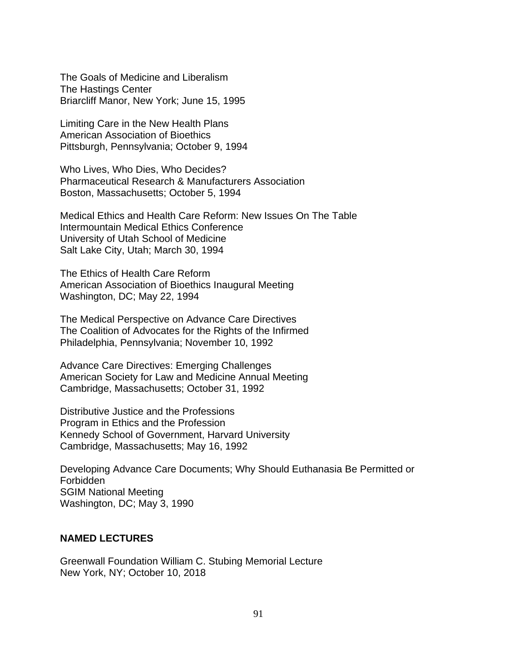The Goals of Medicine and Liberalism The Hastings Center Briarcliff Manor, New York; June 15, 1995

Limiting Care in the New Health Plans American Association of Bioethics Pittsburgh, Pennsylvania; October 9, 1994

Who Lives, Who Dies, Who Decides? Pharmaceutical Research & Manufacturers Association Boston, Massachusetts; October 5, 1994

Medical Ethics and Health Care Reform: New Issues On The Table Intermountain Medical Ethics Conference University of Utah School of Medicine Salt Lake City, Utah; March 30, 1994

The Ethics of Health Care Reform American Association of Bioethics Inaugural Meeting Washington, DC; May 22, 1994

The Medical Perspective on Advance Care Directives The Coalition of Advocates for the Rights of the Infirmed Philadelphia, Pennsylvania; November 10, 1992

Advance Care Directives: Emerging Challenges American Society for Law and Medicine Annual Meeting Cambridge, Massachusetts; October 31, 1992

Distributive Justice and the Professions Program in Ethics and the Profession Kennedy School of Government, Harvard University Cambridge, Massachusetts; May 16, 1992

Developing Advance Care Documents; Why Should Euthanasia Be Permitted or Forbidden SGIM National Meeting Washington, DC; May 3, 1990

## **NAMED LECTURES**

Greenwall Foundation William C. Stubing Memorial Lecture New York, NY; October 10, 2018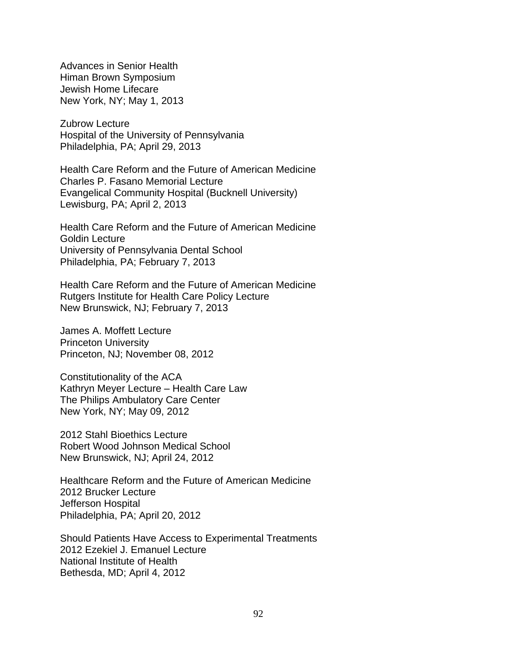Advances in Senior Health Himan Brown Symposium Jewish Home Lifecare New York, NY; May 1, 2013

Zubrow Lecture Hospital of the University of Pennsylvania Philadelphia, PA; April 29, 2013

Health Care Reform and the Future of American Medicine Charles P. Fasano Memorial Lecture Evangelical Community Hospital (Bucknell University) Lewisburg, PA; April 2, 2013

Health Care Reform and the Future of American Medicine Goldin Lecture University of Pennsylvania Dental School Philadelphia, PA; February 7, 2013

Health Care Reform and the Future of American Medicine Rutgers Institute for Health Care Policy Lecture New Brunswick, NJ; February 7, 2013

James A. Moffett Lecture Princeton University Princeton, NJ; November 08, 2012

Constitutionality of the ACA Kathryn Meyer Lecture – Health Care Law The Philips Ambulatory Care Center New York, NY; May 09, 2012

2012 Stahl Bioethics Lecture Robert Wood Johnson Medical School New Brunswick, NJ; April 24, 2012

Healthcare Reform and the Future of American Medicine 2012 Brucker Lecture Jefferson Hospital Philadelphia, PA; April 20, 2012

Should Patients Have Access to Experimental Treatments 2012 Ezekiel J. Emanuel Lecture National Institute of Health Bethesda, MD; April 4, 2012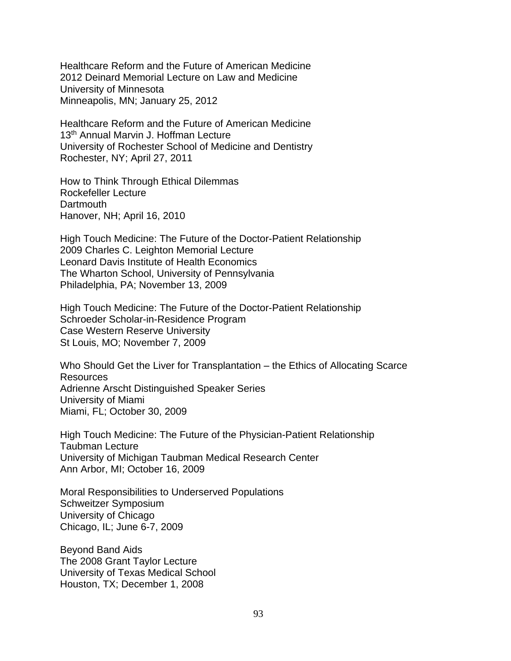Healthcare Reform and the Future of American Medicine 2012 Deinard Memorial Lecture on Law and Medicine University of Minnesota Minneapolis, MN; January 25, 2012

Healthcare Reform and the Future of American Medicine 13th Annual Marvin J. Hoffman Lecture University of Rochester School of Medicine and Dentistry Rochester, NY; April 27, 2011

How to Think Through Ethical Dilemmas Rockefeller Lecture **Dartmouth** Hanover, NH; April 16, 2010

High Touch Medicine: The Future of the Doctor-Patient Relationship 2009 Charles C. Leighton Memorial Lecture Leonard Davis Institute of Health Economics The Wharton School, University of Pennsylvania Philadelphia, PA; November 13, 2009

High Touch Medicine: The Future of the Doctor-Patient Relationship Schroeder Scholar-in-Residence Program Case Western Reserve University St Louis, MO; November 7, 2009

Who Should Get the Liver for Transplantation – the Ethics of Allocating Scarce Resources Adrienne Arscht Distinguished Speaker Series University of Miami Miami, FL; October 30, 2009

High Touch Medicine: The Future of the Physician-Patient Relationship Taubman Lecture University of Michigan Taubman Medical Research Center Ann Arbor, MI; October 16, 2009

Moral Responsibilities to Underserved Populations Schweitzer Symposium University of Chicago Chicago, IL; June 6-7, 2009

Beyond Band Aids The 2008 Grant Taylor Lecture University of Texas Medical School Houston, TX; December 1, 2008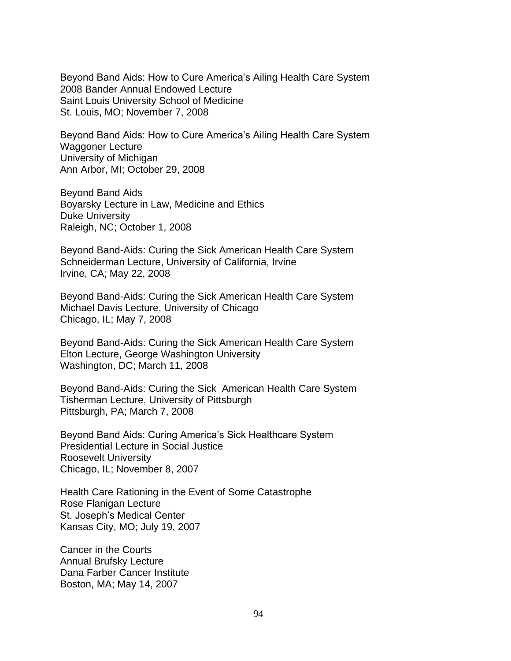Beyond Band Aids: How to Cure America's Ailing Health Care System 2008 Bander Annual Endowed Lecture Saint Louis University School of Medicine St. Louis, MO; November 7, 2008

Beyond Band Aids: How to Cure America's Ailing Health Care System Waggoner Lecture University of Michigan Ann Arbor, MI; October 29, 2008

Beyond Band Aids Boyarsky Lecture in Law, Medicine and Ethics Duke University Raleigh, NC; October 1, 2008

Beyond Band-Aids: Curing the Sick American Health Care System Schneiderman Lecture, University of California, Irvine Irvine, CA; May 22, 2008

Beyond Band-Aids: Curing the Sick American Health Care System Michael Davis Lecture, University of Chicago Chicago, IL; May 7, 2008

Beyond Band-Aids: Curing the Sick American Health Care System Elton Lecture, George Washington University Washington, DC; March 11, 2008

Beyond Band-Aids: Curing the Sick American Health Care System Tisherman Lecture, University of Pittsburgh Pittsburgh, PA; March 7, 2008

Beyond Band Aids: Curing America's Sick Healthcare System Presidential Lecture in Social Justice Roosevelt University Chicago, IL; November 8, 2007

Health Care Rationing in the Event of Some Catastrophe Rose Flanigan Lecture St. Joseph's Medical Center Kansas City, MO; July 19, 2007

Cancer in the Courts Annual Brufsky Lecture Dana Farber Cancer Institute Boston, MA; May 14, 2007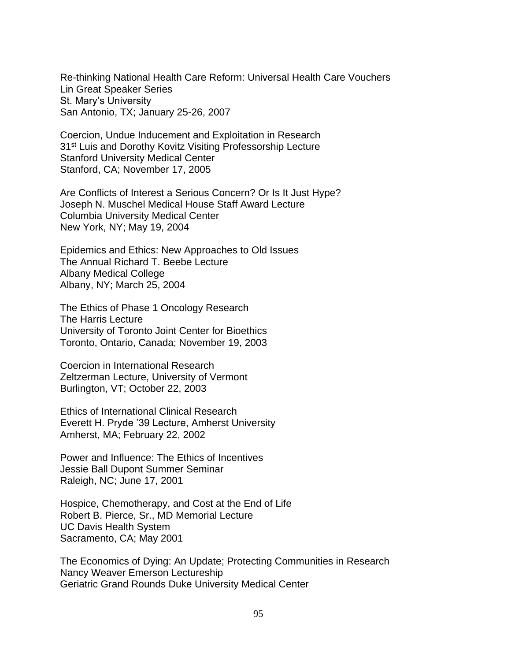Re-thinking National Health Care Reform: Universal Health Care Vouchers Lin Great Speaker Series St. Mary's University San Antonio, TX; January 25-26, 2007

Coercion, Undue Inducement and Exploitation in Research 31<sup>st</sup> Luis and Dorothy Kovitz Visiting Professorship Lecture Stanford University Medical Center Stanford, CA; November 17, 2005

Are Conflicts of Interest a Serious Concern? Or Is It Just Hype? Joseph N. Muschel Medical House Staff Award Lecture Columbia University Medical Center New York, NY; May 19, 2004

Epidemics and Ethics: New Approaches to Old Issues The Annual Richard T. Beebe Lecture Albany Medical College Albany, NY; March 25, 2004

The Ethics of Phase 1 Oncology Research The Harris Lecture University of Toronto Joint Center for Bioethics Toronto, Ontario, Canada; November 19, 2003

Coercion in International Research Zeltzerman Lecture, University of Vermont Burlington, VT; October 22, 2003

Ethics of International Clinical Research Everett H. Pryde '39 Lecture, Amherst University Amherst, MA; February 22, 2002

Power and Influence: The Ethics of Incentives Jessie Ball Dupont Summer Seminar Raleigh, NC; June 17, 2001

Hospice, Chemotherapy, and Cost at the End of Life Robert B. Pierce, Sr., MD Memorial Lecture UC Davis Health System Sacramento, CA; May 2001

The Economics of Dying: An Update; Protecting Communities in Research Nancy Weaver Emerson Lectureship Geriatric Grand Rounds Duke University Medical Center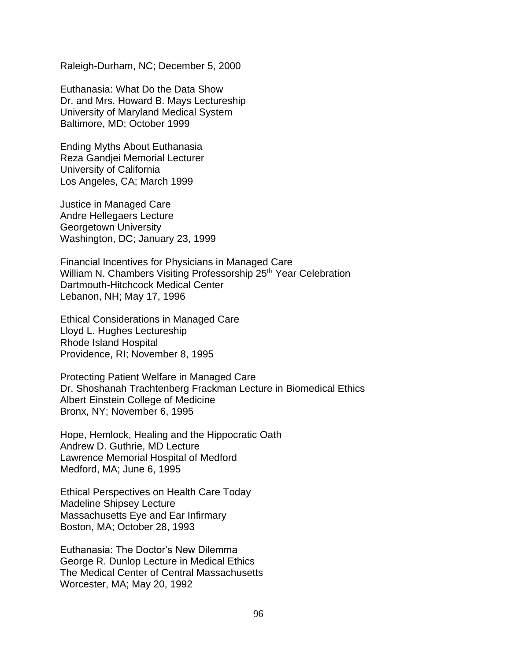Raleigh-Durham, NC; December 5, 2000

Euthanasia: What Do the Data Show Dr. and Mrs. Howard B. Mays Lectureship University of Maryland Medical System Baltimore, MD; October 1999

Ending Myths About Euthanasia Reza Gandjei Memorial Lecturer University of California Los Angeles, CA; March 1999

Justice in Managed Care Andre Hellegaers Lecture Georgetown University Washington, DC; January 23, 1999

Financial Incentives for Physicians in Managed Care William N. Chambers Visiting Professorship 25<sup>th</sup> Year Celebration Dartmouth-Hitchcock Medical Center Lebanon, NH; May 17, 1996

Ethical Considerations in Managed Care Lloyd L. Hughes Lectureship Rhode Island Hospital Providence, RI; November 8, 1995

Protecting Patient Welfare in Managed Care Dr. Shoshanah Trachtenberg Frackman Lecture in Biomedical Ethics Albert Einstein College of Medicine Bronx, NY; November 6, 1995

Hope, Hemlock, Healing and the Hippocratic Oath Andrew D. Guthrie, MD Lecture Lawrence Memorial Hospital of Medford Medford, MA; June 6, 1995

Ethical Perspectives on Health Care Today Madeline Shipsey Lecture Massachusetts Eye and Ear Infirmary Boston, MA; October 28, 1993

Euthanasia: The Doctor's New Dilemma George R. Dunlop Lecture in Medical Ethics The Medical Center of Central Massachusetts Worcester, MA; May 20, 1992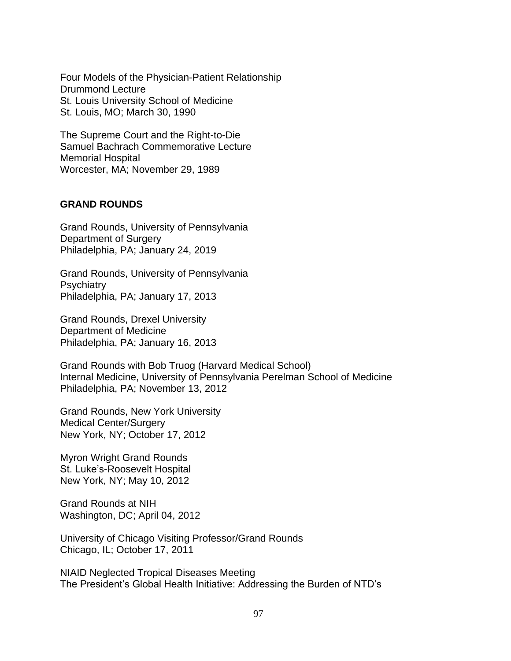Four Models of the Physician-Patient Relationship Drummond Lecture St. Louis University School of Medicine St. Louis, MO; March 30, 1990

The Supreme Court and the Right-to-Die Samuel Bachrach Commemorative Lecture Memorial Hospital Worcester, MA; November 29, 1989

## **GRAND ROUNDS**

Grand Rounds, University of Pennsylvania Department of Surgery Philadelphia, PA; January 24, 2019

Grand Rounds, University of Pennsylvania **Psychiatry** Philadelphia, PA; January 17, 2013

Grand Rounds, Drexel University Department of Medicine Philadelphia, PA; January 16, 2013

Grand Rounds with Bob Truog (Harvard Medical School) Internal Medicine, University of Pennsylvania Perelman School of Medicine Philadelphia, PA; November 13, 2012

Grand Rounds, New York University Medical Center/Surgery New York, NY; October 17, 2012

Myron Wright Grand Rounds St. Luke's-Roosevelt Hospital New York, NY; May 10, 2012

Grand Rounds at NIH Washington, DC; April 04, 2012

University of Chicago Visiting Professor/Grand Rounds Chicago, IL; October 17, 2011

NIAID Neglected Tropical Diseases Meeting The President's Global Health Initiative: Addressing the Burden of NTD's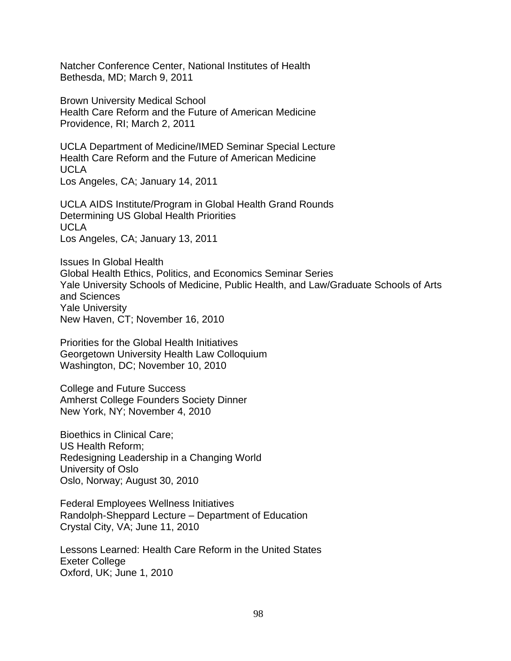Natcher Conference Center, National Institutes of Health Bethesda, MD; March 9, 2011

Brown University Medical School Health Care Reform and the Future of American Medicine Providence, RI; March 2, 2011

UCLA Department of Medicine/IMED Seminar Special Lecture Health Care Reform and the Future of American Medicine UCLA Los Angeles, CA; January 14, 2011

UCLA AIDS Institute/Program in Global Health Grand Rounds Determining US Global Health Priorities UCLA Los Angeles, CA; January 13, 2011

Issues In Global Health Global Health Ethics, Politics, and Economics Seminar Series Yale University Schools of Medicine, Public Health, and Law/Graduate Schools of Arts and Sciences Yale University New Haven, CT; November 16, 2010

Priorities for the Global Health Initiatives Georgetown University Health Law Colloquium Washington, DC; November 10, 2010

College and Future Success Amherst College Founders Society Dinner New York, NY; November 4, 2010

Bioethics in Clinical Care; US Health Reform; Redesigning Leadership in a Changing World University of Oslo Oslo, Norway; August 30, 2010

Federal Employees Wellness Initiatives Randolph-Sheppard Lecture – Department of Education Crystal City, VA; June 11, 2010

Lessons Learned: Health Care Reform in the United States Exeter College Oxford, UK; June 1, 2010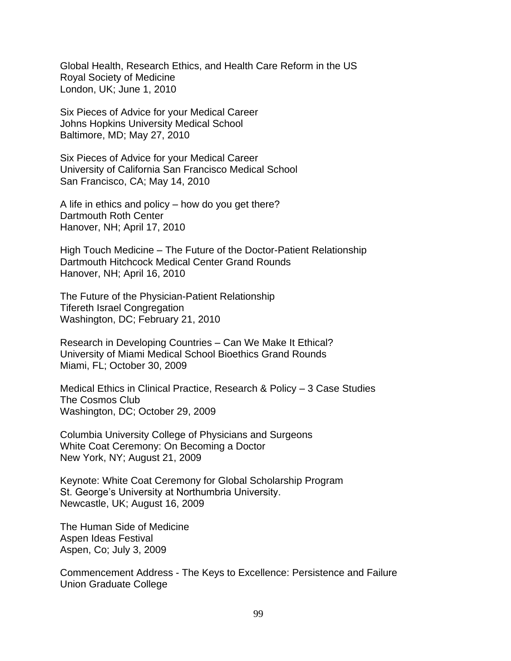Global Health, Research Ethics, and Health Care Reform in the US Royal Society of Medicine London, UK; June 1, 2010

Six Pieces of Advice for your Medical Career Johns Hopkins University Medical School Baltimore, MD; May 27, 2010

Six Pieces of Advice for your Medical Career University of California San Francisco Medical School San Francisco, CA; May 14, 2010

A life in ethics and policy – how do you get there? Dartmouth Roth Center Hanover, NH; April 17, 2010

High Touch Medicine – The Future of the Doctor-Patient Relationship Dartmouth Hitchcock Medical Center Grand Rounds Hanover, NH; April 16, 2010

The Future of the Physician-Patient Relationship Tifereth Israel Congregation Washington, DC; February 21, 2010

Research in Developing Countries – Can We Make It Ethical? University of Miami Medical School Bioethics Grand Rounds Miami, FL; October 30, 2009

Medical Ethics in Clinical Practice, Research & Policy – 3 Case Studies The Cosmos Club Washington, DC; October 29, 2009

Columbia University College of Physicians and Surgeons White Coat Ceremony: On Becoming a Doctor New York, NY; August 21, 2009

Keynote: White Coat Ceremony for Global Scholarship Program St. George's University at Northumbria University. Newcastle, UK; August 16, 2009

The Human Side of Medicine Aspen Ideas Festival Aspen, Co; July 3, 2009

Commencement Address - The Keys to Excellence: Persistence and Failure Union Graduate College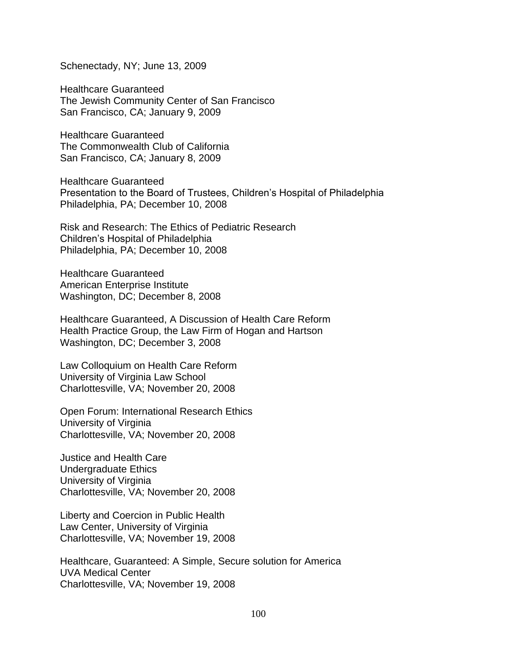Schenectady, NY; June 13, 2009

Healthcare Guaranteed The Jewish Community Center of San Francisco San Francisco, CA; January 9, 2009

Healthcare Guaranteed The Commonwealth Club of California San Francisco, CA; January 8, 2009

Healthcare Guaranteed Presentation to the Board of Trustees, Children's Hospital of Philadelphia Philadelphia, PA; December 10, 2008

Risk and Research: The Ethics of Pediatric Research Children's Hospital of Philadelphia Philadelphia, PA; December 10, 2008

Healthcare Guaranteed American Enterprise Institute Washington, DC; December 8, 2008

Healthcare Guaranteed, A Discussion of Health Care Reform Health Practice Group, the Law Firm of Hogan and Hartson Washington, DC; December 3, 2008

Law Colloquium on Health Care Reform University of Virginia Law School Charlottesville, VA; November 20, 2008

Open Forum: International Research Ethics University of Virginia Charlottesville, VA; November 20, 2008

Justice and Health Care Undergraduate Ethics University of Virginia Charlottesville, VA; November 20, 2008

Liberty and Coercion in Public Health Law Center, University of Virginia Charlottesville, VA; November 19, 2008

Healthcare, Guaranteed: A Simple, Secure solution for America UVA Medical Center Charlottesville, VA; November 19, 2008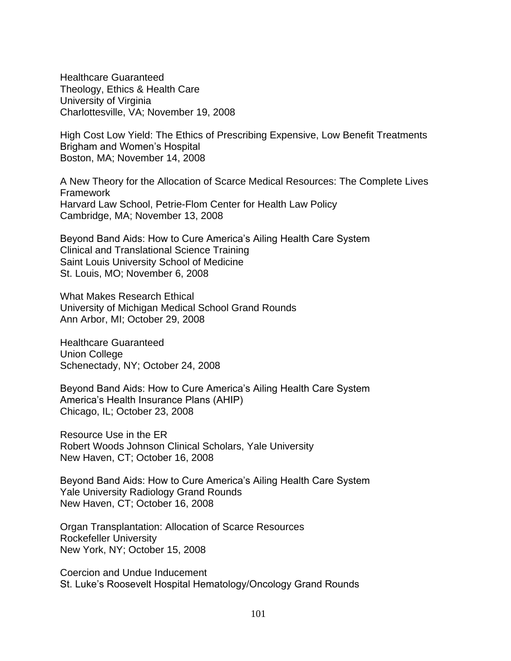Healthcare Guaranteed Theology, Ethics & Health Care University of Virginia Charlottesville, VA; November 19, 2008

High Cost Low Yield: The Ethics of Prescribing Expensive, Low Benefit Treatments Brigham and Women's Hospital Boston, MA; November 14, 2008

A New Theory for the Allocation of Scarce Medical Resources: The Complete Lives Framework Harvard Law School, Petrie-Flom Center for Health Law Policy Cambridge, MA; November 13, 2008

Beyond Band Aids: How to Cure America's Ailing Health Care System Clinical and Translational Science Training Saint Louis University School of Medicine St. Louis, MO; November 6, 2008

What Makes Research Ethical University of Michigan Medical School Grand Rounds Ann Arbor, MI; October 29, 2008

Healthcare Guaranteed Union College Schenectady, NY; October 24, 2008

Beyond Band Aids: How to Cure America's Ailing Health Care System America's Health Insurance Plans (AHIP) Chicago, IL; October 23, 2008

Resource Use in the ER Robert Woods Johnson Clinical Scholars, Yale University New Haven, CT; October 16, 2008

Beyond Band Aids: How to Cure America's Ailing Health Care System Yale University Radiology Grand Rounds New Haven, CT; October 16, 2008

Organ Transplantation: Allocation of Scarce Resources Rockefeller University New York, NY; October 15, 2008

Coercion and Undue Inducement St. Luke's Roosevelt Hospital Hematology/Oncology Grand Rounds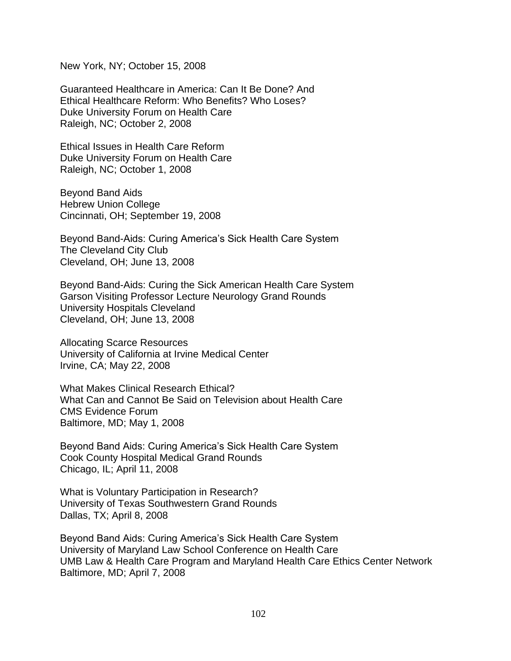New York, NY; October 15, 2008

Guaranteed Healthcare in America: Can It Be Done? And Ethical Healthcare Reform: Who Benefits? Who Loses? Duke University Forum on Health Care Raleigh, NC; October 2, 2008

Ethical Issues in Health Care Reform Duke University Forum on Health Care Raleigh, NC; October 1, 2008

Beyond Band Aids Hebrew Union College Cincinnati, OH; September 19, 2008

Beyond Band-Aids: Curing America's Sick Health Care System The Cleveland City Club Cleveland, OH; June 13, 2008

Beyond Band-Aids: Curing the Sick American Health Care System Garson Visiting Professor Lecture Neurology Grand Rounds University Hospitals Cleveland Cleveland, OH; June 13, 2008

Allocating Scarce Resources University of California at Irvine Medical Center Irvine, CA; May 22, 2008

What Makes Clinical Research Ethical? What Can and Cannot Be Said on Television about Health Care CMS Evidence Forum Baltimore, MD; May 1, 2008

Beyond Band Aids: Curing America's Sick Health Care System Cook County Hospital Medical Grand Rounds Chicago, IL; April 11, 2008

What is Voluntary Participation in Research? University of Texas Southwestern Grand Rounds Dallas, TX; April 8, 2008

Beyond Band Aids: Curing America's Sick Health Care System University of Maryland Law School Conference on Health Care UMB Law & Health Care Program and Maryland Health Care Ethics Center Network Baltimore, MD; April 7, 2008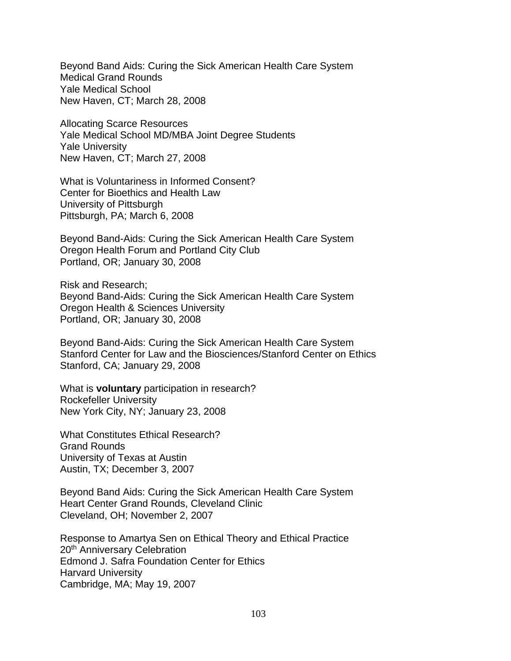Beyond Band Aids: Curing the Sick American Health Care System Medical Grand Rounds Yale Medical School New Haven, CT; March 28, 2008

Allocating Scarce Resources Yale Medical School MD/MBA Joint Degree Students Yale University New Haven, CT; March 27, 2008

What is Voluntariness in Informed Consent? Center for Bioethics and Health Law University of Pittsburgh Pittsburgh, PA; March 6, 2008

Beyond Band-Aids: Curing the Sick American Health Care System Oregon Health Forum and Portland City Club Portland, OR; January 30, 2008

Risk and Research; Beyond Band-Aids: Curing the Sick American Health Care System Oregon Health & Sciences University Portland, OR; January 30, 2008

Beyond Band-Aids: Curing the Sick American Health Care System Stanford Center for Law and the Biosciences/Stanford Center on Ethics Stanford, CA; January 29, 2008

What is **voluntary** participation in research? Rockefeller University New York City, NY; January 23, 2008

What Constitutes Ethical Research? Grand Rounds University of Texas at Austin Austin, TX; December 3, 2007

Beyond Band Aids: Curing the Sick American Health Care System Heart Center Grand Rounds, Cleveland Clinic Cleveland, OH; November 2, 2007

Response to Amartya Sen on Ethical Theory and Ethical Practice 20<sup>th</sup> Anniversary Celebration Edmond J. Safra Foundation Center for Ethics Harvard University Cambridge, MA; May 19, 2007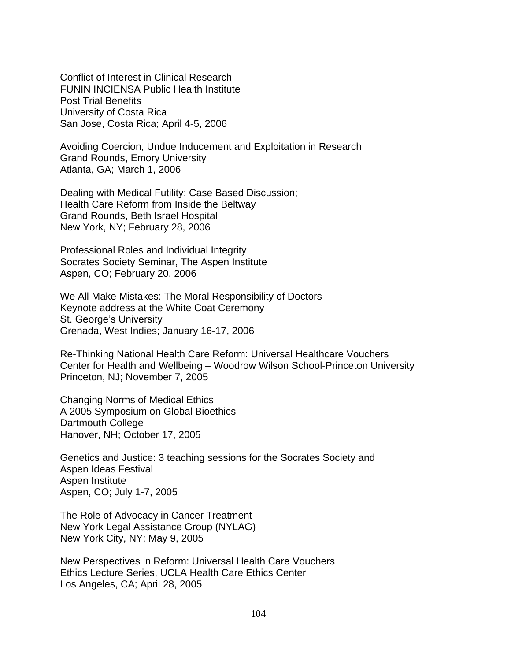Conflict of Interest in Clinical Research FUNIN INCIENSA Public Health Institute Post Trial Benefits University of Costa Rica San Jose, Costa Rica; April 4-5, 2006

Avoiding Coercion, Undue Inducement and Exploitation in Research Grand Rounds, Emory University Atlanta, GA; March 1, 2006

Dealing with Medical Futility: Case Based Discussion; Health Care Reform from Inside the Beltway Grand Rounds, Beth Israel Hospital New York, NY; February 28, 2006

Professional Roles and Individual Integrity Socrates Society Seminar, The Aspen Institute Aspen, CO; February 20, 2006

We All Make Mistakes: The Moral Responsibility of Doctors Keynote address at the White Coat Ceremony St. George's University Grenada, West Indies; January 16-17, 2006

Re-Thinking National Health Care Reform: Universal Healthcare Vouchers Center for Health and Wellbeing – Woodrow Wilson School-Princeton University Princeton, NJ; November 7, 2005

Changing Norms of Medical Ethics A 2005 Symposium on Global Bioethics Dartmouth College Hanover, NH; October 17, 2005

Genetics and Justice: 3 teaching sessions for the Socrates Society and Aspen Ideas Festival Aspen Institute Aspen, CO; July 1-7, 2005

The Role of Advocacy in Cancer Treatment New York Legal Assistance Group (NYLAG) New York City, NY; May 9, 2005

New Perspectives in Reform: Universal Health Care Vouchers Ethics Lecture Series, UCLA Health Care Ethics Center Los Angeles, CA; April 28, 2005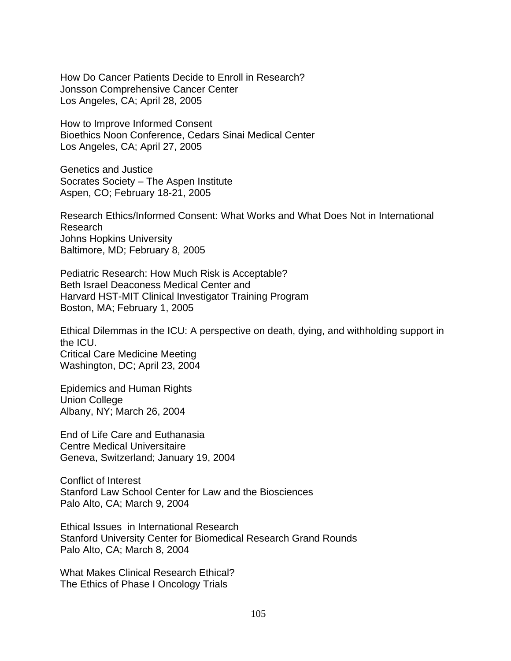How Do Cancer Patients Decide to Enroll in Research? Jonsson Comprehensive Cancer Center Los Angeles, CA; April 28, 2005

How to Improve Informed Consent Bioethics Noon Conference, Cedars Sinai Medical Center Los Angeles, CA; April 27, 2005

Genetics and Justice Socrates Society – The Aspen Institute Aspen, CO; February 18-21, 2005

Research Ethics/Informed Consent: What Works and What Does Not in International Research Johns Hopkins University Baltimore, MD; February 8, 2005

Pediatric Research: How Much Risk is Acceptable? Beth Israel Deaconess Medical Center and Harvard HST-MIT Clinical Investigator Training Program Boston, MA; February 1, 2005

Ethical Dilemmas in the ICU: A perspective on death, dying, and withholding support in the ICU. Critical Care Medicine Meeting Washington, DC; April 23, 2004

Epidemics and Human Rights Union College Albany, NY; March 26, 2004

End of Life Care and Euthanasia Centre Medical Universitaire Geneva, Switzerland; January 19, 2004

Conflict of Interest Stanford Law School Center for Law and the Biosciences Palo Alto, CA; March 9, 2004

Ethical Issues in International Research Stanford University Center for Biomedical Research Grand Rounds Palo Alto, CA; March 8, 2004

What Makes Clinical Research Ethical? The Ethics of Phase I Oncology Trials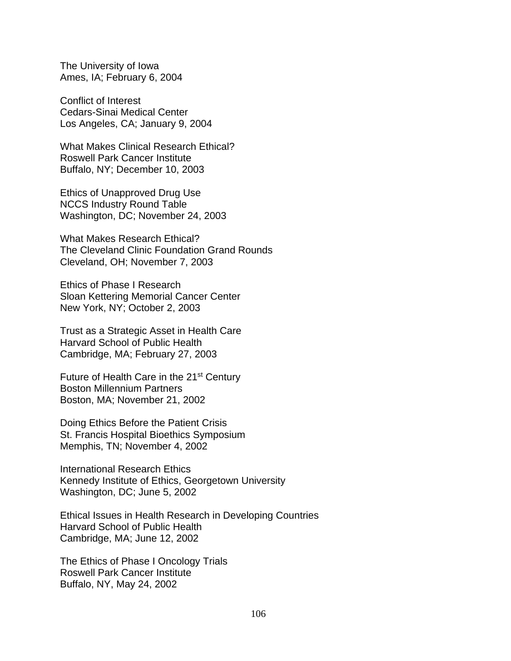The University of Iowa Ames, IA; February 6, 2004

Conflict of Interest Cedars-Sinai Medical Center Los Angeles, CA; January 9, 2004

What Makes Clinical Research Ethical? Roswell Park Cancer Institute Buffalo, NY; December 10, 2003

Ethics of Unapproved Drug Use NCCS Industry Round Table Washington, DC; November 24, 2003

What Makes Research Ethical? The Cleveland Clinic Foundation Grand Rounds Cleveland, OH; November 7, 2003

Ethics of Phase I Research Sloan Kettering Memorial Cancer Center New York, NY; October 2, 2003

Trust as a Strategic Asset in Health Care Harvard School of Public Health Cambridge, MA; February 27, 2003

Future of Health Care in the 21<sup>st</sup> Century Boston Millennium Partners Boston, MA; November 21, 2002

Doing Ethics Before the Patient Crisis St. Francis Hospital Bioethics Symposium Memphis, TN; November 4, 2002

International Research Ethics Kennedy Institute of Ethics, Georgetown University Washington, DC; June 5, 2002

Ethical Issues in Health Research in Developing Countries Harvard School of Public Health Cambridge, MA; June 12, 2002

The Ethics of Phase I Oncology Trials Roswell Park Cancer Institute Buffalo, NY, May 24, 2002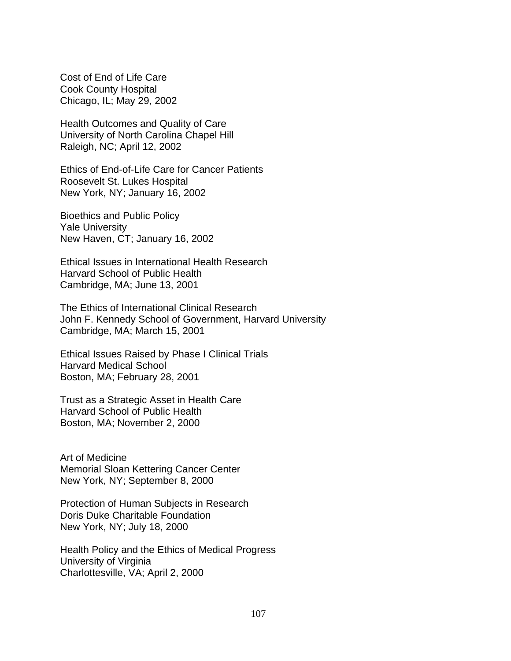Cost of End of Life Care Cook County Hospital Chicago, IL; May 29, 2002

Health Outcomes and Quality of Care University of North Carolina Chapel Hill Raleigh, NC; April 12, 2002

Ethics of End-of-Life Care for Cancer Patients Roosevelt St. Lukes Hospital New York, NY; January 16, 2002

Bioethics and Public Policy Yale University New Haven, CT; January 16, 2002

Ethical Issues in International Health Research Harvard School of Public Health Cambridge, MA; June 13, 2001

The Ethics of International Clinical Research John F. Kennedy School of Government, Harvard University Cambridge, MA; March 15, 2001

Ethical Issues Raised by Phase I Clinical Trials Harvard Medical School Boston, MA; February 28, 2001

Trust as a Strategic Asset in Health Care Harvard School of Public Health Boston, MA; November 2, 2000

Art of Medicine Memorial Sloan Kettering Cancer Center New York, NY; September 8, 2000

Protection of Human Subjects in Research Doris Duke Charitable Foundation New York, NY; July 18, 2000

Health Policy and the Ethics of Medical Progress University of Virginia Charlottesville, VA; April 2, 2000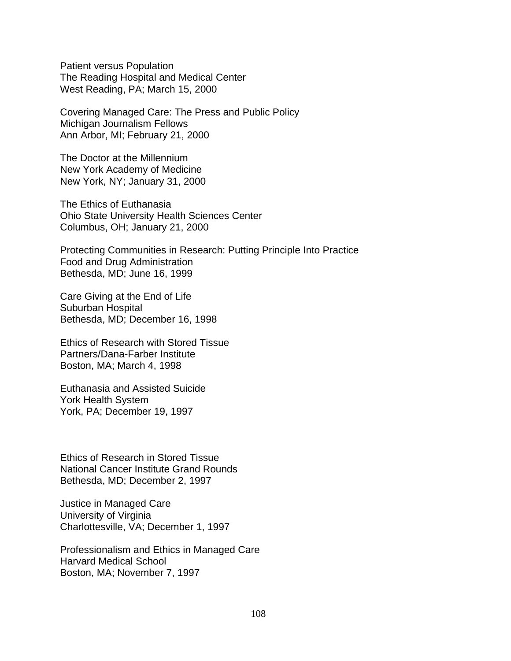Patient versus Population The Reading Hospital and Medical Center West Reading, PA; March 15, 2000

Covering Managed Care: The Press and Public Policy Michigan Journalism Fellows Ann Arbor, MI; February 21, 2000

The Doctor at the Millennium New York Academy of Medicine New York, NY; January 31, 2000

The Ethics of Euthanasia Ohio State University Health Sciences Center Columbus, OH; January 21, 2000

Protecting Communities in Research: Putting Principle Into Practice Food and Drug Administration Bethesda, MD; June 16, 1999

Care Giving at the End of Life Suburban Hospital Bethesda, MD; December 16, 1998

Ethics of Research with Stored Tissue Partners/Dana-Farber Institute Boston, MA; March 4, 1998

Euthanasia and Assisted Suicide York Health System York, PA; December 19, 1997

Ethics of Research in Stored Tissue National Cancer Institute Grand Rounds Bethesda, MD; December 2, 1997

Justice in Managed Care University of Virginia Charlottesville, VA; December 1, 1997

Professionalism and Ethics in Managed Care Harvard Medical School Boston, MA; November 7, 1997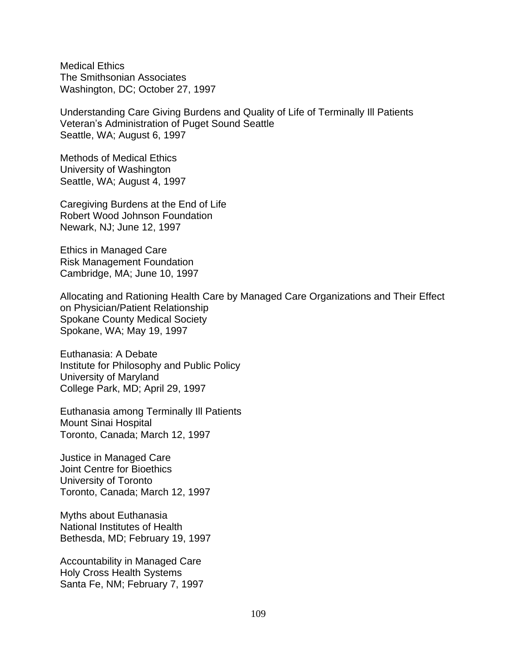Medical Ethics The Smithsonian Associates Washington, DC; October 27, 1997

Understanding Care Giving Burdens and Quality of Life of Terminally Ill Patients Veteran's Administration of Puget Sound Seattle Seattle, WA; August 6, 1997

Methods of Medical Ethics University of Washington Seattle, WA; August 4, 1997

Caregiving Burdens at the End of Life Robert Wood Johnson Foundation Newark, NJ; June 12, 1997

Ethics in Managed Care Risk Management Foundation Cambridge, MA; June 10, 1997

Allocating and Rationing Health Care by Managed Care Organizations and Their Effect on Physician/Patient Relationship Spokane County Medical Society Spokane, WA; May 19, 1997

Euthanasia: A Debate Institute for Philosophy and Public Policy University of Maryland College Park, MD; April 29, 1997

Euthanasia among Terminally Ill Patients Mount Sinai Hospital Toronto, Canada; March 12, 1997

Justice in Managed Care Joint Centre for Bioethics University of Toronto Toronto, Canada; March 12, 1997

Myths about Euthanasia National Institutes of Health Bethesda, MD; February 19, 1997

Accountability in Managed Care Holy Cross Health Systems Santa Fe, NM; February 7, 1997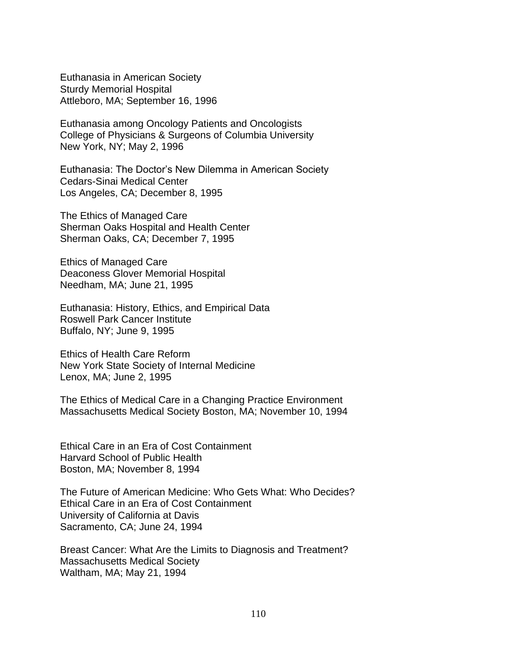Euthanasia in American Society Sturdy Memorial Hospital Attleboro, MA; September 16, 1996

Euthanasia among Oncology Patients and Oncologists College of Physicians & Surgeons of Columbia University New York, NY; May 2, 1996

Euthanasia: The Doctor's New Dilemma in American Society Cedars-Sinai Medical Center Los Angeles, CA; December 8, 1995

The Ethics of Managed Care Sherman Oaks Hospital and Health Center Sherman Oaks, CA; December 7, 1995

Ethics of Managed Care Deaconess Glover Memorial Hospital Needham, MA; June 21, 1995

Euthanasia: History, Ethics, and Empirical Data Roswell Park Cancer Institute Buffalo, NY; June 9, 1995

Ethics of Health Care Reform New York State Society of Internal Medicine Lenox, MA; June 2, 1995

The Ethics of Medical Care in a Changing Practice Environment Massachusetts Medical Society Boston, MA; November 10, 1994

Ethical Care in an Era of Cost Containment Harvard School of Public Health Boston, MA; November 8, 1994

The Future of American Medicine: Who Gets What: Who Decides? Ethical Care in an Era of Cost Containment University of California at Davis Sacramento, CA; June 24, 1994

Breast Cancer: What Are the Limits to Diagnosis and Treatment? Massachusetts Medical Society Waltham, MA; May 21, 1994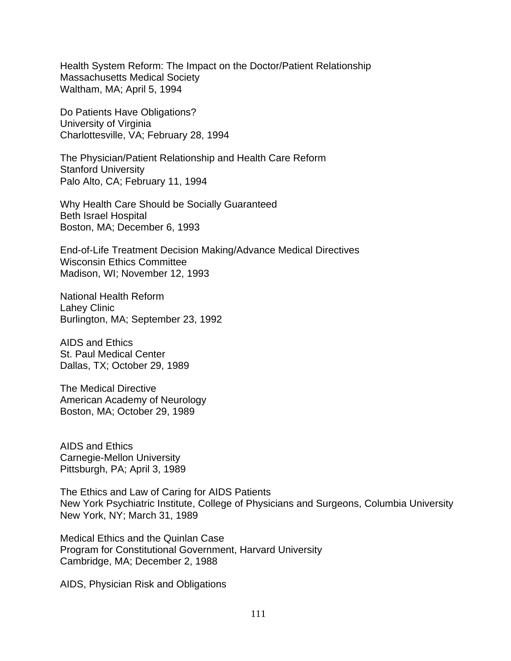Health System Reform: The Impact on the Doctor/Patient Relationship Massachusetts Medical Society Waltham, MA; April 5, 1994

Do Patients Have Obligations? University of Virginia Charlottesville, VA; February 28, 1994

The Physician/Patient Relationship and Health Care Reform Stanford University Palo Alto, CA; February 11, 1994

Why Health Care Should be Socially Guaranteed Beth Israel Hospital Boston, MA; December 6, 1993

End-of-Life Treatment Decision Making/Advance Medical Directives Wisconsin Ethics Committee Madison, WI; November 12, 1993

National Health Reform Lahey Clinic Burlington, MA; September 23, 1992

AIDS and Ethics St. Paul Medical Center Dallas, TX; October 29, 1989

The Medical Directive American Academy of Neurology Boston, MA; October 29, 1989

AIDS and Ethics Carnegie-Mellon University Pittsburgh, PA; April 3, 1989

The Ethics and Law of Caring for AIDS Patients New York Psychiatric Institute, College of Physicians and Surgeons, Columbia University New York, NY; March 31, 1989

Medical Ethics and the Quinlan Case Program for Constitutional Government, Harvard University Cambridge, MA; December 2, 1988

AIDS, Physician Risk and Obligations